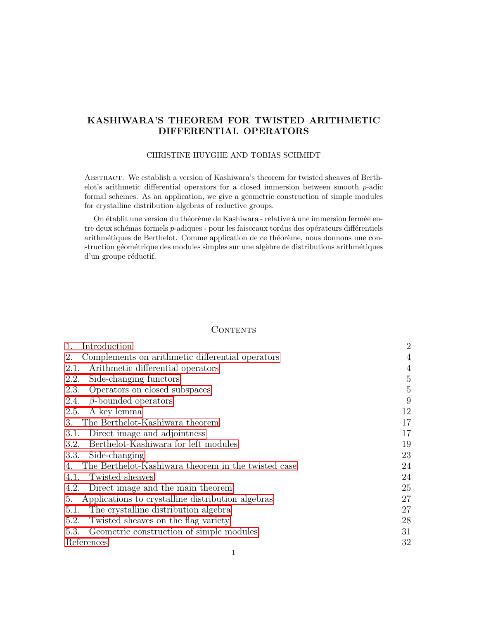# KASHIWARA'S THEOREM FOR TWISTED ARITHMETIC DIFFERENTIAL OPERATORS

### CHRISTINE HUYGHE AND TOBIAS SCHMIDT

Abstract. We establish a version of Kashiwara's theorem for twisted sheaves of Berthelot's arithmetic differential operators for a closed immersion between smooth  $p$ -adic formal schemes. As an application, we give a geometric construction of simple modules for crystalline distribution algebras of reductive groups.

On établit une version du théorème de Kashiwara - relative à une immersion fermée entre deux schémas formels p-adiques - pour les faisceaux tordus des opérateurs différentiels arithmétiques de Berthelot. Comme application de ce théorème, nous donnons une construction géométrique des modules simples sur une algèbre de distributions arithmétiques d'un groupe réductif.

#### **CONTENTS**

| Introduction                                              | $\overline{2}$ |
|-----------------------------------------------------------|----------------|
| Complements on arithmetic differential operators<br>2.    | 4              |
| Arithmetic differential operators<br>2.1.                 | 4              |
| 2.2.<br>Side-changing functors                            | $\overline{5}$ |
| Operators on closed subspaces<br>2.3.                     | $\overline{5}$ |
| $\beta$ -bounded operators<br>2.4.                        | 9              |
| A key lemma<br>2.5.                                       | 12             |
| The Berthelot-Kashiwara theorem<br>3.                     | 17             |
| Direct image and adjointness<br>3.1.                      | 17             |
| Berthelot-Kashiwara for left modules<br>3.2.              | 19             |
| 3.3.<br>Side-changing                                     | 23             |
| The Berthelot-Kashiwara theorem in the twisted case<br>4. | 24             |
| Twisted sheaves<br>4.1.                                   | 24             |
| Direct image and the main theorem<br>4.2.                 | 25             |
| Applications to crystalline distribution algebras<br>5.   | 27             |
| The crystalline distribution algebra<br>5.1.              | 27             |
| Twisted sheaves on the flag variety<br>5.2.               | 28             |
| Geometric construction of simple modules<br>5.3.          | 31             |
| References                                                | 32             |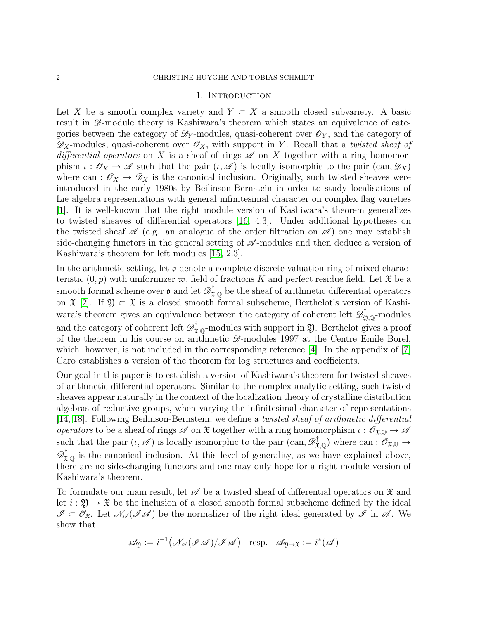### 1. INTRODUCTION

<span id="page-1-0"></span>Let X be a smooth complex variety and  $Y \subset X$  a smooth closed subvariety. A basic result in  $\mathscr{D}$ -module theory is Kashiwara's theorem which states an equivalence of categories between the category of  $\mathscr{D}_Y$ -modules, quasi-coherent over  $\mathscr{O}_Y$ , and the category of  $\mathscr{D}_X$ -modules, quasi-coherent over  $\mathscr{O}_X$ , with support in Y. Recall that a twisted sheaf of differential operators on X is a sheaf of rings  $\mathscr A$  on X together with a ring homomorphism  $\iota : \mathscr{O}_X \to \mathscr{A}$  such that the pair  $(\iota, \mathscr{A})$  is locally isomorphic to the pair  $(\text{can}, \mathscr{D}_X)$ where can :  $\mathcal{O}_X \to \mathcal{D}_X$  is the canonical inclusion. Originally, such twisted sheaves were introduced in the early 1980s by Beilinson-Bernstein in order to study localisations of Lie algebra representations with general infinitesimal character on complex flag varieties [\[1\]](#page-31-1). It is well-known that the right module version of Kashiwara's theorem generalizes to twisted sheaves of differential operators [\[16,](#page-32-0) 4.3]. Under additional hypotheses on the twisted sheaf  $\mathscr A$  (e.g. an analogue of the order filtration on  $\mathscr A$ ) one may establish side-changing functors in the general setting of  $\mathscr A$ -modules and then deduce a version of Kashiwara's theorem for left modules [\[15,](#page-32-1) 2.3].

In the arithmetic setting, let  $\mathfrak o$  denote a complete discrete valuation ring of mixed characteristic  $(0, p)$  with uniformizer  $\varpi$ , field of fractions K and perfect residue field. Let  $\mathfrak X$  be a smooth formal scheme over  $\mathfrak o$  and let  $\mathscr D_{\mathfrak X,\mathbb Q}^{\dagger}$  be the sheaf of arithmetic differential operators on  $\mathfrak{X}$  [\[2\]](#page-31-2). If  $\mathfrak{Y} \subset \mathfrak{X}$  is a closed smooth formal subscheme, Berthelot's version of Kashiwara's theorem gives an equivalence between the category of coherent left  $\mathscr{D}^{\dagger}_{\mathfrak{Y},\mathbb{Q}}$ -modules and the category of coherent left  $\mathscr{D}^{\dagger}_{\mathfrak{X},\mathbb{Q}}$ -modules with support in  $\mathfrak{Y}$ . Berthelot gives a proof of the theorem in his course on arithmetic  $\mathscr{D}$ -modules 1997 at the Centre Emile Borel, which, however, is not included in the corresponding reference  $[4]$ . In the appendix of  $[7]$ Caro establishes a version of the theorem for log structures and coefficients.

Our goal in this paper is to establish a version of Kashiwara's theorem for twisted sheaves of arithmetic differential operators. Similar to the complex analytic setting, such twisted sheaves appear naturally in the context of the localization theory of crystalline distribution algebras of reductive groups, when varying the infinitesimal character of representations [\[14,](#page-32-2) [18\]](#page-32-3). Following Beilinson-Bernstein, we define a twisted sheaf of arithmetic differential operators to be a sheaf of rings  $\mathscr A$  on  $\mathfrak X$  together with a ring homomorphism  $\iota : \mathscr O_{\mathfrak X,{\mathbb Q}} \to \mathscr A$ such that the pair  $(\iota, \mathscr{A})$  is locally isomorphic to the pair  $(\text{can}, \mathscr{D}^{\dagger}_{\mathfrak{X},\mathbb{Q}})$  where can  $: \mathscr{O}_{\mathfrak{X},\mathbb{Q}} \to$  $\mathscr{D}^{\dagger}_{\mathfrak{X},\mathbb{Q}}$  is the canonical inclusion. At this level of generality, as we have explained above, there are no side-changing functors and one may only hope for a right module version of Kashiwara's theorem.

To formulate our main result, let  $\mathscr A$  be a twisted sheaf of differential operators on  $\mathfrak X$  and let  $i : \mathfrak{Y} \to \mathfrak{X}$  be the inclusion of a closed smooth formal subscheme defined by the ideal  $\mathscr{I} \subset \mathscr{O}_{\mathfrak{X}}$ . Let  $\mathscr{N}_{\mathscr{A}}(\mathscr{I}\mathscr{A})$  be the normalizer of the right ideal generated by  $\mathscr{I}$  in  $\mathscr{A}$ . We show that

$$
\mathscr{A}_{\mathfrak{Y}} := i^{-1}(\mathscr{N}_{\mathscr{A}}(\mathscr{I}\mathscr{A})/\mathscr{I}\mathscr{A}) \quad \text{resp.} \quad \mathscr{A}_{\mathfrak{Y}\to \mathfrak{X}} := i^*(\mathscr{A})
$$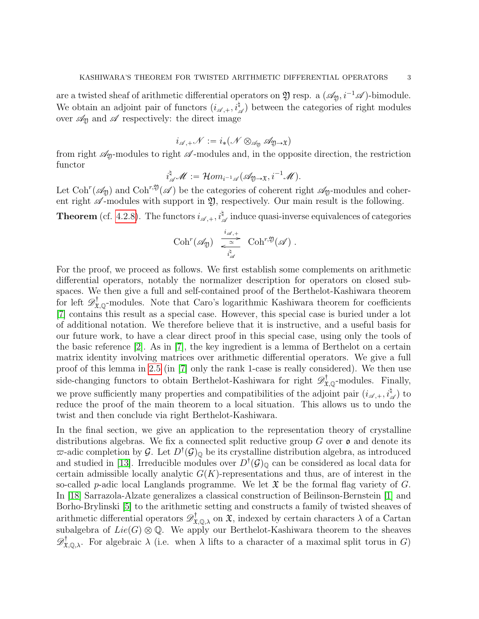are a twisted sheaf of arithmetic differential operators on  $\mathfrak Y$  resp. a  $(\mathscr A_{\mathfrak Y}, i^{-1}\mathscr A)$ -bimodule. We obtain an adjoint pair of functors  $(i_{\mathscr{A},+}, i_{\mathscr{A}}^{\dagger})$  between the categories of right modules over  $\mathscr{A}_{\mathfrak{Y}}$  and  $\mathscr{A}$  respectively: the direct image

$$
i_{\mathscr{A},+}\mathscr{N}:=i_*(\mathscr{N}\otimes_{\mathscr{A}_{\mathfrak{Y}}}\mathscr{A}_{\mathfrak{Y}\rightarrow \mathfrak{X}})
$$

from right  $\mathcal{A}_{y}$ -modules to right  $\mathcal{A}$ -modules and, in the opposite direction, the restriction functor

$$
i_{\mathscr{A}}^{\natural}\mathscr{M}:=\mathcal{H}om_{i^{-1}\mathscr{A}}(\mathscr{A}_{\mathfrak{Y}\rightarrow\mathfrak{X}},i^{-1}\mathscr{M}).
$$

Let Coh<sup>r</sup>( $\mathscr{A}_{\mathfrak{Y}}$ ) and Coh<sup>r, $\mathfrak{Y}(\mathscr{A})$  be the categories of coherent right  $\mathscr{A}_{\mathfrak{Y}}$ -modules and coher-</sup> ent right  $\mathscr A$ -modules with support in  $\mathfrak Y$ , respectively. Our main result is the following.

**Theorem** (cf. [4.2.8\)](#page-26-2). The functors  $i_{\mathscr{A},+}, i_{\mathscr{A}}^{\dagger}$  induce quasi-inverse equivalences of categories

$$
\mathrm{Coh}^r(\mathscr{A}_{\mathfrak{Y}}) \xrightarrow[\begin{smallmatrix} i_{\mathscr{A},+} \\ \frac{\sim}{\alpha} \end{smallmatrix} ] \mathrm{Coh}^{r,\mathfrak{Y}}(\mathscr{A}) .
$$

For the proof, we proceed as follows. We first establish some complements on arithmetic differential operators, notably the normalizer description for operators on closed subspaces. We then give a full and self-contained proof of the Berthelot-Kashiwara theorem for left  $\mathscr{D}^{\dagger}_{\mathfrak{X},\mathbb{Q}}$ -modules. Note that Caro's logarithmic Kashiwara theorem for coefficients [\[7\]](#page-31-4) contains this result as a special case. However, this special case is buried under a lot of additional notation. We therefore believe that it is instructive, and a useful basis for our future work, to have a clear direct proof in this special case, using only the tools of the basic reference [\[2\]](#page-31-2). As in [\[7\]](#page-31-4), the key ingredient is a lemma of Berthelot on a certain matrix identity involving matrices over arithmetic differential operators. We give a full proof of this lemma in [2.5](#page-11-0) (in [\[7\]](#page-31-4) only the rank 1-case is really considered). We then use side-changing functors to obtain Berthelot-Kashiwara for right  $\mathscr{D}^{\dagger}_{\mathfrak{X},\mathbb{Q}}$ -modules. Finally, we prove sufficiently many properties and compatibilities of the adjoint pair  $(i_{\mathscr{A},+}, i_{\mathscr{A}}^{\dagger})$  to reduce the proof of the main theorem to a local situation. This allows us to undo the twist and then conclude via right Berthelot-Kashiwara.

In the final section, we give an application to the representation theory of crystalline distributions algebras. We fix a connected split reductive group  $G$  over  $\mathfrak o$  and denote its  $\varpi$ -adic completion by G. Let  $D^{\dagger}(\mathcal{G})_{\mathbb{Q}}$  be its crystalline distribution algebra, as introduced and studied in [\[13\]](#page-32-4). Irreducible modules over  $D^{\dagger}(\mathcal{G})_{\mathbb{Q}}$  can be considered as local data for certain admissible locally analytic  $G(K)$ -representations and thus, are of interest in the so-called p-adic local Langlands programme. We let  $\mathfrak X$  be the formal flag variety of G. In [\[18\]](#page-32-3) Sarrazola-Alzate generalizes a classical construction of Beilinson-Bernstein [\[1\]](#page-31-1) and Borho-Brylinski [\[5\]](#page-31-5) to the arithmetic setting and constructs a family of twisted sheaves of arithmetic differential operators  $\mathscr{D}^{\dagger}_{\mathfrak{X},\mathbb{Q},\lambda}$  on  $\mathfrak{X}$ , indexed by certain characters  $\lambda$  of a Cartan subalgebra of  $Lie(G)\otimes \mathbb{Q}$ . We apply our Berthelot-Kashiwara theorem to the sheaves  $\mathscr{D}^{\dagger}_{\mathfrak{X},\mathbb{Q},\lambda}$ . For algebraic  $\lambda$  (i.e. when  $\lambda$  lifts to a character of a maximal split torus in G)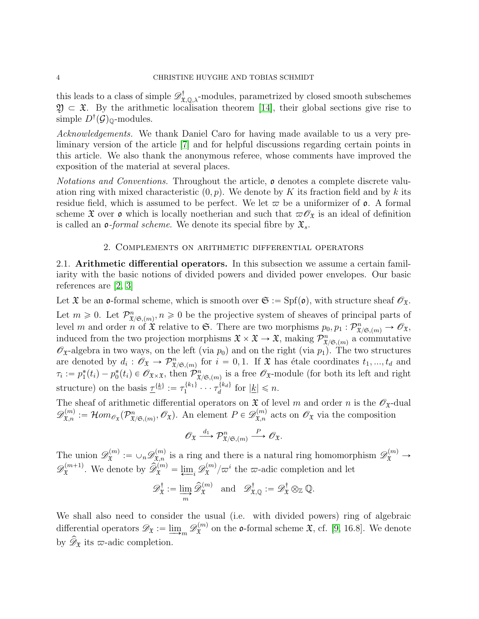this leads to a class of simple  $\mathscr{D}^{\dagger}_{\mathfrak{X},\mathbb{Q},\lambda}$ -modules, parametrized by closed smooth subschemes  $\mathfrak{Y} \subset \mathfrak{X}$ . By the arithmetic localisation theorem [\[14\]](#page-32-2), their global sections give rise to simple  $D^{\dagger}(\mathcal{G})_{\mathbb{Q}}$ -modules.

Acknowledgements. We thank Daniel Caro for having made available to us a very preliminary version of the article [\[7\]](#page-31-4) and for helpful discussions regarding certain points in this article. We also thank the anonymous referee, whose comments have improved the exposition of the material at several places.

Notations and Conventions. Throughout the article, **o** denotes a complete discrete valuation ring with mixed characteristic  $(0, p)$ . We denote by K its fraction field and by k its residue field, which is assumed to be perfect. We let  $\varpi$  be a uniformizer of  $\varphi$ . A formal scheme  $\mathfrak X$  over  $\mathfrak o$  which is locally noetherian and such that  $\varpi \mathscr O_{\mathfrak X}$  is an ideal of definition is called an  $\mathfrak{o}$ -formal scheme. We denote its special fibre by  $\mathfrak{X}_s$ .

## 2. Complements on arithmetic differential operators

<span id="page-3-1"></span><span id="page-3-0"></span>2.1. Arithmetic differential operators. In this subsection we assume a certain familiarity with the basic notions of divided powers and divided power envelopes. Our basic references are [\[2,](#page-31-2) [3\]](#page-31-6)

Let  $\mathfrak X$  be an  $\mathfrak o$ -formal scheme, which is smooth over  $\mathfrak S := \mathrm{Spf}(\mathfrak o)$ , with structure sheaf  $\mathscr O_{\mathfrak X}$ .

Let  $m \geq 0$ . Let  $\mathcal{P}_{\mathfrak{X}/\mathfrak{S}_p(m)}^n, n \geq 0$  be the projective system of sheaves of principal parts of level m and order n of  $\hat{x}$  relative to G. There are two morphisms  $p_0, p_1 : \mathcal{P}_{\hat{x}/\mathfrak{S},(m)}^n \to \mathscr{O}_{\hat{x}},$ induced from the two projection morphisms  $\mathfrak{X} \times \mathfrak{X} \to \mathfrak{X}$ , making  $\mathcal{P}_{\mathfrak{X}/\mathfrak{S},(m)}^n$  a commutative  $\mathscr{O}_{\mathfrak{X}}$ -algebra in two ways, on the left (via  $p_0$ ) and on the right (via  $p_1$ ). The two structures are denoted by  $d_i: \mathscr{O}_{\mathfrak{X}} \to \mathcal{P}_{\mathfrak{X}/\mathfrak{S},(m)}^n$  for  $i = 0, 1$ . If  $\mathfrak{X}$  has étale coordinates  $t_1, ..., t_d$  and  $\tau_i := p_1^*(t_i) - p_0^*(t_i) \in \mathscr{O}_{\mathfrak{X} \times \mathfrak{X}}$ , then  $\mathcal{P}_{\mathfrak{X}/\mathfrak{S},(m)}^n$  is a free  $\mathscr{O}_{\mathfrak{X}}$ -module (for both its left and right structure) on the basis  $\underline{\tau}^{\{\underline{k}\}} := \tau_1^{\{\underline{k}_1\}}$  $\{\{k_1\}}_1 \cdots \tau_d^{\{k_d\}}$  $\frac{d}{d}^{\{k_d\}}$  for  $|\underline{k}| \leq n$ .

The sheaf of arithmetic differential operators on  $\mathfrak{X}$  of level m and order n is the  $\mathscr{O}_{\mathfrak{X}}$ -dual  $\mathscr{D}_{\mathfrak{X},n}^{(m)} := \mathcal{H}om_{\mathscr{O}_{\mathfrak{X}}}(\mathcal{P}_{\mathfrak{X}/\mathfrak{S},(m)}^n, \mathscr{O}_{\mathfrak{X}}).$  An element  $P \in \mathscr{D}_{\mathfrak{X},n}^{(m)}$  acts on  $\mathscr{O}_{\mathfrak{X}}$  via the composition

$$
\mathscr{O}_{\mathfrak{X}} \xrightarrow{d_1} \mathcal{P}_{\mathfrak{X}/\mathfrak{S},(m)}^n \xrightarrow{P} \mathscr{O}_{\mathfrak{X}}.
$$

The union  $\mathscr{D}_{\mathfrak{X}}^{(m)}$  $\mathcal{L}^{(m)}_{\mathfrak{X}} := \cup_n \mathscr{D}^{(m)}_{\mathfrak{X},n}$  is a ring and there is a natural ring homomorphism  $\mathscr{D}^{(m)}_{\mathfrak{X}} \to$  $\mathscr{D}^{(m+1)}_{\mathfrak{X}}$  $\hat{\mathcal{L}}_{\mathfrak{X}}^{(m+1)}$ . We denote by  $\widehat{\mathscr{D}}_{\mathfrak{X}}^{(m)} = \varprojlim_i \mathscr{D}_{\mathfrak{X}}^{(m)}$  $\binom{n}{\mathcal{X}}_{\mathcal{X}}^{i}$  the  $\varpi$ -adic completion and let

$$
\mathscr{D}_{\mathfrak{X}}^{\dagger} := \varinjlim_{m} \widehat{\mathscr{D}}_{\mathfrak{X}}^{(m)} \quad \text{and} \quad \mathscr{D}_{\mathfrak{X},\mathbb{Q}}^{\dagger} := \mathscr{D}_{\mathfrak{X}}^{\dagger} \otimes_{\mathbb{Z}} \mathbb{Q}.
$$

We shall also need to consider the usual (i.e. with divided powers) ring of algebraic differential operators  $\mathscr{D}_{\mathfrak{X}} := \underline{\lim}_{m} \mathscr{D}_{\mathfrak{X}}^{(m)}$  $\mathfrak{X}^{(m)}$  on the **o**-formal scheme  $\mathfrak{X}$ , cf. [\[9,](#page-31-7) 16.8]. We denote by  $\widehat{\mathscr{D}}_{\mathfrak{X}}$  its  $\varpi$ -adic completion.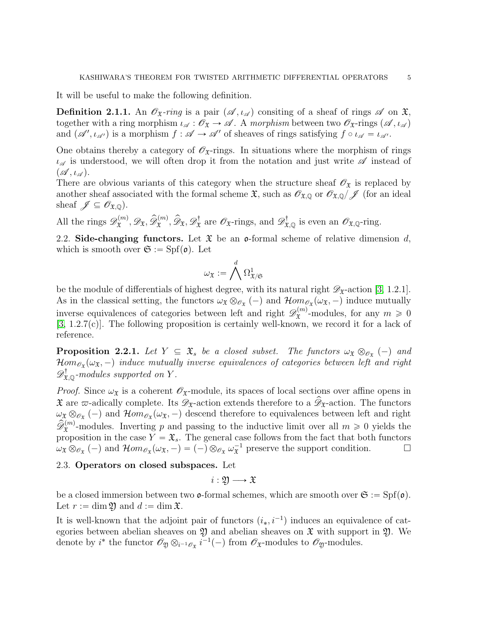It will be useful to make the following definition.

<span id="page-4-3"></span>**Definition 2.1.1.** An  $\mathscr{O}_{\mathfrak{X}}$ -ring is a pair  $(\mathscr{A}, \iota_{\mathscr{A}})$  consiting of a sheaf of rings  $\mathscr{A}$  on  $\mathfrak{X}$ , together with a ring morphism  $\iota_{\mathscr{A}} : \mathscr{O}_{\mathfrak{X}} \to \mathscr{A}$ . A morphism between two  $\mathscr{O}_{\mathfrak{X}}$ -rings  $(\mathscr{A}, \iota_{\mathscr{A}})$ and  $(\mathscr{A}', \iota_{\mathscr{A}'})$  is a morphism  $f : \mathscr{A} \to \mathscr{A}'$  of sheaves of rings satisfying  $f \circ \iota_{\mathscr{A}} = \iota_{\mathscr{A}}$ .

One obtains thereby a category of  $\mathscr{O}_{\mathfrak{X}}$ -rings. In situations where the morphism of rings  $\iota_{\mathscr{A}}$  is understood, we will often drop it from the notation and just write  $\mathscr A$  instead of  $(\mathscr{A}, \iota_{\mathscr{A}}).$ 

There are obvious variants of this category when the structure sheaf  $\mathscr{O}_{\mathfrak{X}}$  is replaced by another sheaf associated with the formal scheme  $\mathfrak{X}$ , such as  $\mathscr{O}_{\mathfrak{X},\mathbb{Q}}$  or  $\mathscr{O}_{\mathfrak{X},\mathbb{Q}}/\mathscr{J}$  (for an ideal sheaf  $\mathscr{J} \subseteq \mathscr{O}_{\mathfrak{X},\mathbb{Q}}$ .

All the rings  $\mathscr{D}_{\mathfrak{X}}^{(m)}$  $\widehat{\mathcal{L}}_{\mathfrak{X}}^{(m)}, \mathscr{D}_{\mathfrak{X}}, \widehat{\mathscr{D}}_{\mathfrak{X}}^{(m)}, \widehat{\mathscr{D}}_{\mathfrak{X}}, \mathscr{D}_{\mathfrak{X}}^{\dagger}$  $\mathcal{D}_{\mathfrak{X}}^{\dagger}$  are  $\mathscr{O}_{\mathfrak{X}}$ -rings, and  $\mathscr{D}_{\mathfrak{X},\mathbb{Q}}^{\dagger}$  is even an  $\mathscr{O}_{\mathfrak{X},\mathbb{Q}}$ -ring.

<span id="page-4-0"></span>2.2. Side-changing functors. Let  $\mathfrak X$  be an o-formal scheme of relative dimension d, which is smooth over  $\mathfrak{S} := \mathrm{Spf}(\mathfrak{o})$ . Let

$$
\omega_{\mathfrak{X}}:=\bigwedge^d\Omega^1_{{\mathfrak{X}}/{\mathfrak{S}}}
$$

be the module of differentials of highest degree, with its natural right  $\mathscr{D}_{\mathfrak{X}}$ -action [\[3,](#page-31-6) 1.2.1]. As in the classical setting, the functors  $\omega_x \otimes_{\mathscr{O}_{\mathfrak{X}}} (-)$  and  $\mathcal{H}om_{\mathscr{O}_{\mathfrak{X}}}(\omega_x, -)$  induce mutually inverse equivalences of categories between left and right  $\mathscr{D}_{\mathfrak{X}}^{(m)}$  $\mathfrak{X}^{(m)}$ -modules, for any  $m \geqslant 0$ [\[3,](#page-31-6) 1.2.7(c)]. The following proposition is certainly well-known, we record it for a lack of reference.

<span id="page-4-2"></span>**Proposition 2.2.1.** Let  $Y \subseteq \mathfrak{X}_s$  be a closed subset. The functors  $\omega_{\mathfrak{X}} \otimes_{\mathscr{O}_{\mathfrak{X}}} (-)$  and  $\mathcal{H}om_{\mathscr{O}_{\mathfrak{X}}}(\omega_{\mathfrak{X}},-)$  induce mutually inverse equivalences of categories between left and right  $\mathscr{D}^{\dagger}_{\mathfrak{X},\mathbb{Q}}$ -modules supported on Y.

*Proof.* Since  $\omega_{\mathfrak{X}}$  is a coherent  $\mathscr{O}_{\mathfrak{X}}$ -module, its spaces of local sections over affine opens in  $\hat{x}$  are  $\varpi$ -adically complete. Its  $\mathscr{D}_{\hat{x}}$ -action extends therefore to a  $\hat{\mathscr{D}}_{\hat{x}}$ -action. The functors  $\omega_x \otimes_{\mathscr{O}_x} (-)$  and  $\mathcal{H}om_{\mathscr{O}_x}(\omega_x, -)$  descend therefore to equivalences between left and right  $\widetilde{\mathscr{D}}_{\mathfrak{X}}^{(m)}$ -modules. Inverting p and passing to the inductive limit over all  $m \geq 0$  yields the proposition in the case  $Y = \mathfrak{X}_s$ . The general case follows from the fact that both functors  $\omega_{\mathfrak{X}} \otimes_{\mathscr{O}_{\mathfrak{X}}} (-)$  and  $\mathcal{H}om_{\mathscr{O}_{\mathfrak{X}}}(\omega_{\mathfrak{X}}, -) = (-) \otimes_{\mathscr{O}_{\mathfrak{X}}} \omega_{\mathfrak{X}}^{-1}$  preserve the support condition.

### <span id="page-4-1"></span>2.3. Operators on closed subspaces. Let

 $i: \mathfrak{D} \longrightarrow \mathfrak{X}$ 

be a closed immersion between two  $\mathfrak{o}$ -formal schemes, which are smooth over  $\mathfrak{S} := Spf(\mathfrak{o})$ . Let  $r := \dim \mathfrak{Y}$  and  $d := \dim \mathfrak{X}$ .

It is well-known that the adjoint pair of functors  $(i_*, i^{-1})$  induces an equivalence of categories between abelian sheaves on  $\mathfrak Y$  and abelian sheaves on  $\mathfrak X$  with support in  $\mathfrak Y$ . We denote by *i*<sup>\*</sup> the functor  $\mathscr{O}_{\mathfrak{Y}} \otimes_{i^{-1}\mathscr{O}_{\mathfrak{X}}} i^{-1}(-)$  from  $\mathscr{O}_{\mathfrak{X}}$ -modules to  $\mathscr{O}_{\mathfrak{Y}}$ -modules.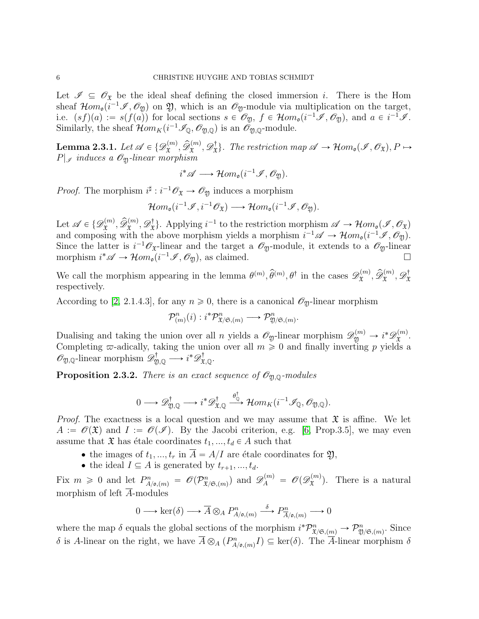Let  $\mathscr{I} \subseteq \mathscr{O}_{\mathfrak{X}}$  be the ideal sheaf defining the closed immersion i. There is the Hom sheaf  $\mathcal{H}om_{\mathfrak{o}}(i^{-1}\mathcal{I},\mathcal{O}_{\mathfrak{Y}})$  on  $\mathfrak{Y}$ , which is an  $\mathcal{O}_{\mathfrak{Y}}$ -module via multiplication on the target, i.e.  $(s f)(a) := s(f(a))$  for local sections  $s \in \mathcal{O}_{\mathfrak{Y}}$ ,  $f \in \mathcal{H}om_{\mathfrak{o}}(i^{-1}\mathcal{I}, \mathcal{O}_{\mathfrak{Y}})$ , and  $a \in i^{-1}\mathcal{I}$ . Similarly, the sheaf  $\mathcal{H}om_K(i^{-1}\mathcal{I}_{\mathbb{Q}}, \mathcal{O}_{\mathfrak{Y},\mathbb{Q}})$  is an  $\mathcal{O}_{\mathfrak{Y},\mathbb{Q}}$ -module.

<span id="page-5-0"></span> $\textbf{Lemma 2.3.1.} \, \, Let \, \mathscr{A} \in \{\mathscr{D}_{\mathfrak{X}}^{(m)}% \mathfrak{X}\}$  $\widehat{\mathfrak{X}}^{(m)}, \widehat{\mathscr{D}}^{(m)}_\mathfrak{X}, \mathscr{D}^\dagger_\mathfrak{X}$  $\{\mathcal{X}_\mathfrak{X}\}\colon$  The restriction map  $\mathscr{A} \to \mathcal{H}om_{\mathfrak{o}}(\mathscr{I}, \mathscr{O}_{\mathfrak{X}}), P \mapsto$  $P|_{\mathscr{I}}$  induces a  $\mathscr{O}_{\mathfrak{D}}$ -linear morphism

$$
i^* \mathscr{A} \longrightarrow \mathcal{H}om_{\mathfrak{o}}(i^{-1}\mathscr{I}, \mathscr{O}_{\mathfrak{Y}}).
$$

*Proof.* The morphism  $i^{\sharp}: i^{-1} \mathscr{O}_{\mathfrak{X}} \to \mathscr{O}_{\mathfrak{Y}}$  induces a morphism

$$
\mathcal{H}om_{\mathfrak{o}}(i^{-1}\mathscr{I},i^{-1}\mathscr{O}_{\mathfrak{X}}) \longrightarrow \mathcal{H}om_{\mathfrak{o}}(i^{-1}\mathscr{I},\mathscr{O}_{\mathfrak{Y}}).
$$

Let  $\mathscr{A} \in \{ \mathscr{D}_{\mathfrak{X}}^{(m)} \}$  $\widehat{\mathfrak{D}}^{(m)}_{\mathfrak{X}}, \widehat{\mathscr{D}}^{(m)}_{\mathfrak{X}}, \mathscr{D}^{\dagger}_{\mathfrak{X}}$  $\mathcal{A}^{\dagger}_{\mathfrak{X}}$ . Applying  $i^{-1}$  to the restriction morphism  $\mathscr{A} \to \mathcal{H}om_{\mathfrak{g}}(\mathscr{I}, \mathscr{O}_{\mathfrak{X}})$ and composing with the above morphism yields a morphism  $i^{-1}\mathscr{A} \to \mathcal{H}om_{\mathfrak{o}}(i^{-1}\mathscr{I}, \mathcal{O}_{\mathfrak{Y}})$ . Since the latter is  $i^{-1}\mathscr{O}_{\mathfrak{X}}$ -linear and the target a  $\mathscr{O}_{\mathfrak{Y}}$ -module, it extends to a  $\mathscr{O}_{\mathfrak{Y}}$ -linear morphism  $i^* \mathscr{A} \to \mathcal{H}om_o(i^{-1}\mathscr{I}, \mathscr{O}_\mathfrak{Y})$ , as claimed.

We call the morphism appearing in the lemma  $\theta^{(m)}$ ,  $\hat{\theta}^{(m)}$ ,  $\theta^{\dagger}$  in the cases  $\mathscr{D}_{\mathfrak{X}}^{(m)}$  $\widehat{\mathfrak{D}}^{(m)}_{\mathfrak{X}}, \widehat{\mathscr{D}}^{(m)}_{\mathfrak{X}}, \mathscr{D}^{\dagger}_{\mathfrak{X}}$ X respectively.

According to [\[2,](#page-31-2) 2.1.4.3], for any  $n \ge 0$ , there is a canonical  $\mathscr{O}_{\mathfrak{Y}}$ -linear morphism

$$
\mathcal{P}_{(m)}^n(i) : i^*\mathcal{P}_{\mathfrak{X}/\mathfrak{S},(m)}^n \longrightarrow \mathcal{P}_{\mathfrak{Y}/\mathfrak{S},(m)}^n.
$$

Dualising and taking the union over all n yields a  $\mathscr{O}_{\mathfrak{Y}}$ -linear morphism  $\mathscr{D}_{\mathfrak{Y}}^{(m)} \to i^* \mathscr{D}_{\mathfrak{X}}^{(m)}$  $\mathfrak{X}^{(m)}.$ Completing  $\varpi$ -adically, taking the union over all  $m \geq 0$  and finally inverting p yields a  $\mathscr{O}_{\mathfrak{Y},\mathbb{Q}}$ -linear morphism  $\mathscr{D}^{\dagger}_{\mathfrak{Y},\mathbb{Q}} \longrightarrow i^* \mathscr{D}^{\dagger}_{\mathfrak{X},\mathbb{Q}}$ .

<span id="page-5-1"></span>**Proposition 2.3.2.** There is an exact sequence of  $\mathscr{O}_{\mathfrak{A},\mathbb{Q}}$ -modules

$$
0 \longrightarrow \mathscr{D}^{\dagger}_{\mathfrak{Y},\mathbb{Q}} \longrightarrow i^* \mathscr{D}^{\dagger}_{\mathfrak{X},\mathbb{Q}} \stackrel{\theta_{\mathbb{Q}}^{\dagger}}{\longrightarrow} \mathcal{H}om_K(i^{-1}\mathscr{I}_{\mathbb{Q}},\mathscr{O}_{\mathfrak{Y},\mathbb{Q}}).
$$

*Proof.* The exactness is a local question and we may assume that  $\mathfrak{X}$  is affine. We let  $A := \mathscr{O}(\mathfrak{X})$  and  $I := \mathscr{O}(\mathscr{I})$ . By the Jacobi criterion, e.g. [\[6,](#page-31-8) Prop.3.5], we may even assume that  $\mathfrak X$  has étale coordinates  $t_1, ..., t_d \in A$  such that

- the images of  $t_1, ..., t_r$  in  $\overline{A} = A/I$  are étale coordinates for  $\mathfrak{Y},$
- the ideal  $I \subseteq A$  is generated by  $t_{r+1}, ..., t_d$ .

Fix  $m \geq 0$  and let  $P^n_{A/\mathfrak{o},(m)} = \mathscr{O}(\mathcal{P}^n_{\mathfrak{X}/\mathfrak{S},(m)})$  and  $\mathscr{D}^{(m)}_A = \mathscr{O}(\mathscr{D}^{(m)}_{\mathfrak{X}})$  $(\mathbf{x}^{(m)})$ . There is a natural morphism of left  $\overline{A}$ -modules

$$
0 \longrightarrow \ker(\delta) \longrightarrow \overline{A} \otimes_A P^n_{A/\mathfrak{o},(m)} \stackrel{\delta}{\longrightarrow} P^n_{\overline{A}/\mathfrak{o},(m)} \longrightarrow 0
$$

where the map  $\delta$  equals the global sections of the morphism  $i^* \mathcal{P}^n_{\mathfrak{X}/\mathfrak{S},(m)} \to \mathcal{P}^n_{\mathfrak{Y}/\mathfrak{S},(m)}$ . Since δ is A-linear on the right, we have  $\overline{A} \otimes_A (P^n_{A/\mathfrak{o}, (m)} I) \subseteq \text{ker}(δ)$ . The  $\overline{A}$ -linear morphism δ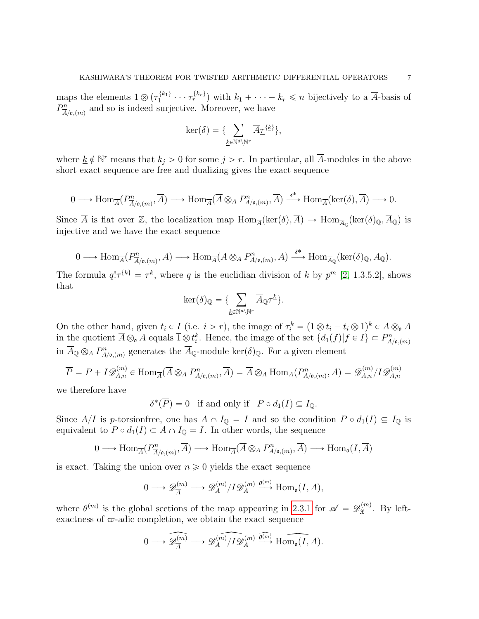maps the elements  $1 \otimes (\tau_1^{\{k_1\}})$  $\{k_1\}$   $\cdots$   $\tau_r^{\{k_r\}}$  with  $k_1 + \cdots + k_r \leq n$  bijectively to a  $\overline{A}$ -basis of  $P_{\overline{A}}^n$  $\frac{m}{A}{\rho_{\bullet}(m)}$  and so is indeed surjective. Moreover, we have

$$
\ker(\delta) = \{\sum_{\underline{k} \in \mathbb{N}^d \setminus \mathbb{N}^r} \overline{A}_{\underline{\mathcal{T}}}^{\{\underline{k}\}},
$$

where  $\underline{k} \notin \mathbb{N}^r$  means that  $k_j > 0$  for some  $j > r$ . In particular, all  $\overline{A}$ -modules in the above short exact sequence are free and dualizing gives the exact sequence

$$
0 \longrightarrow \text{Hom}_{\overline{A}}(P^n_{\overline{A}/\mathfrak{o},(m)}, \overline{A}) \longrightarrow \text{Hom}_{\overline{A}}(\overline{A} \otimes_A P^n_{A/\mathfrak{o},(m)}, \overline{A}) \stackrel{\delta^*}{\longrightarrow} \text{Hom}_{\overline{A}}(\text{ker}(\delta), \overline{A}) \longrightarrow 0.
$$

Since  $\overline{A}$  is flat over  $\mathbb{Z}$ , the localization map  $\text{Hom}_{\overline{A}}(\text{ker}(\delta), \overline{A}) \to \text{Hom}_{\overline{A}_{\mathbb{Q}}}(\text{ker}(\delta)_{\mathbb{Q}}, \overline{A}_{\mathbb{Q}})$  is injective and we have the exact sequence

$$
0 \longrightarrow \text{Hom}_{\overline{A}}(P^n_{\overline{A}/\mathfrak{o},(m)}, \overline{A}) \longrightarrow \text{Hom}_{\overline{A}}(\overline{A} \otimes_A P^n_{A/\mathfrak{o},(m)}, \overline{A}) \stackrel{\delta^*}{\longrightarrow} \text{Hom}_{\overline{A}_{\mathbb{Q}}}(\text{ker}(\delta)_{\mathbb{Q}}, \overline{A}_{\mathbb{Q}}).
$$

The formula  $q! \tau^{\{k\}} = \tau^k$ , where q is the euclidian division of k by  $p^m$  [\[2,](#page-31-2) 1.3.5.2], shows that

$$
\ker(\delta)_{\mathbb{Q}} = \{\sum_{\underline{k} \in \mathbb{N}^d \backslash \mathbb{N}^r} \overline{A}_{\mathbb{Q}} \underline{\tau}^{\underline{k}}\}.
$$

On the other hand, given  $t_i \in I$  (i.e.  $i > r$ ), the image of  $\tau_i^k = (1 \otimes t_i - t_i \otimes 1)^k \in A \otimes_{\mathfrak{o}} A$ in the quotient  $\overline{A}\otimes_{\mathfrak{o}} A$  equals  $\overline{1}\otimes t_i^k$ . Hence, the image of the set  $\{d_1(f)|f\in I\}\subset P^n_{A/\mathfrak{o},(m)}$ in  $\overline{A}_{\mathbb{Q}} \otimes_A P^n_{A/\mathfrak{o},(m)}$  generates the  $\overline{A}_{\mathbb{Q}}$ -module ker $(\delta)_{\mathbb{Q}}$ . For a given element

$$
\overline{P} = P + I \mathscr{D}_{A,n}^{(m)} \in \text{Hom}_{\overline{A}}(\overline{A} \otimes_A P_{A/\mathfrak{o},(m)}^n, \overline{A}) = \overline{A} \otimes_A \text{Hom}_A(P_{A/\mathfrak{o},(m)}^n, A) = \mathscr{D}_{A,n}^{(m)}/I \mathscr{D}_{A,n}^{(m)}
$$

we therefore have

 $\delta^*(\overline{P}) = 0$  if and only if  $P \circ d_1(I) \subseteq I_{\mathbb{Q}}$ .

Since  $A/I$  is p-torsion free, one has  $A \cap I_{\mathbb{Q}} = I$  and so the condition  $P \circ d_1(I) \subseteq I_{\mathbb{Q}}$  is equivalent to  $P \circ d_1(I) \subset A \cap I_{\mathbb{Q}} = I$ . In other words, the sequence

$$
0 \longrightarrow \text{Hom}_{\overline{A}}(P^n_{\overline{A}/\mathfrak{o},(m)}, \overline{A}) \longrightarrow \text{Hom}_{\overline{A}}(\overline{A} \otimes_A P^n_{A/\mathfrak{o},(m)}, \overline{A}) \longrightarrow \text{Hom}_{\mathfrak{o}}(I, \overline{A})
$$

is exact. Taking the union over  $n \geq 0$  yields the exact sequence

$$
0 \longrightarrow \mathscr{D}_{\overline{A}}^{(m)} \longrightarrow \mathscr{D}_{A}^{(m)}/I\mathscr{D}_{A}^{(m)} \stackrel{\theta^{(m)}}{\longrightarrow} \text{Hom}_{\mathfrak{o}}(I, \overline{A}),
$$

where  $\theta^{(m)}$  is the global sections of the map appearing in [2.3.1](#page-5-0) for  $\mathscr{A} = \mathscr{D}_{\mathfrak{X}}^{(m)}$  $\mathfrak{X}^{(m)}$ . By leftexactness of  $\varpi$ -adic completion, we obtain the exact sequence

$$
0 \longrightarrow \widehat{\mathscr{D}_A^{(m)}} \longrightarrow \widehat{\mathscr{D}_A^{(m)}/I\mathscr{D}_A^{(m)}} \stackrel{\widehat{\theta^{(m)}}}{\longrightarrow} \widehat{\text{Hom}_{\mathfrak{o}}(I,\overline{A})}.
$$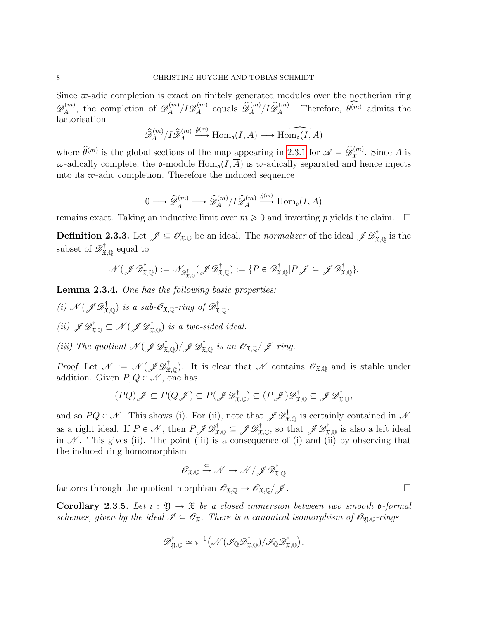Since  $\varpi$ -adic completion is exact on finitely generated modules over the noetherian ring  $\mathscr{D}_A^{(m)}$  $\mathcal{D}_A^{(m)}$ , the completion of  $\mathscr{D}_A^{(m)}$  $I_A^{(m)}/I{\mathscr D}_A^{(m)}$  $\widehat{\mathcal{A}}_A^{(m)}$  equals  $\widehat{\mathcal{D}}_A^{(m)}/I\widehat{\mathcal{D}}_A^{(m)}$ . Therefore,  $\widehat{\theta^{(m)}}$  admits the factorisation

$$
\widehat{\mathscr{D}}_A^{(m)}/I\widehat{\mathscr{D}}_A^{(m)} \xrightarrow{\hat{\theta}^{(m)}} \text{Hom}_{\mathfrak{o}}(I,\overline{A}) \longrightarrow \widehat{\text{Hom}_{\mathfrak{o}}(I,\overline{A})}
$$

where  $\widehat{\theta}^{(m)}$  is the global sections of the map appearing in [2.3.1](#page-5-0) for  $\mathscr{A} = \widehat{\mathscr{D}}_{\mathfrak{X}}^{(m)}$ . Since  $\overline{A}$  is  $\varpi$ -adically complete, the **o**-module Hom<sub>o</sub> $(I, \overline{A})$  is  $\varpi$ -adically separated and hence injects into its  $\varpi$ -adic completion. Therefore the induced sequence

$$
0 \longrightarrow \widehat{\mathscr{D}}_{\overline{A}}^{(m)} \longrightarrow \widehat{\mathscr{D}}_{A}^{(m)}/I \widehat{\mathscr{D}}_{A}^{(m)} \stackrel{\widehat{\theta}^{(m)}}{\longrightarrow} \text{Hom}_{\mathfrak{o}}(I, \overline{A})
$$

remains exact. Taking an inductive limit over  $m \geq 0$  and inverting p yields the claim.  $\square$ 

**Definition 2.3.3.** Let  $\mathscr{J} \subseteq \mathscr{O}_{\mathfrak{X},\mathbb{Q}}$  be an ideal. The *normalizer* of the ideal  $\mathscr{J} \mathscr{D}^\dagger_{\mathfrak{X},\mathbb{Q}}$  is the subset of  $\mathscr{D}^{\dagger}_{\mathfrak{X},\mathbb{Q}}$  equal to

$$
\mathcal{N}(\mathscr{J}\mathscr{D}^{\dagger}_{\mathfrak{X},\mathbb{Q}}) := \mathcal{N}_{\mathscr{D}^{\dagger}_{\mathfrak{X},\mathbb{Q}}}(\mathscr{J}\mathscr{D}^{\dagger}_{\mathfrak{X},\mathbb{Q}}) := \{P \in \mathscr{D}^{\dagger}_{\mathfrak{X},\mathbb{Q}} | P \mathscr{J} \subseteq \mathscr{J}\mathscr{D}^{\dagger}_{\mathfrak{X},\mathbb{Q}} \}.
$$

<span id="page-7-0"></span>Lemma 2.3.4. One has the following basic properties:

- (i)  $\mathcal{N}(\mathscr{J} \mathscr{D}^{\dagger}_{\mathfrak{X},\mathbb{Q}})$  is a sub- $\mathscr{O}_{\mathfrak{X},\mathbb{Q}}$ -ring of  $\mathscr{D}^{\dagger}_{\mathfrak{X},\mathbb{Q}}$ . (ii)  $\mathscr{J}\mathscr{D}^{\dagger}_{\mathfrak{X},\mathbb{Q}} \subseteq \mathscr{N}(\mathscr{J}\mathscr{D}^{\dagger}_{\mathfrak{X},\mathbb{Q}})$  is a two-sided ideal.
- (iii) The quotient  $\mathcal{N}(\mathscr{J}\mathscr{D}^{\dagger}_{\mathfrak{X},\mathbb{Q}})/\mathscr{J}\mathscr{D}^{\dagger}_{\mathfrak{X},\mathbb{Q}}$  is an  $\mathscr{O}_{\mathfrak{X},\mathbb{Q}}/\mathscr{J}$ -ring.

*Proof.* Let  $\mathcal{N} := \mathcal{N}(\mathcal{J} \mathcal{D}^{\dagger}_{\mathfrak{X},\mathbb{Q}})$ . It is clear that  $\mathcal{N}$  contains  $\mathcal{O}_{\mathfrak{X},\mathbb{Q}}$  and is stable under addition. Given  $P, Q \in \mathcal{N}$ , one has

$$
(PQ)\mathscr{J} \subseteq P(Q\mathscr{J}) \subseteq P(\mathscr{J}\mathscr{D}_{\mathfrak{X},\mathbb{Q}}^{\dagger}) \subseteq (P\mathscr{J})\mathscr{D}_{\mathfrak{X},\mathbb{Q}}^{\dagger} \subseteq \mathscr{J}\mathscr{D}_{\mathfrak{X},\mathbb{Q}}^{\dagger},
$$

and so  $PQ \in \mathcal{N}$ . This shows (i). For (ii), note that  $\mathscr{J}\mathscr{D}^{\dagger}_{\mathfrak{X},\mathbb{Q}}$  is certainly contained in  $\mathcal{N}$ as a right ideal. If  $P \in \mathcal{N}$ , then  $P \mathscr{J} \mathscr{D}^{\dagger}_{\mathfrak{X}, \mathbb{Q}} \subseteq \mathscr{J} \mathscr{D}^{\dagger}_{\mathfrak{X}, \mathbb{Q}}$ , so that  $\mathscr{J} \mathscr{D}^{\dagger}_{\mathfrak{X}, \mathbb{Q}}$  is also a left ideal in  $\mathcal N$ . This gives (ii). The point (iii) is a consequence of (i) and (ii) by observing that the induced ring homomorphism

$$
\mathscr{O}_{\mathfrak{X},\mathbb{Q}} \xrightarrow{\subseteq} \mathscr{N} \to \mathscr{N}/\mathscr{J} \mathscr{D}_{\mathfrak{X},\mathbb{Q}}^\dagger
$$

factores through the quotient morphism  $\mathscr{O}_{\mathfrak{X},\mathbb{Q}} \to \mathscr{O}_{\mathfrak{X},\mathbb{Q}}/\mathscr{J}$ .

<span id="page-7-1"></span>**Corollary 2.3.5.** Let  $i : \mathfrak{Y} \to \mathfrak{X}$  be a closed immersion between two smooth **o**-formal schemes, given by the ideal  $\mathscr{I} \subseteq \mathscr{O}_{\mathfrak{X}}$ . There is a canonical isomorphism of  $\mathscr{O}_{\mathfrak{Y},\mathbb{Q}}$ -rings

$$
\mathscr{D}^{\dagger}_{\mathfrak{Y},\mathbb{Q}} \simeq i^{-1} \big( \mathscr{N}(\mathscr{I}_{\mathbb{Q}} \mathscr{D}^{\dagger}_{\mathfrak{X},\mathbb{Q}})/\mathscr{I}_{\mathbb{Q}} \mathscr{D}^{\dagger}_{\mathfrak{X},\mathbb{Q}} \big).
$$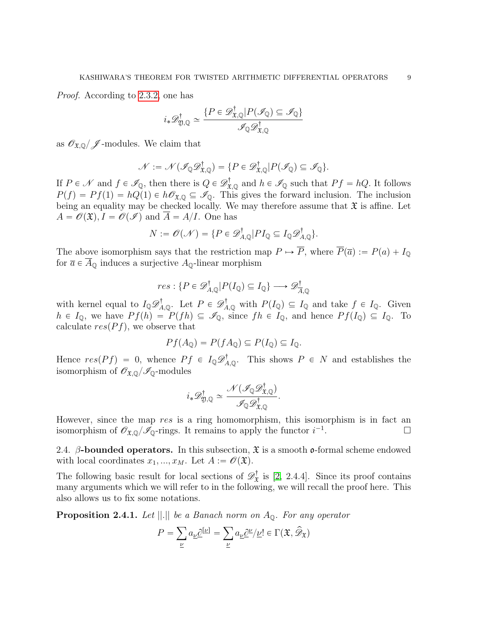Proof. According to [2.3.2,](#page-5-1) one has

$$
i_*\mathscr{D}^{\dagger}_{\mathfrak{Y},\mathbb{Q}} \simeq \frac{\{P \in \mathscr{D}^{\dagger}_{\mathfrak{X},\mathbb{Q}} | P(\mathscr{I}_{\mathbb{Q}}) \subseteq \mathscr{I}_{\mathbb{Q}}\}}{\mathscr{I}_{\mathbb{Q}} \mathscr{D}^{\dagger}_{\mathfrak{X},\mathbb{Q}}}
$$

as  $\mathscr{O}_{\mathfrak{X},\mathbb{Q}}/\mathscr{J}$ -modules. We claim that

$$
\mathcal{N} := \mathcal{N}(\mathscr{I}_{\mathbb{Q}} \mathscr{D}^{\dagger}_{\mathfrak{X},\mathbb{Q}}) = \{ P \in \mathscr{D}^{\dagger}_{\mathfrak{X},\mathbb{Q}} | P(\mathscr{I}_{\mathbb{Q}}) \subseteq \mathscr{I}_{\mathbb{Q}} \}.
$$

If  $P \in \mathcal{N}$  and  $f \in \mathcal{I}_{\mathbb{Q}}$ , then there is  $Q \in \mathcal{D}_{\mathfrak{X},\mathbb{Q}}^{\dagger}$  and  $h \in \mathcal{I}_{\mathbb{Q}}$  such that  $Pf = hQ$ . It follows  $P(f) = Pf(1) = hQ(1) \in h\mathscr{O}_{\mathfrak{X},\mathbb{Q}} \subseteq \mathscr{I}_{\mathbb{Q}}$ . This gives the forward inclusion. The inclusion being an equality may be checked locally. We may therefore assume that  $\mathfrak X$  is affine. Let  $A = \mathcal{O}(\mathfrak{X}), I = \mathcal{O}(\mathcal{I})$  and  $\overline{A} = A/I$ . One has

$$
N := \mathscr{O}(\mathscr{N}) = \{ P \in \mathscr{D}_{A,\mathbb{Q}}^{\dagger} | P I_{\mathbb{Q}} \subseteq I_{\mathbb{Q}} \mathscr{D}_{A,\mathbb{Q}}^{\dagger} \}.
$$

The above isomorphism says that the restriction map  $P \mapsto \overline{P}$ , where  $\overline{P}(\overline{a}) := P(a) + I_0$ for  $\overline{a} \in \overline{A}_0$  induces a surjective  $A_0$ -linear morphism

$$
res: \{ P \in \mathscr{D}_{A,\mathbb{Q}}^{\dagger} | P(I_{\mathbb{Q}}) \subseteq I_{\mathbb{Q}} \} \longrightarrow \mathscr{D}_{\overline{A},\mathbb{Q}}^{\dagger}
$$

with kernel equal to  $I_{\mathbb{Q}} \mathcal{D}_{A,\mathbb{Q}}^{\dagger}$ . Let  $P \in \mathcal{D}_{A,\mathbb{Q}}^{\dagger}$  with  $P(I_{\mathbb{Q}}) \subseteq I_{\mathbb{Q}}$  and take  $f \in I_{\mathbb{Q}}$ . Given  $h \in I_{\mathbb{Q}}$ , we have  $P f(h) = P(fh) \subseteq \mathscr{I}_{\mathbb{Q}}$ , since  $f h \in I_{\mathbb{Q}}$ , and hence  $P f(I_{\mathbb{Q}}) \subseteq I_{\mathbb{Q}}$ . To calculate  $res(Pf)$ , we observe that

$$
Pf(A_{\mathbb{Q}}) = P(fA_{\mathbb{Q}}) \subseteq P(I_{\mathbb{Q}}) \subseteq I_{\mathbb{Q}}.
$$

Hence  $res(Pf) = 0$ , whence  $Pf \in I_{\mathbb{Q}}\mathscr{D}_{A,\mathbb{Q}}^{\dagger}$ . This shows  $P \in N$  and establishes the isomorphism of  $\mathscr{O}_{\mathfrak{X},\mathbb{Q}}/\mathscr{I}_{\mathbb{Q}}$ -modules

$$
i_*\mathscr D_{\mathfrak Y,\mathbb Q}^\dagger\simeq\frac{\mathscr N(\mathscr I_{\mathbb Q}\mathscr D_{\mathfrak X,\mathbb Q}^\dagger)}{\mathscr I_{\mathbb Q}\mathscr D_{\mathfrak X,\mathbb Q}^\dagger}.
$$

However, since the map res is a ring homomorphism, this isomorphism is in fact an isomorphism of  $\mathscr{O}_{\mathfrak{X},\mathbb{Q}}/\mathscr{I}_{\mathbb{Q}}$ -rings. It remains to apply the functor  $i^{-1}$ .

<span id="page-8-0"></span>2.4. β-bounded operators. In this subsection,  $\mathfrak X$  is a smooth  $\mathfrak o$ -formal scheme endowed with local coordinates  $x_1, ..., x_M$ . Let  $A := \mathscr{O}(\mathfrak{X})$ .

The following basic result for local sections of  $\mathscr{D}^{\dagger}_{\mathfrak{X}}$  $\mathfrak{X}^{\dagger}$  is [\[2,](#page-31-2) 2.4.4]. Since its proof contains many arguments which we will refer to in the following, we will recall the proof here. This also allows us to fix some notations.

<span id="page-8-1"></span>**Proposition 2.4.1.** Let  $||.||$  be a Banach norm on  $A_{\mathbb{Q}}$ . For any operator

$$
P = \sum_{\underline{\nu}} a_{\underline{\nu}} \underline{\partial}^{[\underline{\nu}]} = \sum_{\underline{\nu}} a_{\underline{\nu}} \underline{\partial}^{\underline{\nu}} / \underline{\nu}! \in \Gamma(\mathfrak{X}, \widehat{\mathscr{D}}_{\mathfrak{X}})
$$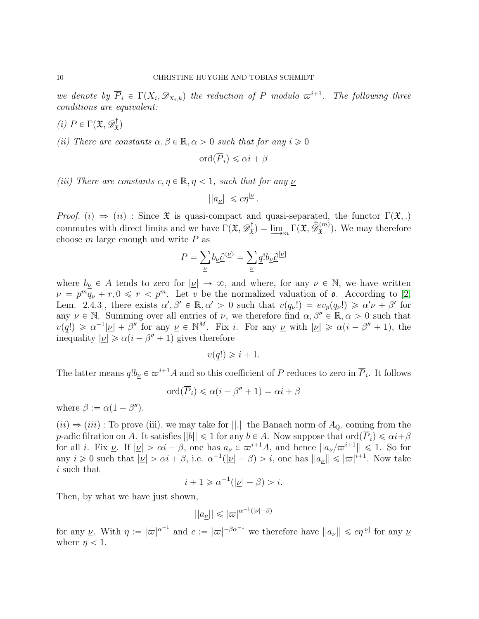we denote by  $\overline{P}_i \in \Gamma(X_i, \mathscr{D}_{X_i,k})$  the reduction of P modulo  $\varpi^{i+1}$ . The following three conditions are equivalent:

$$
(i) \, P \in \Gamma(\mathfrak{X}, \mathscr{D}_{\mathfrak{X}}^{\dagger})
$$

(ii) There are constants  $\alpha, \beta \in \mathbb{R}, \alpha > 0$  such that for any  $i \geq 0$ 

$$
\operatorname{ord}(\overline{P}_i) \leq \alpha i + \beta
$$

(iii) There are constants  $c, \eta \in \mathbb{R}, \eta < 1$ , such that for any  $\nu$ 

$$
||a_{\underline{\nu}}|| \leqslant c\eta^{|\underline{\nu}|}.
$$

Proof. (i)  $\Rightarrow$  (ii) : Since  $\mathfrak X$  is quasi-compact and quasi-separated, the functor  $\Gamma(\mathfrak X,.)$ commutes with direct limits and we have  $\Gamma(\mathfrak{X}, \mathscr{D}^{\dagger}_{\mathfrak{X}})$  $\hat{X}^{\dagger}_{\mathbf{x}}$  =  $\underline{\lim}_{m} \Gamma(\mathfrak{X}, \widehat{\mathcal{D}}_{\mathfrak{X}}^{(m)})$ . We may therefore choose  $m$  large enough and write  $P$  as  $\ddot{\ }$ 

$$
P = \sum_{\underline{\nu}} b_{\underline{\nu}} \underline{\partial}^{\langle \underline{\nu} \rangle} = \sum_{\underline{\nu}} \underline{q}! b_{\underline{\nu}} \underline{\partial}^{[\underline{\nu}]}
$$

where  $b_{\underline{\nu}} \in A$  tends to zero for  $|\underline{\nu}| \to \infty$ , and where, for any  $\nu \in \mathbb{N}$ , we have written  $\nu = p^m q_\nu + r, 0 \leq r < p^m$ . Let v be the normalized valuation of **o**. According to [\[2,](#page-31-2) Lem. 2.4.3, there exists  $\alpha', \beta' \in \mathbb{R}, \alpha' > 0$  such that  $v(q_{\nu}!) = ev_p(q_{\nu}!) \geq \alpha' \nu + \beta'$  for any  $\nu \in \mathbb{N}$ . Summing over all entries of  $\underline{\nu}$ , we therefore find  $\alpha, \beta'' \in \mathbb{R}, \alpha > 0$  such that  $v(q!) \geq \alpha^{-1} |\underline{\nu}| + \beta''$  for any  $\underline{\nu} \in \mathbb{N}^M$ . Fix *i*. For any  $\underline{\nu}$  with  $|\underline{\nu}| \geq \alpha(i - \beta'' + 1)$ , the inequality  $|\underline{\nu}| \ge \alpha(i - \beta'' + 1)$  gives therefore

$$
v(q!) \geqslant i+1.
$$

The latter means  $q!b_{\underline{\nu}} \in \varpi^{i+1}A$  and so this coefficient of P reduces to zero in  $\overline{P}_i$ . It follows

$$
\mathrm{ord}(\overline{P}_i) \leq \alpha(i - \beta'' + 1) = \alpha i + \beta
$$

where  $\beta := \alpha(1 - \beta'')$ .

 $(iii) \Rightarrow (iii)$ : To prove (iii), we may take for ||.|| the Banach norm of  $A_0$ , coming from the p-adic filration on A. It satisfies  $||b|| \leq 1$  for any  $b \in A$ . Now suppose that  $\text{ord}(\overline{P}_i) \leq \alpha i + \beta$ for all *i*. Fix  $\underline{\nu}$ . If  $|\underline{\nu}| > \alpha i + \beta$ , one has  $a_{\underline{\nu}} \in \overline{\omega}^{i+1}A$ , and hence  $||a_{\underline{\nu}}/\overline{\omega}^{i+1}|| \leq 1$ . So for any  $i \geq 0$  such that  $|\underline{\nu}| > \alpha i + \beta$ , i.e.  $\alpha^{-1}(|\underline{\nu}| - \beta) > i$ , one has  $||a_{\underline{\nu}}|| \leq |\overline{\omega}|^{i+1}$ . Now take i such that

$$
i + 1 \geq \alpha^{-1}(|\underline{\nu}| - \beta) > i.
$$

Then, by what we have just shown,

$$
||a_{\underline{\nu}}|| \leqslant |\varpi|^{\alpha^{-1}(|\underline{\nu}|-\beta)}
$$

for any <u>*v*</u>. With  $\eta := |\varpi|^{\alpha^{-1}}$  and  $c := |\varpi|^{-\beta \alpha^{-1}}$  we therefore have  $||a_{\nu}|| \leqslant c\eta^{|\nu|}$  for any *y* where  $\eta$  < 1.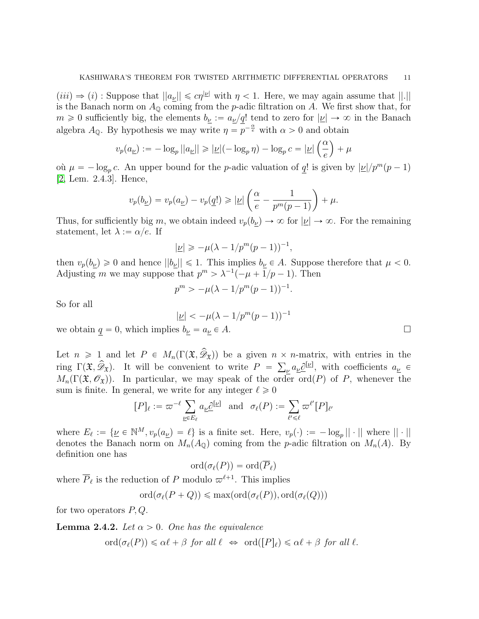$(iii) \Rightarrow (i)$ : Suppose that  $||a_{\nu}|| \leq c\eta^{|\nu|}$  with  $\eta < 1$ . Here, we may again assume that  $||.||$ is the Banach norm on  $A_0$  coming from the p-adic filtration on A. We first show that, for  $m \geq 0$  sufficiently big, the elements  $b_{\nu} := a_{\nu}/q!$  tend to zero for  $|\nu| \to \infty$  in the Banach algebra  $A_{\mathbb{Q}}$ . By hypothesis we may write  $\eta = \overline{p}^{-\frac{\alpha}{e}}$  with  $\alpha > 0$  and obtain

$$
v_p(a_{\underline{\nu}}) := -\log_p ||a_{\underline{\nu}}|| \geqslant |\underline{\nu}| (- \log_p \eta) - \log_p c = |\underline{\nu}| \left(\frac{\alpha}{e}\right) + \mu
$$

où  $\mu = -\log_p c$ . An upper bound for the *p*-adic valuation of <u>q</u>! is given by  $|\underline{\nu}|/p^m(p-1)$ [\[2,](#page-31-2) Lem. 2.4.3]. Hence, ˆ ˙

$$
v_p(b_{\underline{\nu}}) = v_p(a_{\underline{\nu}}) - v_p(\underline{q}!) \geqslant |\underline{\nu}| \left( \frac{\alpha}{e} - \frac{1}{p^m(p-1)} \right) + \mu.
$$

Thus, for sufficiently big m, we obtain indeed  $v_p(b_\nu) \to \infty$  for  $|\nu| \to \infty$ . For the remaining statement, let  $\lambda := \alpha/e$ . If

$$
|\underline{\nu}| \geqslant -\mu(\lambda - 1/p^m(p-1))^{-1},
$$

then  $v_p(b_\nu) \geq 0$  and hence  $||b_\nu|| \leq 1$ . This implies  $b_\nu \in A$ . Suppose therefore that  $\mu < 0$ . Adjusting m we may suppose that  $p^m > \lambda^{-1}(-\mu + 1/p - 1)$ . Then

$$
p^{m} > -\mu(\lambda - 1/p^{m}(p-1))^{-1}.
$$

So for all

$$
|\underline{\nu}| < -\mu(\lambda - 1/p^m(p-1))^{-1}
$$

we obtain  $q = 0$ , which implies  $b_{\underline{\nu}} = a_{\underline{\nu}} \in A$ .

Let  $n \geq 1$  and let  $P \in M_n(\Gamma(\mathfrak{X}, \widehat{\mathscr{D}}_{\mathfrak{X}}))$  be a given  $n \times n$ -matrix, with entries in the ring  $\Gamma(\mathfrak{X}, \widehat{\mathscr{D}}_{\mathfrak{X}})$ . It will be convenient to write  $P = \sum_{\nu} a_{\nu} \partial^{[\nu]}$ , with coefficients  $a_{\nu} \in$  $M_n(\Gamma(\mathfrak{X}, \mathscr{O}_{\mathfrak{X}}))$ . In particular, we may speak of the order ord $(P)$  of P, whenever the sum is finite. In general, we write for any integer  $\ell \ge 0$ <br> $[P]_c := \pi^{-\ell} \sum_{\alpha} \partial_{\alpha}^{[\underline{\nu}]}$  and  $\sigma_c(P)$ 

$$
[P]_{\ell} := \varpi^{-\ell} \sum_{\underline{\nu} \in E_{\ell}} a_{\underline{\nu}} \underline{\partial}^{[\underline{\nu}]} \quad \text{and} \quad \sigma_{\ell}(P) := \sum_{\ell' \leq \ell} \varpi^{\ell'} [P]_{\ell'}
$$

where  $E_{\ell} := \{ \underline{\nu} \in \mathbb{N}^M, v_p(a_{\underline{\nu}}) = \ell \}$  is a finite set. Here,  $v_p(\cdot) := -\log_p || \cdot ||$  where  $|| \cdot ||$ denotes the Banach norm on  $M_n(A_0)$  coming from the p-adic filtration on  $M_n(A)$ . By definition one has

$$
\mathrm{ord}(\sigma_\ell(P))=\mathrm{ord}(\overline{P}_\ell)
$$

where  $\overline{P}_{\ell}$  is the reduction of P modulo  $\varpi^{\ell+1}$ . This implies

 $\text{ord}(\sigma_{\ell}(P + Q)) \leq \max(\text{ord}(\sigma_{\ell}(P)), \text{ord}(\sigma_{\ell}(Q)))$ 

for two operators  $P, Q$ .

<span id="page-10-0"></span>**Lemma 2.4.2.** Let  $\alpha > 0$ . One has the equivalence

 $\text{ord}(\sigma_{\ell}(P)) \leq \alpha \ell + \beta$  for all  $\ell \Leftrightarrow \text{ord}(\lceil P \rceil_{\ell}) \leq \alpha \ell + \beta$  for all  $\ell$ .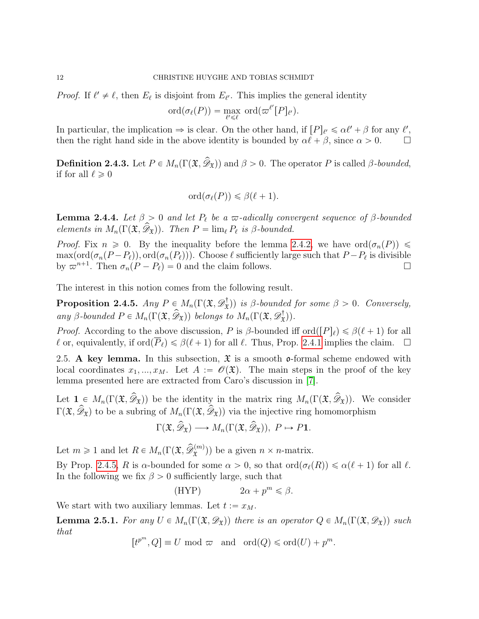*Proof.* If  $\ell' \neq \ell$ , then  $E_{\ell}$  is disjoint from  $E_{\ell'}$ . This implies the general identity

$$
\mathrm{ord}(\sigma_{\ell}(P))=\max_{\ell'\leq \ell}\;\mathrm{ord}(\varpi^{\ell'}[P]_{\ell'}).
$$

In particular, the implication  $\Rightarrow$  is clear. On the other hand, if  $[P]_{\ell'} \leq \alpha \ell' + \beta$  for any  $\ell'$ , then the right hand side in the above identity is bounded by  $\alpha \ell + \beta$ , since  $\alpha > 0$ .  $\Box$ 

**Definition 2.4.3.** Let  $P \in M_n(\Gamma(\mathfrak{X}, \widehat{\mathscr{D}}_{\mathfrak{X}}))$  and  $\beta > 0$ . The operator P is called  $\beta$ -bounded, if for all  $\ell \geq 0$ 

$$
\mathrm{ord}(\sigma_{\ell}(P))\leqslant\beta(\ell+1).
$$

**Lemma 2.4.4.** Let  $\beta > 0$  and let  $P_\ell$  be a  $\varpi$ -adically convergent sequence of  $\beta$ -bounded elements in  $M_n(\Gamma(\mathfrak{X}, \mathcal{D}_\mathfrak{X}))$ . Then  $P = \lim_{\ell} P_\ell$  is β-bounded.

*Proof.* Fix  $n \geq 0$ . By the inequality before the lemma [2.4.2,](#page-10-0) we have ord $(\sigma_n(P)) \leq$  $\max(\text{ord}(\sigma_n(P - P_\ell)), \text{ord}(\sigma_n(P_\ell)))$ . Choose  $\ell$  sufficiently large such that  $P - P_\ell$  is divisible by  $\varpi^{n+1}$ . Then  $\sigma_n(P - P_\ell) = 0$  and the claim follows.

The interest in this notion comes from the following result.

<span id="page-11-1"></span>Proposition 2.4.5.  $Any P \in M_n(\Gamma(\mathfrak{X}, \mathscr{D}^{\dagger}_{\mathfrak{X}}))$  $(\mathbf{x}^{\dagger})$  is β-bounded for some  $\beta > 0$ . Conversely, any β-bounded  $P \in M_n(\Gamma(\mathfrak{X}, \widehat{\mathscr{D}}_{\mathfrak{X}}))$  belongs to  $M_n(\Gamma(\mathfrak{X}, \mathscr{D}^{\dagger}_{\mathfrak{X}}))$  $(\mathbf{x}^{\dagger})$ .

*Proof.* According to the above discussion, P is  $\beta$ -bounded iff ord $([P]_\ell) \leq \beta(\ell+1)$  for all  $\ell$  or, equivalently, if ord $(\overline{P}_\ell) \leq \beta(\ell + 1)$  for all  $\ell$ . Thus, Prop. [2.4.1](#page-8-1) implies the claim.  $\Box$ 

<span id="page-11-0"></span>2.5. A key lemma. In this subsection,  $\mathfrak X$  is a smooth  $\mathfrak o$ -formal scheme endowed with local coordinates  $x_1, ..., x_M$ . Let  $A := \mathscr{O}(\mathfrak{X})$ . The main steps in the proof of the key lemma presented here are extracted from Caro's discussion in [\[7\]](#page-31-4).

Let  $1 \in M_n(\Gamma(\mathfrak{X}, \widehat{\mathscr{D}}_{\mathfrak{X}}))$  be the identity in the matrix ring  $M_n(\Gamma(\mathfrak{X}, \widehat{\mathscr{D}}_{\mathfrak{X}}))$ . We consider  $\Gamma(\mathfrak{X}, \widehat{\mathscr{D}}_{\mathfrak{X}})$  to be a subring of  $M_n(\Gamma(\mathfrak{X}, \widehat{\mathscr{D}}_{\mathfrak{X}}))$  via the injective ring homomorphism

$$
\Gamma(\mathfrak{X},\widehat{\mathscr{D}}_{\mathfrak{X}})\longrightarrow M_n(\Gamma(\mathfrak{X},\widehat{\mathscr{D}}_{\mathfrak{X}})),\ P\mapsto P\mathbf{1}.
$$

Let  $m \geq 1$  and let  $R \in M_n(\Gamma(\mathfrak{X}, \widehat{\mathcal{D}}_{\mathfrak{X}}^{(m)}))$  be a given  $n \times n$ -matrix.

By Prop. [2.4.5,](#page-11-1) R is  $\alpha$ -bounded for some  $\alpha > 0$ , so that  $\text{ord}(\sigma_{\ell}(R)) \leq \alpha(\ell + 1)$  for all  $\ell$ . In the following we fix  $\beta > 0$  sufficiently large, such that

(HYP)  $2\alpha + p^m \leq \beta$ .

We start with two auxiliary lemmas. Let  $t := x_M$ .

<span id="page-11-2"></span>**Lemma 2.5.1.** For any  $U \in M_n(\Gamma(\mathfrak{X}, \mathscr{D}_{\mathfrak{X}}))$  there is an operator  $Q \in M_n(\Gamma(\mathfrak{X}, \mathscr{D}_{\mathfrak{X}}))$  such that

$$
[t^{p^m}, Q] \equiv U \text{ mod } \varpi \text{ and } \text{ ord}(Q) \leq \text{ord}(U) + p^m.
$$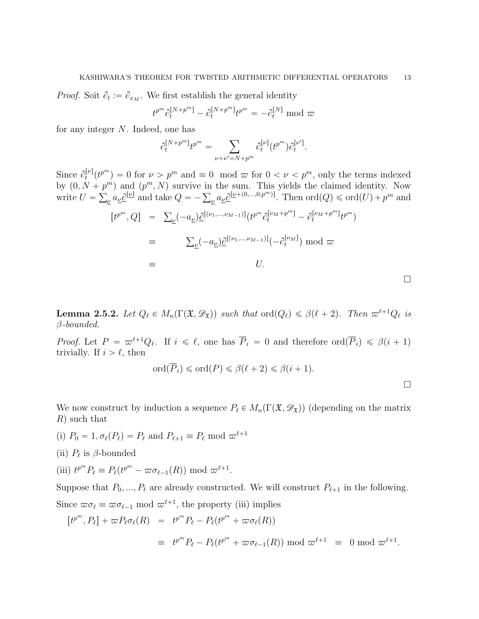*Proof.* Soit  $\partial_t := \partial_{x_M}$ . We first establish the general identity

$$
t^{p^m} \partial_t^{[N+p^m]} - \partial_t^{[N+p^m]} t^{p^m} = -\partial_t^{[N]} \text{ mod } \varpi
$$

for any integer N. Indeed, one has

$$
\partial_t^{[N+p^m]} t^{p^m} = \sum_{\nu+\nu'=N+p^m} \partial_t^{[\nu]}(t^{p^m}) \partial_t^{[\nu']}.
$$

Since  $\partial_t^{[\nu]}$  $t[t^p](t^{p^m}) = 0$  for  $\nu > p^m$  and  $\equiv 0 \mod \varpi$  for  $0 < \nu < p^m$ , only the terms indexed by  $(0, N + p<sup>m</sup>)$  and  $(p<sup>m</sup>, N)$  survive in the sum. This yields the claimed identity. Now write  $U =$ ř (p<sup>m</sup>, N) survive in the sum. This yields the claimed identity. Now  $\mu$  a<sub> $\nu$ </sub>  $a_{\nu}$   $\partial_{\nu}^{[\nu]}$  and take  $Q = -\sum_{\nu} a_{\nu} \partial_{\nu}^{[\nu + (0,...,0,p^m)]}$ . Then  $\text{ord}(Q) \leq \text{ord}(U) + p^m$  and rt p<sup>m</sup> , Qs " <sup>ř</sup> ν p´aνqBrpν1,...,νM´1qspt p<sup>m</sup> B rνM`pms <sup>t</sup> ´ B<sup>r</sup>νM`pm<sup>s</sup> t t p<sup>m</sup> q

$$
t^{p^-}, Q] = \sum_{\underline{\nu}} (-a_{\underline{\nu}}) \underline{\mathcal{C}}^{[(\nu_1, \dots, \nu_{M-1})]}(t^{p^-} \partial_t^{\nu_{M+1}})^{-1} - \partial_t^{\nu_{M+1}} \underline{\mathcal{C}}^{[p^-]})
$$
  
\n
$$
\equiv \sum_{\underline{\nu}} (-a_{\underline{\nu}}) \underline{\mathcal{C}}^{[(\nu_1, \dots, \nu_{M-1})]}(-\partial_t^{[\nu_M]}) \mod \varpi
$$
  
\n
$$
\equiv U.
$$

<span id="page-12-0"></span>**Lemma 2.5.2.** Let  $Q_\ell \in M_n(\Gamma(\mathfrak{X}, \mathscr{D}_{\mathfrak{X}}))$  such that  $\text{ord}(Q_\ell) \leq \beta(\ell + 2)$ . Then  $\varpi^{\ell+1}Q_\ell$  is  $\beta$ -bounded.

*Proof.* Let  $P = \varpi^{\ell+1}Q_{\ell}$ . If  $i \leq \ell$ , one has  $\overline{P}_i = 0$  and therefore  $\text{ord}(\overline{P}_i) \leq \beta(i+1)$ trivially. If  $i > \ell$ , then

$$
\operatorname{ord}(\overline{P}_i) \leq \operatorname{ord}(P) \leq \beta(\ell+2) \leq \beta(i+1).
$$

 $\Box$ 

We now construct by induction a sequence  $P_\ell \in M_n(\Gamma(\mathfrak{X}, \mathscr{D}_{\mathfrak{X}}))$  (depending on the matrix R) such that

- (i)  $P_0 = 1, \sigma_\ell(P_\ell) = P_\ell$  and  $P_{\ell+1} \equiv P_\ell \text{ mod } \varpi^{\ell+1}$
- (ii)  $P_{\ell}$  is  $\beta$ -bounded
- (iii)  $t^{p^m} P_\ell \equiv P_\ell(t^{p^m} \varpi \sigma_{\ell-1}(R)) \text{ mod } \varpi^{\ell+1}.$

Suppose that  $P_0, ..., P_\ell$  are already constructed. We will construct  $P_{\ell+1}$  in the following. Since  $\varpi \sigma_\ell \equiv \varpi \sigma_{\ell-1} \mod \varpi^{\ell+1}$ , the property (iii) implies

$$
[t^{p^m}, P_\ell] + \varpi P_\ell \sigma_\ell(R) = t^{p^m} P_\ell - P_\ell(t^{p^m} + \varpi \sigma_\ell(R))
$$
  

$$
\equiv t^{p^m} P_\ell - P_\ell(t^{p^m} + \varpi \sigma_{\ell-1}(R)) \bmod \varpi^{\ell+1} \equiv 0 \bmod \varpi^{\ell+1}.
$$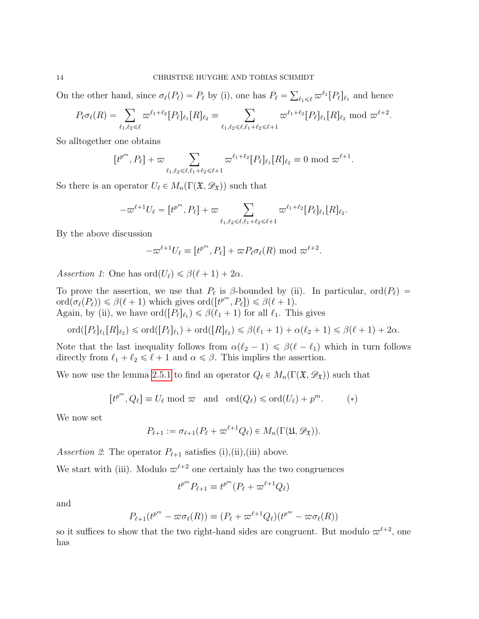On the other hand, since  $\sigma_{\ell}(P_{\ell}) = P_{\ell}$  by (i), one has  $P_{\ell} =$  $_{\ell_1\leqslant\ell}\,\varpi^{\ell_1}[P_\ell]_{\ell_1}$  and hence

$$
P_{\ell}\sigma_{\ell}(R) = \sum_{\ell_1,\ell_2 \leq \ell} \varpi^{\ell_1+\ell_2} [P_{\ell}]_{\ell_1}[R]_{\ell_2} \equiv \sum_{\ell_1,\ell_2 \leq \ell,\ell_1+\ell_2 \leq \ell+1} \varpi^{\ell_1+\ell_2} [P_{\ell}]_{\ell_1}[R]_{\ell_2} \bmod \varpi^{\ell+2}.
$$

So alltogether one obtains

$$
[t^{p^m}, P_{\ell}] + \varpi \sum_{\ell_1, \ell_2 \leq \ell, \ell_1 + \ell_2 \leq \ell + 1} \varpi^{\ell_1 + \ell_2} [P_{\ell}]_{\ell_1} [R]_{\ell_2} \equiv 0 \mod \varpi^{\ell+1}.
$$

So there is an operator  $U_\ell \in M_n(\Gamma(\mathfrak{X}, \mathscr{D}_{\mathfrak{X}}))$  such that

$$
-\varpi^{\ell+1}U_{\ell} = [t^{p^m}, P_{\ell}] + \varpi \sum_{\ell_1, \ell_2 \leq \ell, \ell_1 + \ell_2 \leq \ell+1} \varpi^{\ell_1 + \ell_2} [P_{\ell}]_{\ell_1} [R]_{\ell_2}.
$$

By the above discussion

$$
-\varpi^{\ell+1}U_{\ell} \equiv [t^{p^m}, P_{\ell}] + \varpi P_{\ell} \sigma_{\ell}(R) \text{ mod } \varpi^{\ell+2}.
$$

Assertion 1: One has  $\text{ord}(U_{\ell}) \leq \beta(\ell + 1) + 2\alpha$ .

To prove the assertion, we use that  $P_\ell$  is  $\beta$ -bounded by (ii). In particular,  $\text{ord}(P_\ell)$  =  $\text{ord}(\sigma_{\ell}(P_{\ell})) \leq \beta(\ell+1)$  which gives  $\text{ord}([t^{p^m}, P_{\ell}]) \leq \beta(\ell+1)$ . Again, by (ii), we have  $\text{ord}([P_{\ell}]_{\ell_1}) \leq \beta(\ell_1 + 1)$  for all  $\ell_1$ . This gives

$$
\text{ord}([P_{\ell}]_{\ell_1}[R]_{\ell_2}) \leq \text{ord}([P_{\ell}]_{\ell_1}) + \text{ord}([R]_{\ell_2}) \leq \beta(\ell_1 + 1) + \alpha(\ell_2 + 1) \leq \beta(\ell + 1) + 2\alpha.
$$

Note that the last inequality follows from  $\alpha(\ell_2 - 1) \leq \beta(\ell - \ell_1)$  which in turn follows directly from  $\ell_1 + \ell_2 \leq \ell + 1$  and  $\alpha \leq \beta$ . This implies the assertion.

We now use the lemma [2.5.1](#page-11-2) to find an operator  $Q_\ell \in M_n(\Gamma(\mathfrak{X}, \mathscr{D}_{\mathfrak{X}}))$  such that

$$
[t^{p^m}, Q_\ell] \equiv U_\ell \text{ mod } \varpi \text{ and } \text{ ord}(Q_\ell) \leq \text{ord}(U_\ell) + p^m. \tag{*}
$$

We now set

$$
P_{\ell+1} := \sigma_{\ell+1}(P_{\ell} + \varpi^{\ell+1} Q_{\ell}) \in M_n(\Gamma(\mathfrak{U}, \mathscr{D}_{\mathfrak{X}})).
$$

Assertion 2: The operator  $P_{\ell+1}$  satisfies (i),(ii),(iii) above.

We start with (iii). Modulo  $\varpi^{\ell+2}$  one certainly has the two congruences

$$
t^{p^m} P_{\ell+1} \equiv t^{p^m} (P_\ell + \varpi^{\ell+1} Q_\ell)
$$

and

$$
P_{\ell+1}(t^{p^m} - \varpi \sigma_{\ell}(R)) \equiv (P_{\ell} + \varpi^{\ell+1} Q_{\ell})(t^{p^m} - \varpi \sigma_{\ell}(R))
$$

so it suffices to show that the two right-hand sides are congruent. But modulo  $\varpi^{\ell+2}$ , one has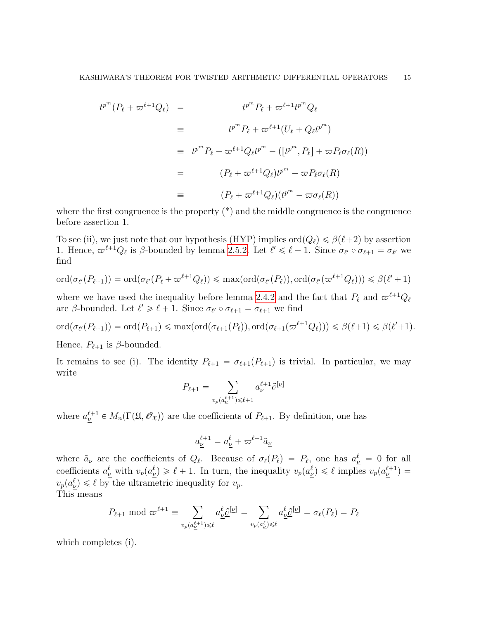$$
t^{p^m}(P_{\ell} + \varpi^{\ell+1}Q_{\ell}) = t^{p^m}P_{\ell} + \varpi^{\ell+1}t^{p^m}Q_{\ell}
$$
  
\n
$$
\equiv t^{p^m}P_{\ell} + \varpi^{\ell+1}(U_{\ell} + Q_{\ell}t^{p^m})
$$
  
\n
$$
\equiv t^{p^m}P_{\ell} + \varpi^{\ell+1}Q_{\ell}t^{p^m} - ([t^{p^m}, P_{\ell}] + \varpi P_{\ell}\sigma_{\ell}(R))
$$
  
\n
$$
= (P_{\ell} + \varpi^{\ell+1}Q_{\ell})t^{p^m} - \varpi P_{\ell}\sigma_{\ell}(R)
$$
  
\n
$$
\equiv (P_{\ell} + \varpi^{\ell+1}Q_{\ell})(t^{p^m} - \varpi \sigma_{\ell}(R))
$$

where the first congruence is the property  $(*)$  and the middle congruence is the congruence before assertion 1.

To see (ii), we just note that our hypothesis (HYP) implies  $\text{ord}(Q_\ell) \leq \beta(\ell+2)$  by assertion 1. Hence,  $\varpi^{\ell+1}Q_{\ell}$  is  $\beta$ -bounded by lemma [2.5.2.](#page-12-0) Let  $\ell' \leq \ell + 1$ . Since  $\sigma_{\ell'} \circ \sigma_{\ell+1} = \sigma_{\ell'}$  we find

$$
\mathrm{ord}(\sigma_{\ell'}(P_{\ell+1})) = \mathrm{ord}(\sigma_{\ell'}(P_{\ell} + \varpi^{\ell+1}Q_{\ell})) \le \max(\mathrm{ord}(\sigma_{\ell'}(P_{\ell})), \mathrm{ord}(\sigma_{\ell'}(\varpi^{\ell+1}Q_{\ell}))) \le \beta(\ell'+1)
$$

where we have used the inequality before lemma [2.4.2](#page-10-0) and the fact that  $P_\ell$  and  $\varpi^{\ell+1}Q_\ell$ are  $\beta$ -bounded. Let  $\ell' \geq \ell + 1$ . Since  $\sigma_{\ell'} \circ \sigma_{\ell+1} = \sigma_{\ell+1}$  we find

$$
\mathrm{ord}(\sigma_{\ell'}(P_{\ell+1})) = \mathrm{ord}(P_{\ell+1}) \le \max(\mathrm{ord}(\sigma_{\ell+1}(P_{\ell})), \mathrm{ord}(\sigma_{\ell+1}(\varpi^{\ell+1}Q_{\ell}))) \le \beta(\ell+1) \le \beta(\ell'+1).
$$

Hence,  $P_{\ell+1}$  is  $\beta$ -bounded.

It remains to see (i). The identity  $P_{\ell+1} = \sigma_{\ell+1}(P_{\ell+1})$  is trivial. In particular, we may write

$$
P_{\ell+1} = \sum_{v_p(a_{\underline{\nu}}^{\ell+1}) \leq \ell+1} a_{\underline{\nu}}^{\ell+1} \underline{\partial}^{[\underline{\nu}]}
$$

where  $a_{\underline{\nu}}^{\ell+1} \in M_n(\Gamma(\mathfrak{U}, \mathcal{O}_{\mathfrak{X}}))$  are the coefficients of  $P_{\ell+1}$ . By definition, one has

$$
a_{\underline{\nu}}^{\ell+1} = a_{\underline{\nu}}^{\ell} + \varpi^{\ell+1} \tilde{a}_{\underline{\nu}}
$$

where  $\tilde{a}_{\underline{\nu}}$  are the coefficients of  $Q_{\ell}$ . Because of  $\sigma_{\ell}(P_{\ell}) = P_{\ell}$ , one has  $a_{\underline{\nu}}^{\ell} = 0$  for all coefficients  $a^{\ell}_{\underline{\nu}}$  with  $v_p(a^{\ell}_{\underline{\nu}}) \geq \ell + 1$ . In turn, the inequality  $v_p(a^{\ell}_{\underline{\nu}}) \leq \ell$  implies  $v_p(a^{\ell+1}_{\underline{\nu}}) =$  $v_p(a_{\nu}^{\ell}) \leq \ell$  by the ultrametric inequality for  $v_p$ . This means

$$
P_{\ell+1} \bmod \varpi^{\ell+1} \equiv \sum_{v_p(a_{\underline{\nu}}^{\ell+1}) \leq \ell} a_{\underline{\nu}}^{\ell} \underline{\partial}^{[\underline{\nu}]} = \sum_{v_p(a_{\underline{\nu}}^{\ell}) \leq \ell} a_{\underline{\nu}}^{\ell} \underline{\partial}^{[\underline{\nu}]} = \sigma_{\ell}(P_{\ell}) = P_{\ell}
$$

which completes (i).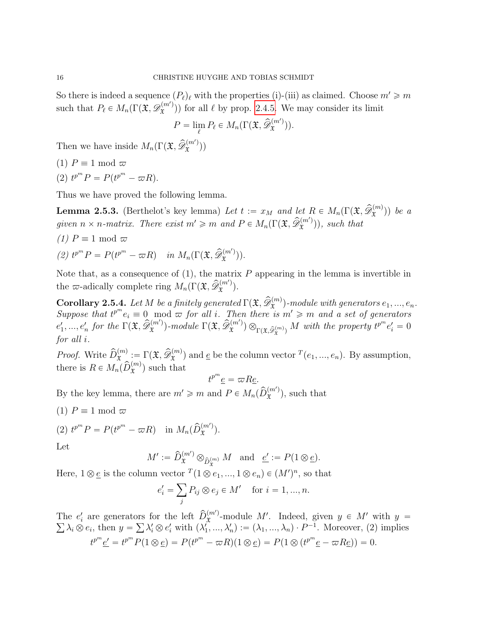So there is indeed a sequence  $(P_\ell)_\ell$  with the properties (i)-(iii) as claimed. Choose  $m' \geq m$ such that  $P_\ell \in M_n(\Gamma(\mathfrak{X}, \mathscr{D}_{\mathfrak{X}}^{(m)})$  $(\mathbf{x}^{(m)})$  for all  $\ell$  by prop. [2.4.5.](#page-11-1) We may consider its limit

$$
P = \lim_{\ell} P_{\ell} \in M_n(\Gamma(\mathfrak{X}, \widehat{\mathscr{D}}_{\mathfrak{X}}^{(m')})).
$$

Then we have inside  $M_n(\Gamma(\mathfrak{X}, \widehat{\mathscr{D}}_{\mathfrak{X}}^{(m)})$  $\hat{x}^{(m)}$ ))

- (1)  $P \equiv 1 \mod \varpi$
- (2)  $t^{p^m} P = P(t^{p^m} \varpi R).$

Thus we have proved the following lemma.

**Lemma 2.5.3.** (Berthelot's key lemma) Let  $t := x_M$  and let  $R \in M_n(\Gamma(\mathfrak{X}, \widehat{\mathscr{D}}_{\mathfrak{X}}^{(m)}))$  be a given  $n \times n$ -matrix. There exist  $m' \geqslant m$  and  $P \in M_n(\Gamma(\mathfrak{X}, \widehat{\mathscr{D}}_{\mathfrak{X}}^{(m')})$  $(\mathfrak{x}^{(m)})$ ), such that

- (1)  $P \equiv 1 \mod \varpi$
- (2)  $t^{p^m} P = P(t^{p^m} \varpi R)$  in  $M_n(\Gamma(\mathfrak{X}, \widehat{\mathscr{D}}_{\mathfrak{X}}^{(m)})$  $\mathfrak{X}^{(m)}$ )).

Note that, as a consequence of  $(1)$ , the matrix P appearing in the lemma is invertible in the  $\varpi$ -adically complete ring  $M_n(\Gamma(\mathfrak{X}, \widehat{\mathscr{D}}_{\mathfrak{X}}^{(m)})$  $\mathfrak{x}^{(m)}$ ).

<span id="page-15-0"></span>**Corollary 2.5.4.** Let M be a finitely generated  $\Gamma(\mathfrak{X}, \widehat{\mathscr{D}}_{\mathfrak{X}}^{(m)})$ -module with generators  $e_1, ..., e_n$ . Suppose that  $t^{p^m}e_i \equiv 0 \mod \varpi$  for all i. Then there is  $m' \geq m$  and a set of generators  $e'_1, ..., e'_n$  for the  $\Gamma(\mathfrak{X}, \widehat{\mathscr{D}}_{\mathfrak{X}}^{(m')}$  $\widehat{X}^{(m')}_\mathfrak{X}$ )-module  $\Gamma(\mathfrak{X}, \widehat{\mathscr{D}}^{(m')} _\mathfrak{X})$  $\big(\mathbf{x}^{(m')}\big) \otimes_{\Gamma(\mathfrak{X},\widehat{\mathscr{D}}_{\mathfrak{X}}^{(m)})} M$  with the property  $t^{p^m}e'_i = 0$ for all i.

*Proof.* Write  $\widehat{D}_{\mathfrak{X}}^{(m)} := \Gamma(\mathfrak{X}, \widehat{\mathscr{D}}_{\mathfrak{X}}^{(m)})$  and  $\underline{e}$  be the column vector  $^T(e_1, ..., e_n)$ . By assumption, there is  $R \in M_n(\widehat{D}_{\mathfrak{X}}^{(m)})$  such that

$$
^{p^m}\underline{e} = \varpi R \underline{e}.
$$

By the key lemma, there are  $m' \geq m$  and  $P \in M_n(\widehat{D}_{\mathfrak{X}}^{(m')})$  $(\mathbf{x}^{(m)})$ , such that

t

- (1)  $P \equiv 1 \mod \varpi$
- (2)  $t^{p^m} P = P(t^{p^m} \varpi R)$  in  $M_n(\widehat{D}_{\mathfrak{X}}^{(m)})$  $\mathfrak{X}^{(m')}$ ).

Let

$$
M':=\widehat{D}_{\mathfrak{X}}^{(m')}\otimes_{\widehat{D}_{\mathfrak{X}}^{(m)}}M\quad\text{and}\quad\underline{e'}:=P(1\otimes\underline{e}).
$$

Here,  $1 \otimes \underline{e}$  is the column vector  $T(1 \otimes e_1, ..., 1 \otimes e_n) \in (M')^n$ , so that

$$
e'_{i} = \sum_{j} P_{ij} \otimes e_{j} \in M' \quad \text{for } i = 1, ..., n.
$$

The  $e'_i$  are generators for the left  $\hat{D}_{\mathfrak{X}}^{(m')}$ The  $e'_i$  are generators for the left  $\hat{D}_{\mathfrak{X}}^{(m)}$ -module M'. Indeed, given  $y \in M'$  with  $y =$  $\lambda_i \otimes e_i$ , then  $y =$ <sub>p</sub>  $\lambda'_i \otimes e'_i$  with  $(\lambda'_1, ..., \lambda'_n) := (\lambda_1, ..., \lambda_n) \cdot P^{-1}$ . Moreover, (2) implies  $t^{p^m} \underline{e'} = t^{p^m} P(1 \otimes \underline{e}) = P(t^{p^m} - \overline{\omega}R)(1 \otimes \underline{e}) = P(1 \otimes (t^{p^m} \underline{e} - \overline{\omega}R \underline{e})) = 0.$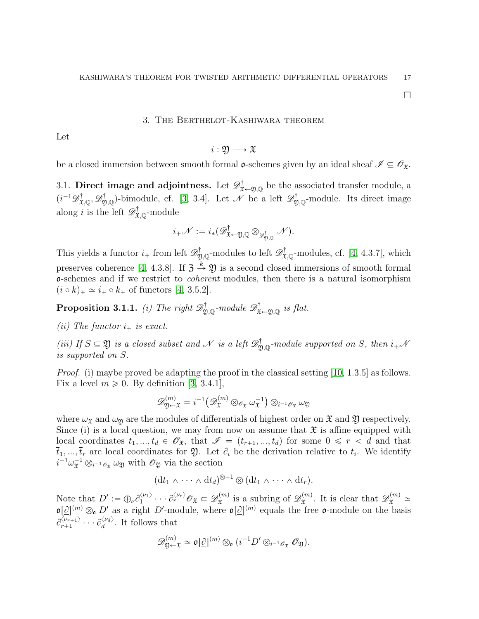$\Box$ 

## 3. The Berthelot-Kashiwara theorem

<span id="page-16-0"></span>Let

$$
i:\mathfrak{Y}\longrightarrow \mathfrak{X}
$$

be a closed immersion between smooth formal  $\mathfrak{o}$ -schemes given by an ideal sheaf  $\mathscr{I} \subseteq \mathscr{O}_{\mathfrak{X}}$ .

<span id="page-16-1"></span>3.1. Direct image and adjointness. Let  $\mathscr{D}^{\dagger}_{\mathfrak{X}\leftarrow\mathfrak{Y},\mathbb{Q}}$  be the associated transfer module, a  $(i^{-1}\mathscr{D}^{\dagger}_{\mathfrak{X},\mathbb{Q}},\mathscr{D}^{\dagger}_{\mathfrak{Y},\mathbb{Q}})$ -bimodule, cf. [\[3,](#page-31-6) 3.4]. Let  $\mathscr{N}$  be a left  $\mathscr{D}^{\dagger}_{\mathfrak{Y},\mathbb{Q}}$ -module. Its direct image along *i* is the left  $\mathscr{D}^{\dagger}_{\mathfrak{X},\mathbb{Q}}$ -module

$$
i_{+}\mathscr{N}:=i_{*}(\mathscr{D}^{\dagger}_{\mathfrak{X}\leftarrow \mathfrak{Y},\mathbb{Q}}\otimes_{\mathscr{D}^{\dagger}_{\mathfrak{Y},\mathbb{Q}}}\mathscr{N}).
$$

This yields a functor  $i_+$  from left  $\mathscr{D}^{\dagger}_{\mathfrak{Y},\mathbb{Q}}$ -modules to left  $\mathscr{D}^{\dagger}_{\mathfrak{X},\mathbb{Q}}$ -modules, cf. [\[4,](#page-31-3) 4.3.7], which preserves coherence [\[4,](#page-31-3) 4.3.8]. If  $\mathfrak{Z} \stackrel{k}{\rightarrow} \mathfrak{Y}$  is a second closed immersions of smooth formal o-schemes and if we restrict to coherent modules, then there is a natural isomorphism  $(i \circ k)_+ \simeq i_+ \circ k_+$  of functors [\[4,](#page-31-3) 3.5.2].

<span id="page-16-2"></span>**Proposition 3.1.1.** (i) The right  $\mathscr{D}^{\dagger}_{\mathfrak{Y},\mathbb{Q}}$ -module  $\mathscr{D}^{\dagger}_{\mathfrak{X}\leftarrow\mathfrak{Y},\mathbb{Q}}$  is flat.

(ii) The functor  $i_+$  is exact.

(iii) If  $S \subseteq \mathfrak{Y}$  is a closed subset and N is a left  $\mathscr{D}^{\dagger}_{\mathfrak{Y},\mathbb{Q}}$ -module supported on S, then  $i_+\mathcal{N}$ is supported on S.

Proof. (i) maybe proved be adapting the proof in the classical setting [\[10,](#page-31-9) 1.3.5] as follows. Fix a level  $m \geqslant 0$ . By definition [\[3,](#page-31-6) 3.4.1],

$$
\mathscr{D}_{\mathfrak{Y}\leftarrow \mathfrak{X}}^{(m)} = i^{-1} \big( \mathscr{D}_{\mathfrak{X}}^{(m)} \otimes_{\mathscr{O}_{\mathfrak{X}}} \omega_{\mathfrak{X}}^{-1} \big) \otimes_{i^{-1} \mathscr{O}_{\mathfrak{X}}} \omega_{\mathfrak{Y}}
$$

where  $\omega_x$  and  $\omega_y$  are the modules of differentials of highest order on  $\mathfrak X$  and  $\mathfrak Y$  respectively. Since (i) is a local question, we may from now on assume that  $\mathfrak X$  is affine equipped with local coordinates  $t_1, ..., t_d \in \mathscr{O}_{\mathfrak{X}}$ , that  $\mathscr{I} = (t_{r+1}, ..., t_d)$  for some  $0 \le r < d$  and that  $\overline{t}_1, ..., \overline{t}_r$  are local coordinates for  $\mathfrak{Y}$ . Let  $\partial_i$  be the derivation relative to  $t_i$ . We identify  $i^{-1}\omega_{\mathfrak{X}}^{-1}\otimes_{i^{-1}\mathscr{O}_{\mathfrak{X}}}\omega_{\mathfrak{Y}}$  with  $\mathscr{O}_{\mathfrak{Y}}$  via the section

$$
(\mathrm{d} t_1 \wedge \cdots \wedge \mathrm{d} t_d)^{\otimes -1} \otimes (\mathrm{d} t_1 \wedge \cdots \wedge \mathrm{d} t_r).
$$

Note that  $D' := \bigoplus_{\underline{\nu}} \partial_1^{\langle \nu_1 \rangle}$  $\langle \begin{smallmatrix} \langle \nu_1 \rangle\ 1 \end{smallmatrix} \rangle \cdots \partial_r^{\langle \nu_r \rangle} \mathscr{O}_{\mathfrak{X}} \subset \mathscr{D}_{\mathfrak{X}}^{(m)}$  $\mathcal{L}^{(m)}_{\mathfrak{X}}$  is a subring of  $\mathscr{D}_{\mathfrak{X}}^{(m)}$  $\mathcal{L}_{\mathfrak{X}}^{(m)}$ . It is clear that  $\mathscr{D}_{\mathfrak{X}}^{(m)} \simeq$  $\mathfrak{o}[\mathcal{Q}]^{(m)} \otimes_{\mathfrak{o}} D'$  as a right D'-module, where  $\mathfrak{o}[\mathcal{Q}]^{(m)}$  equals the free  $\mathfrak{o}$ -module on the basis  $\partial_{r+1}^{\langle\nu_{r+1}\rangle}$  $\langle \begin{smallmatrix} \langle \nu_{r+1} \rangle \\ r+1 \end{smallmatrix} \rangle \cdots \partial_d^{\langle \nu_d \rangle}$ . It follows that

$$
\mathscr{D}_{\mathfrak{Y}\leftarrow \mathfrak{X}}^{(m)} \simeq \mathfrak{o}[\underline{\partial}]^{(m)} \otimes_{\mathfrak{o}} (i^{-1}D' \otimes_{i^{-1}\mathscr{O}_{\mathfrak{X}}} \mathscr{O}_{\mathfrak{Y}}).
$$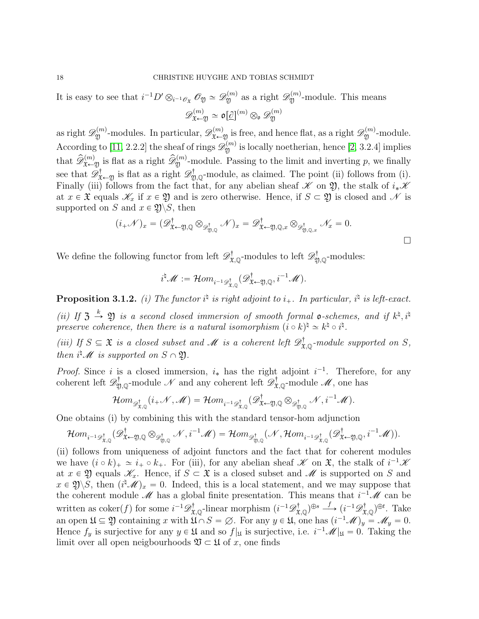It is easy to see that  $i^{-1}D'\otimes_{i^{-1}\mathscr{O}_{\mathfrak{X}}}\mathscr{O}_{\mathfrak{Y}}\simeq \mathscr{D}_{\mathfrak{Y}}^{(m)}$  as a right  $\mathscr{D}_{\mathfrak{Y}}^{(m)}$ -module. This means  $\mathscr{D}^{(m)}_{\mathfrak{X} \leftarrow \mathfrak{Y}} \simeq \mathfrak{o}[\underline{\partial}]^{(m)} \otimes_{\mathfrak{o}} \mathscr{D}^{(m)}_{\mathfrak{Y}}$ Y

as right  $\mathscr{D}_{\mathfrak{Y}}^{(m)}$ -modules. In particular,  $\mathscr{D}_{\mathfrak{X}\leftarrow \mathfrak{Y}}^{(m)}$  is free, and hence flat, as a right  $\mathscr{D}_{\mathfrak{Y}}^{(m)}$ -module. According to [\[11,](#page-31-10) 2.2.2] the sheaf of rings  $\mathscr{D}_{\mathfrak{Y}}^{(m)}$  is locally noetherian, hence [\[2,](#page-31-2) 3.2.4] implies that  $\widehat{\mathscr{D}}_{\mathfrak{X}\leftarrow\mathfrak{Y}}^{(m)}$  is flat as a right  $\widehat{\mathscr{D}}_{\mathfrak{Y}}^{(m)}$ -module. Passing to the limit and inverting p, we finally see that  $\mathscr{D}^{\dagger}_{\mathfrak{X}\leftarrow\mathfrak{Y}}$  is flat as a right  $\mathscr{D}^{\dagger}_{\mathfrak{Y},\mathbb{Q}}$ -module, as claimed. The point (ii) follows from (i). Finally (iii) follows from the fact that, for any abelian sheaf  $\mathscr K$  on  $\mathfrak Y$ , the stalk of  $i_*\mathscr K$ at  $x \in \mathfrak{X}$  equals  $\mathscr{K}_x$  if  $x \in \mathfrak{Y}$  and is zero otherwise. Hence, if  $S \subset \mathfrak{Y}$  is closed and  $\mathscr{N}$  is supported on S and  $x \in \mathfrak{Y}\backslash S$ , then

$$
(i_{+}\mathscr{N})_{x} = (\mathscr{D}^{\dagger}_{\mathfrak{X}\leftarrow\mathfrak{Y},\mathbb{Q}} \otimes_{\mathscr{D}^{\dagger}_{\mathfrak{Y},\mathbb{Q}}} \mathscr{N})_{x} = \mathscr{D}^{\dagger}_{\mathfrak{X}\leftarrow\mathfrak{Y},\mathbb{Q},x} \otimes_{\mathscr{D}^{\dagger}_{\mathfrak{Y},\mathbb{Q},x}} \mathscr{N}_{x} = 0.
$$

We define the following functor from left  $\mathscr{D}^{\dagger}_{\mathfrak{X},\mathbb{Q}}$ -modules to left  $\mathscr{D}^{\dagger}_{\mathfrak{Y},\mathbb{Q}}$ -modules:

$$
i^{\natural}\mathscr{M}:=\mathcal{H}om_{i^{-1}\mathscr{D}^{\dagger}_{\mathfrak{X},\mathbb{Q}}}(\mathscr{D}^{\dagger}_{\mathfrak{X}\leftarrow \mathfrak{Y},\mathbb{Q}},i^{-1}\mathscr{M}).
$$

<span id="page-17-0"></span>**Proposition 3.1.2.** (i) The functor  $i^{\dagger}$  is right adjoint to  $i_{+}$ . In particular,  $i^{\dagger}$  is left-exact.

(ii) If  $\mathfrak{Z} \stackrel{k}{\to} \mathfrak{Y}$  is a second closed immersion of smooth formal **o**-schemes, and if  $k^{\natural}, i^{\natural}$ preserve coherence, then there is a natural isomorphism  $(i \circ k)^{\sharp} \simeq k^{\sharp} \circ i^{\sharp}$ .

(iii) If  $S \subseteq \mathfrak{X}$  is a closed subset and  $\mathcal M$  is a coherent left  $\mathscr{D}^{\dagger}_{\mathfrak{X},\mathbb{Q}}$ -module supported on  $S$ , then  $i^{\sharp} \mathscr{M}$  is supported on  $S \cap \mathfrak{Y}$ .

*Proof.* Since i is a closed immersion,  $i_*$  has the right adjoint  $i^{-1}$ . Therefore, for any coherent left  $\mathscr{D}^\dagger_{\mathfrak{Y},\mathbb{Q}}$ -module  $\mathscr{N}$  and any coherent left  $\mathscr{D}^\dagger_{\mathfrak{X},\mathbb{Q}}$ -module  $\mathscr{M}$ , one has

$$
\mathcal{H}om_{\mathscr{D}^{\dagger}_{\mathfrak{X},\mathbb{Q}}}(i_{+}\mathscr{N},\mathscr{M})=\mathcal{H}om_{i^{-1}\mathscr{D}^{\dagger}_{\mathfrak{X},\mathbb{Q}}}(\mathscr{D}^{\dagger}_{\mathfrak{X}\leftarrow\mathfrak{Y},\mathbb{Q}}\otimes_{\mathscr{D}^{\dagger}_{\mathfrak{Y},\mathbb{Q}}}\mathscr{N},i^{-1}\mathscr{M}).
$$

One obtains (i) by combining this with the standard tensor-hom adjunction

$$
\mathcal Hom_{i^{-1}{\mathscr D}^{\dagger}_{{\mathfrak X},{\mathbb Q}}}({\mathscr D}^{\dagger}_{{\mathfrak X}\leftarrow{\mathfrak Y},{\mathbb Q}}\otimes_{{\mathscr D}^{\dagger}_{{\mathfrak Y},{\mathbb Q}}}{\mathscr N}, i^{-1}{\mathscr M})=\mathcal Hom_{{\mathscr D}^{\dagger}_{{\mathfrak Y},{\mathbb Q}}}({\mathscr N},\mathcal Hom_{i^{-1}{\mathscr D}^{\dagger}_{{\mathfrak X},{\mathbb Q}}}({\mathscr D}^{\dagger}_{{\mathfrak X}\leftarrow{\mathfrak Y},{\mathbb Q}}, i^{-1}{\mathscr M})).
$$

(ii) follows from uniqueness of adjoint functors and the fact that for coherent modules we have  $(i \circ k)_+ \simeq i_+ \circ k_+$ . For (iii), for any abelian sheaf  $\mathscr K$  on  $\mathfrak X$ , the stalk of  $i^{-1}\mathscr K$ at  $x \in \mathfrak{Y}$  equals  $\mathscr{K}_x$ . Hence, if  $S \subset \mathfrak{X}$  is a closed subset and  $\mathscr{M}$  is supported on S and  $x \in \mathfrak{Y}\backslash S$ , then  $(i^{\sharp} \mathscr{M})_x = 0$ . Indeed, this is a local statement, and we may suppose that the coherent module  $\mathscr M$  has a global finite presentation. This means that  $i^{-1}\mathscr M$  can be written as coker $(f)$  for some  $i^{-1}\mathscr{D}^{\dagger}_{\mathfrak{X},\mathbb{Q}}$ -linear morphism  $(i^{-1}\mathscr{D}^{\dagger}_{\mathfrak{X},\mathbb{Q}})^{\oplus s} \stackrel{f}{\longrightarrow} (i^{-1}\mathscr{D}^{\dagger}_{\mathfrak{X},\mathbb{Q}})^{\oplus t}$ . Take an open  $\mathfrak{U} \subseteq \mathfrak{Y}$  containing x with  $\mathfrak{U} \cap S = \emptyset$ . For any  $y \in \mathfrak{U}$ , one has  $(i^{-1}M)_y = M_y = 0$ . Hence  $f_y$  is surjective for any  $y \in \mathfrak{U}$  and so  $f|_{\mathfrak{U}}$  is surjective, i.e.  $i^{-1} \mathscr{M}|_{\mathfrak{U}} = 0$ . Taking the limit over all open neigbourhoods  $\mathfrak{V} \subset \mathfrak{U}$  of x, one finds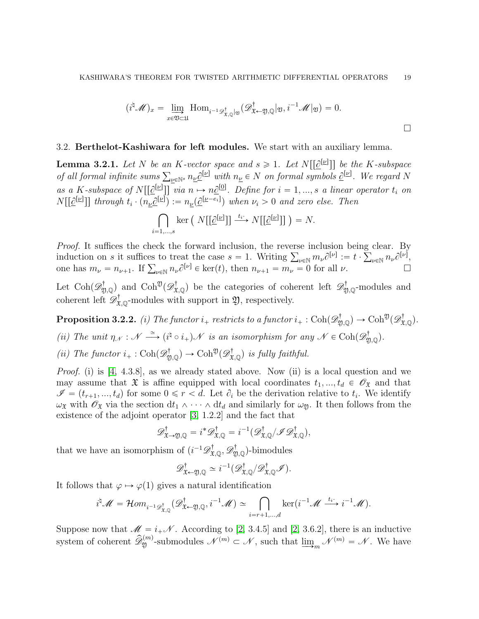$$
(i^{\dagger} \mathscr{M})_x = \lim_{x \in \mathfrak{V} \subset \mathfrak{U}} \text{Hom}_{i^{-1} \mathscr{D}^{\dagger}_{\mathfrak{X},\mathbb{Q}} | \mathfrak{Y}} (\mathscr{D}^{\dagger}_{\mathfrak{X} \leftarrow \mathfrak{Y},\mathbb{Q}} | \mathfrak{Y}, i^{-1} \mathscr{M} | \mathfrak{Y}) = 0.
$$

## <span id="page-18-0"></span>3.2. Berthelot-Kashiwara for left modules. We start with an auxiliary lemma.

<span id="page-18-1"></span>**Lemma 3.2.1.** Let N be an K-vector space and  $s \geq 1$ . Let  $N[[\underline{\partial}^{[\underline{\nu}]}]]$  be the K-subspace **Lemma 3.2.1.** Let N be an K-vector space and  $s \ge 1$ . Let  $N[[\mathcal{Q}^{[E]}]]$  be the K-subspace<br>of all formal infinite sums  $\sum_{\underline{\nu} \in \mathbb{N}^s} n_{\underline{\nu}} \underline{\partial}^{[\underline{\nu}]}$  with  $n_{\underline{\nu}} \in N$  on formal symbols  $\underline{\partial}^{[\underline{\nu}]}$ . We rega as a K-subspace of  $N[[\underline{\partial}^{[\underline{\nu}]}]]$  via  $n \mapsto n\underline{\partial}^{[0]}$ . Define for  $i = 1, ..., s$  a linear operator  $t_i$  on  $N\left[\left[\underline{\partial}^{[\underline{\nu}]} \right]\right]$  through  $t_i \cdot (n_{\underline{\nu}}\underline{\partial}^{[\underline{\nu}]}):=n_{\underline{\nu}}(\underline{\partial}^{[\underline{\nu}-e_i]})$  when  $\nu_i > 0$  and zero else. Then  $\mathbf{r}^{\prime}$ 

$$
\bigcap_{i=1,\ldots,s} \ker\left(N\big[\big[\underline{\partial}^{[\underline{\nu}]} \big]\big] \xrightarrow{t_i} N\big[\big[\underline{\partial}^{[\underline{\nu}]} \big]\big]\right) = N.
$$

Proof. It suffices the check the forward inclusion, the reverse inclusion being clear. By *Proof.* It suffices the check the forward inclusion, the reverse inclusion being clear. By induction on s it suffices to treat the case  $s = 1$ . Writing  $\sum_{\nu \in \mathbb{N}} m_{\nu} \partial^{[\nu]} := t \cdot \sum_{\nu \in \mathbb{N}} n_{\nu} \partial^{[\nu]}$ , induction on *s* it suffices to treat the case  $s = 1$ . Writing  $\sum_{\nu \in \mathbb{N}} m_{\nu} C^{\nu} = t \cdot \sum_{\nu \in \mathbb{N}} n_{\nu} C^{\nu}$ ,<br>one has  $m_{\nu} = n_{\nu+1}$ . If  $\sum_{\nu \in \mathbb{N}} n_{\nu} \partial^{[\nu]} \in \text{ker}(t)$ , then  $n_{\nu+1} = m_{\nu} = 0$  for all  $\nu$ .

Let  $\text{Coh}(\mathscr{D}^{\dagger}_{\mathfrak{Y},\mathbb{Q}})$  and  $\text{Coh}^{\mathfrak{Y}}(\mathscr{D}^{\dagger}_{\mathfrak{X},\mathbb{Q}})$  be the categories of coherent left  $\mathscr{D}^{\dagger}_{\mathfrak{Y},\mathbb{Q}}$ -modules and coherent left  $\mathscr{D}^{\dagger}_{\mathfrak{X},\mathbb{Q}}$ -modules with support in  $\mathfrak{Y}$ , respectively.

<span id="page-18-2"></span>**Proposition 3.2.2.** (i) The functor  $i_+$  restricts to a functor  $i_+$ : Coh $(\mathscr{D}^{\dagger}_{\mathfrak{Y},\mathbb{Q}}) \to \mathrm{Coh}^{\mathfrak{Y}}(\mathscr{D}^{\dagger}_{\mathfrak{X},\mathbb{Q}})$ . (ii) The unit  $\eta_{\mathcal{N}} : \mathcal{N} \stackrel{\simeq}{\longrightarrow} (i^{\natural} \circ i_{+})\mathcal{N}$  is an isomorphism for any  $\mathcal{N} \in \text{Coh}(\mathscr{D}_{\mathfrak{Y},\mathbb{Q}}^{\dagger}).$ 

(ii) The functor  $i_+ : \text{Coh}(\mathscr{D}^{\dagger}_{\mathfrak{Y},\mathbb{Q}}) \to \text{Coh}^{\mathfrak{Y}}(\mathscr{D}^{\dagger}_{\mathfrak{X},\mathbb{Q}})$  is fully faithful.

Proof. (i) is [\[4,](#page-31-3) 4.3.8], as we already stated above. Now (ii) is a local question and we may assume that  $\mathfrak X$  is affine equipped with local coordinates  $t_1, ..., t_d \in \mathscr O_{\mathfrak X}$  and that  $\mathscr{I} = (t_{r+1}, ..., t_d)$  for some  $0 \leq r < d$ . Let  $\partial_i$  be the derivation relative to  $t_i$ . We identify  $\omega_{\mathfrak{X}}$  with  $\mathscr{O}_{\mathfrak{X}}$  via the section  $dt_1 \wedge \cdots \wedge dt_d$  and similarly for  $\omega_{\mathfrak{Y}}$ . It then follows from the existence of the adjoint operator [\[3,](#page-31-6) 1.2.2] and the fact that

$$
\mathscr{D}^{\dagger}_{\mathfrak{X}\to\mathfrak{Y},\mathbb{Q}}=i^*\mathscr{D}^{\dagger}_{\mathfrak{X},\mathbb{Q}}=i^{-1}(\mathscr{D}^{\dagger}_{\mathfrak{X},\mathbb{Q}}/\mathscr{I}\mathscr{D}^{\dagger}_{\mathfrak{X},\mathbb{Q}}),
$$

that we have an isomorphism of  $(i^{-1}\mathscr{D}^{\dagger}_{\mathfrak{X},\mathbb{Q}}, \mathscr{D}^{\dagger}_{\mathfrak{Y},\mathbb{Q}})$ -bimodules

$$
\mathscr{D}^{\dagger}_{\mathfrak{X}\leftarrow \mathfrak{Y},\mathbb{Q}} \simeq i^{-1}(\mathscr{D}^{\dagger}_{\mathfrak{X},\mathbb{Q}}/\mathscr{D}^{\dagger}_{\mathfrak{X},\mathbb{Q}}\mathscr{I}).
$$

It follows that  $\varphi \mapsto \varphi(1)$  gives a natural identification

$$
i^{\natural}\mathscr{M}=\mathcal{H}om_{i^{-1}\mathscr{D}_{\mathfrak{X},\mathbb{Q}}^{\dagger}}(\mathscr{D}_{\mathfrak{X}\leftarrow\mathfrak{Y},\mathbb{Q}}^{\dagger},i^{-1}\mathscr{M})\simeq\bigcap_{i=r+1,\dots,d}\ker(i^{-1}\mathscr{M}\xrightarrow{t_{i}}i^{-1}\mathscr{M}).
$$

Suppose now that  $\mathscr{M} = i_+\mathscr{N}$ . According to [\[2,](#page-31-2) 3.4.5] and [2, 3.6.2], there is an inductive system of coherent  $\mathscr{\hat{D}}_{\mathfrak{Y}}^{(m)}$ -submodules  $\mathscr{N}^{(m)} \subset \mathscr{N}$ , such that  $\underline{\lim}_{m} \mathscr{N}^{(m)} = \mathscr{N}$ . We have

 $\Box$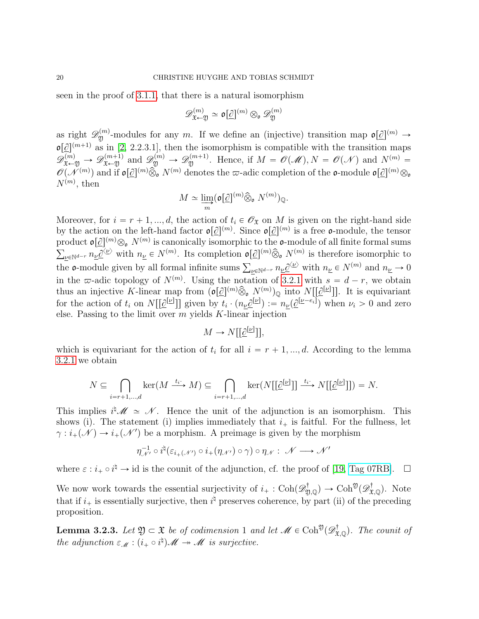seen in the proof of [3.1.1,](#page-16-2) that there is a natural isomorphism

$$
\mathscr{D}^{(m)}_{\mathfrak{X} \leftarrow \mathfrak{Y}} \simeq \mathfrak{o}[\mathcal{Q}]^{(m)} \otimes_{\mathfrak{o}} \mathscr{D}^{(m)}_{\mathfrak{Y}}
$$

as right  $\mathscr{D}_{\mathfrak{Y}}^{(m)}$ -modules for any m. If we define an (injective) transition map  $\mathfrak{o}[\mathcal{Q}]^{(m)} \to$  $\mathfrak{o}[\mathcal{Q}]^{(m+1)}$  as in [\[2,](#page-31-2) 2.2.3.1], then the isomorphism is compatible with the transition maps  $\mathscr{D}^{(m)}_{\mathfrak{X}\leftarrow \mathfrak{Y}} \rightarrow \mathscr{D}^{(m+1)}_{\mathfrak{X}}$  and  $\mathscr{D}^{(m)}_{\mathfrak{Y}} \rightarrow \mathscr{D}^{(m+1)}_{\mathfrak{Y}}$ . Hence, if  $M = \mathscr{O}(\mathscr{M})$ ,  $N = \mathscr{O}(\mathscr{N})$  and  $N^{(m)} =$  $\mathscr{O}(\mathscr{N}^{(m)})$  and if  $\mathfrak{o}[\mathscr{Q}]^{(m)}\hat{\otimes}^{\mathscr{O}}_0 N^{(m)}$  denotes the  $\varpi$ -adic completion of the  $\mathfrak{o}\text{-module } \mathfrak{o}[\mathscr{Q}]^{(m)}\otimes_{\mathfrak{o}}$  $N^{(m)}$ , then

$$
M\simeq \varinjlim_m (\mathfrak{o}[\underline{\partial}]^{(m)}\widehat{\otimes}_{\mathfrak{o}}N^{(m)})_{\mathbb{Q}}.
$$

Moreover, for  $i = r + 1, ..., d$ , the action of  $t_i \in \mathcal{O}_\mathfrak{X}$  on M is given on the right-hand side by the action on the left-hand factor  $\mathfrak{o}[\mathcal{Q}]^{(m)}$ . Since  $\mathfrak{o}[\mathcal{Q}]^{(m)}$  is a free  $\mathfrak{o}$ -module, the tensor product  $\mathfrak{o}[\underline{\partial}]^{(m)}_{\infty} \otimes_{\mathfrak{o}} N^{(m)}$  is canonically isomorphic to the  $\mathfrak{o}$ -module of all finite formal sums  $u_{\mathcal{L}} \in N^{(m)}$  with  $n_{\mathcal{L}} \in N^{(m)}$ . Its completion  $\mathfrak{o}[\mathcal{Q}](m) \hat{\otimes}_{\mathfrak{o}} N^{(m)}$  is therefore isomorphic to  $\Delta_{\underline{\nu} \in \mathbb{N}^{d-r}} n_{\underline{\nu}} \underline{v}$  with  $n_{\underline{\nu}} \in N^{\vee}$ . Its completion  $\mathfrak{v}[\underline{v}]^{\vee}$   $\otimes_{\mathfrak{o}} N^{\vee}$  is therefore isomorphic to the **o**-module given by all formal infinite sums  $\sum_{\underline{\nu} \in \mathbb{N}^{d-r}} n_{\underline{\nu}} \underline{\partial$ in the  $\infty$ -adic topology of  $N^{(m)}$ . Using the notation of [3.2.1](#page-18-1) with  $s = d - r$ , we obtain thus an injective K-linear map from  $\left( \sigma[\partial]^{(m)} \hat{\otimes}_{\mathfrak{o}} N^{(m)} \right)_{\mathbb{Q}}$  into  $N[[\partial^{[\underline{\nu}]}]]$ . It is equivariant for the action of  $t_i$  on  $N[[\mathcal{Q}^{[\underline{\nu}]}]]$  given by  $t_i \cdot (n_{\underline{\nu}}\mathcal{Q}^{[\underline{\nu}]}):=n_{\underline{\nu}}(\mathcal{Q}^{[\underline{\nu}-e_i]})$  when  $\nu_i > 0$  and zero else. Passing to the limit over  $m$  yields  $K$ -linear injection

$$
M \to N[[\underline{\partial}^{[\underline{\nu}]}]],
$$

which is equivariant for the action of  $t_i$  for all  $i = r + 1, ..., d$ . According to the lemma [3.2.1](#page-18-1) we obtain

$$
N \subseteq \bigcap_{i=r+1,\dots,d} \ker(M \xrightarrow{t_i} M) \subseteq \bigcap_{i=r+1,\dots,d} \ker(N[[\hat{\mathcal{C}}^{[\underline{\nu}]}]] \xrightarrow{t_i} N[[\hat{\mathcal{C}}^{[\underline{\nu}]}]] = N.
$$

This implies  $i^{\sharp} \mathscr{M} \simeq \mathscr{N}$ . Hence the unit of the adjunction is an isomorphism. This shows (i). The statement (i) implies immediately that  $i_{+}$  is faitful. For the fullness, let  $\gamma : i_+(\mathcal{N}) \to i_+(\mathcal{N}')$  be a morphism. A preimage is given by the morphism

$$
\eta_{\mathcal{N}'}^{-1} \circ i^{\natural} (\varepsilon_{i_{+}(\mathcal{N}')} \circ i_{+}(\eta_{\mathcal{N}'}) \circ \gamma) \circ \eta_{\mathcal{N}} : \mathcal{N} \longrightarrow \mathcal{N}'
$$

where  $\varepsilon : i_+ \circ i^{\natural} \to id$  is the counit of the adjunction, cf. the proof of [\[19,](#page-32-5) [Tag 07RB\]](https://stacks.math.columbia.edu/tag/07RB).  $\Box$ 

We now work towards the essential surjectivity of  $i_{+}: \text{Coh}(\mathscr{D}^{\dagger}_{\mathfrak{Y},\mathbb{Q}}) \to \text{Coh}^{\mathfrak{Y}}(\mathscr{D}^{\dagger}_{\mathfrak{X},\mathbb{Q}})$ . Note that if  $i_+$  is essentially surjective, then  $i^{\dagger}$  preserves coherence, by part (ii) of the preceding proposition.

<span id="page-19-0"></span>**Lemma 3.2.3.** Let  $\mathfrak{Y} \subset \mathfrak{X}$  be of codimension 1 and let  $\mathscr{M} \in \mathrm{Coh}^{\mathfrak{Y}}(\mathscr{D}^{\dagger}_{\mathfrak{X}, \mathbb{Q}})$ . The counit of the adjunction  $\varepsilon_{\mathcal{M}} : (i_{+} \circ i^{\natural}) \mathcal{M} \to \mathcal{M}$  is surjective.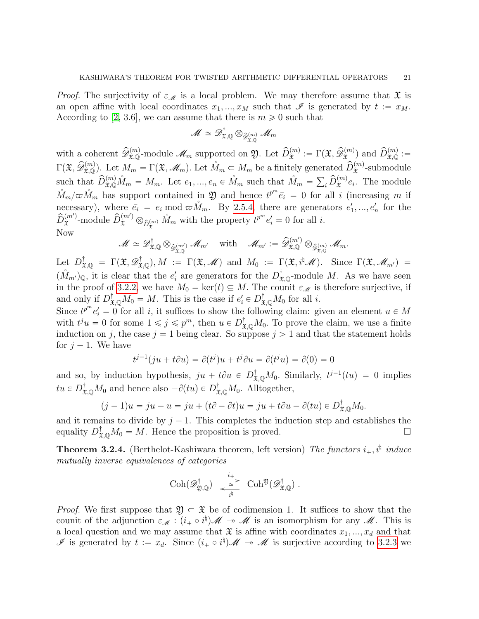*Proof.* The surjectivity of  $\varepsilon_M$  is a local problem. We may therefore assume that  $\mathfrak X$  is an open affine with local coordinates  $x_1, ..., x_M$  such that  $\mathscr I$  is generated by  $t := x_M$ . According to [\[2,](#page-31-2) 3.6], we can assume that there is  $m \geq 0$  such that

$$
\mathscr{M} \simeq \mathscr{D}^{\dagger}_{\mathfrak{X}, \mathbb{Q}} \otimes_{\widehat{\mathscr{D}}^{(m)}_{\mathfrak{X}, \mathbb{Q}}} \mathscr{M}_m
$$

with a coherent  $\widehat{\mathcal{D}}_{\mathfrak{X},\mathbb{Q}}^{(m)}$ -module  $\mathscr{M}_m$  supported on  $\mathfrak{Y}$ . Let  $\widehat{D}_{\mathfrak{X}}^{(m)} := \Gamma(\mathfrak{X}, \widehat{\mathcal{D}}_{\mathfrak{X}}^{(m)})$  and  $\widehat{D}_{\mathfrak{X},\mathbb{Q}}^{(m)} :=$  $\Gamma(\mathfrak{X}, \widehat{\mathcal{D}}_{\mathfrak{X},\mathbb{Q}}^{(m)})$ . Let  $M_m = \Gamma(\mathfrak{X},\mathscr{M}_m)$ . Let  $M_m \subset M_m$  be a finitely generated  $\widehat{D}_{\mathfrak{X}}^{(m)}$ -submodule such that  $\hat{D}_{\mathfrak{X},\mathbb{Q}}^{(m)}\mathring{M}_m = M_m$ . Let  $e_1,...,e_n \in \mathring{M}_m$  such that  $\mathring{M}_m = \sum_i \hat{D}_{\mathfrak{X}}^{(m)}e_i$ . The module  $\mathring{M}_m/\varpi \mathring{M}_m$  has support contained in 20 and hence  $t^{p^m} \bar{e}_i = 0$  for all i (increasing m if necessary), where  $\bar{e}_i = e_i \mod \bar{\omega} \hat{M}_m$ . By [2.5.4,](#page-15-0) there are generators  $e'_1, ..., e'_n$  for the  $\widehat{D}_{\mathfrak{X}}^{(m')}$  $\hat{L}_{\mathfrak{X}}^{(m')}$ -module  $\hat{D}_{\mathfrak{X}}^{(m')}$   $\otimes_{\hat{D}_{\mathfrak{X}}^{(m)}} \hat{M}_m$  with the property  $t^{p^m}e'_i = 0$  for all *i*. Now

$$
\mathscr{M} \simeq \mathscr{D}^{\dagger}_{\mathfrak{X},\mathbb{Q}} \otimes_{\widehat{\mathscr{D}}_{\mathfrak{X},\mathbb{Q}}^{(m')}} \mathscr{M}_{m'} \quad \text{ with } \quad \mathscr{M}_{m'} := \widehat{\mathscr{D}}_{\mathfrak{X},\mathbb{Q}}^{(m')} \otimes_{\widehat{\mathscr{D}}_{\mathfrak{X},\mathbb{Q}}^{(m)}} \mathscr{M}_{m}.
$$

Let  $D^{\dagger}_{\mathfrak{X},\mathbb{Q}} = \Gamma(\mathfrak{X}, \mathscr{D}^{\dagger}_{\mathfrak{X},\mathbb{Q}}), M := \Gamma(\mathfrak{X},\mathscr{M})$  and  $M_0 := \Gamma(\mathfrak{X},i^{\dagger}\mathscr{M})$ . Since  $\Gamma(\mathfrak{X},\mathscr{M}_{m'}) =$  $(M_{m})_{\mathbb{Q}}$ , it is clear that the  $e'_{i}$  are generators for the  $D^{\dagger}_{\mathfrak{X},\mathbb{Q}}$ -module M. As we have seen in the proof of [3.2.2,](#page-18-2) we have  $M_0 = \text{ker}(t) \subseteq M$ . The counit  $\varepsilon_M$  is therefore surjective, if and only if  $D^{\dagger}_{\mathfrak{X},\mathbb{Q}}M_0 = M$ . This is the case if  $e'_i \in D^{\dagger}_{\mathfrak{X},\mathbb{Q}}M_0$  for all i.

Since  $t^{p^m}e'_i = 0$  for all i, it suffices to show the following claim: given an element  $u \in M$ with  $t^j u = 0$  for some  $1 \leq j \leq p^m$ , then  $u \in D^{\dagger}_{\mathfrak{X},\mathbb{Q}}M_0$ . To prove the claim, we use a finite induction on j, the case  $j = 1$  being clear. So suppose  $j > 1$  and that the statement holds for  $j - 1$ . We have

$$
t^{j-1}(ju + t\partial u) = \partial(t^j)u + t^j\partial u = \partial(t^ju) = \partial(0) = 0
$$

and so, by induction hypothesis,  $ju + t\partial u \in D_{\mathfrak{X},\mathbb{Q}}^{\dagger}M_0$ . Similarly,  $t^{j-1}(tu) = 0$  implies  $tu \in D^{\dagger}_{\mathfrak{X},\mathbb{Q}}M_0$  and hence also  $-\partial(tu) \in D^{\dagger}_{\mathfrak{X},\mathbb{Q}}M_0$ . Alltogether,

$$
(j-1)u = ju - u = ju + (t\partial - \partial t)u = ju + t\partial u - \partial(tu) \in D_{\mathfrak{X},\mathbb{Q}}^{\dagger}M_0.
$$

and it remains to divide by  $j - 1$ . This completes the induction step and establishes the equality  $D_{\mathfrak{X},\mathbb{Q}}^{\dagger}M_0 = M$ . Hence the proposition is proved.

<span id="page-20-0"></span>**Theorem 3.2.4.** (Berthelot-Kashiwara theorem, left version) The functors  $i_+$ ,  $i^{\dagger}$  induce mutually inverse equivalences of categories

$$
\mathrm{Coh}(\mathscr{D}^{\dagger}_{\mathfrak{Y},\mathbb{Q}}) \ \xrightarrow[\quad i^{\natural}]{\quad \ i^{\natural} \ \ } \ \mathrm{Coh}^{\mathfrak{Y}}(\mathscr{D}^{\dagger}_{\mathfrak{X},\mathbb{Q}}) \ .
$$

*Proof.* We first suppose that  $\mathfrak{Y} \subset \mathfrak{X}$  be of codimension 1. It suffices to show that the counit of the adjunction  $\varepsilon_{\mathcal{M}} : (i_+ \circ i^{\natural})\mathcal{M} \to \mathcal{M}$  is an isomorphism for any  $\mathcal{M}$ . This is a local question and we may assume that  $\mathfrak X$  is affine with coordinates  $x_1, ..., x_d$  and that If is generated by  $t := x_d$ . Since  $(i_+ \circ i^{\sharp})\mathscr{M} \to \mathscr{M}$  is surjective according to [3.2.3](#page-19-0) we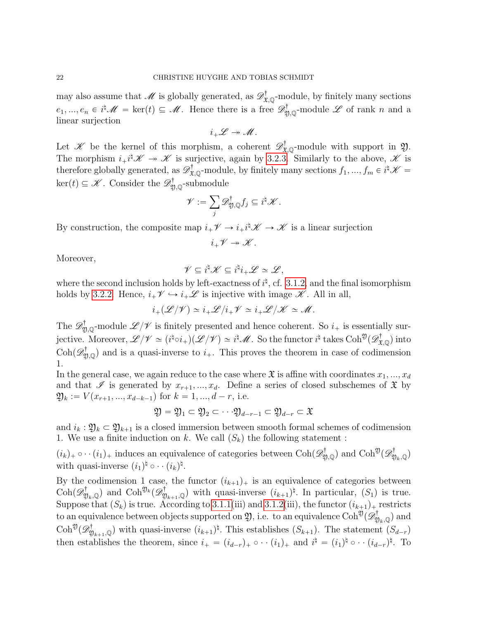may also assume that  $\mathscr{M}$  is globally generated, as  $\mathscr{D}^{\dagger}_{\mathfrak{X},\mathbb{Q}}$ -module, by finitely many sections  $e_1, ..., e_n \in i^{\natural} \mathscr{M} = \text{ker}(t) \subseteq \mathscr{M}$ . Hence there is a free  $\mathscr{D}_{\mathfrak{Y},\mathbb{Q}}^{\dagger}$ -module  $\mathscr{L}$  of rank n and a linear surjection

$$
i_+\mathscr{L}\twoheadrightarrow \mathscr{M}.
$$

Let X be the kernel of this morphism, a coherent  $\mathscr{D}^{\dagger}_{\mathfrak{X},\mathbb{Q}}$ -module with support in  $\mathfrak{Y}$ . The morphism  $i_+i^{\dagger}\mathscr{K} \to \mathscr{K}$  is surjective, again by [3.2.3.](#page-19-0) Similarly to the above,  $\mathscr{K}$  is therefore globally generated, as  $\mathscr{D}^{\dagger}_{\mathfrak{X},\mathbb{Q}}$ -module, by finitely many sections  $f_1, ..., f_m \in i^{\dagger} \mathscr{K} =$  $\ker(t) \subseteq \mathscr{K}$ . Consider the  $\mathscr{D}^{\dagger}_{\mathfrak{Y},\mathbb{Q}}$ -submodule

$$
\mathscr{V}:=\sum_j\mathscr{D}^\dagger_{\mathfrak{Y},\mathbb{Q}}f_j\subseteq i^\natural\mathscr{K}.
$$

By construction, the composite map  $i_+\mathscr{V} \to i_+i^{\dagger}\mathscr{K} \to \mathscr{K}$  is a linear surjection

$$
i_+\mathscr{V}\twoheadrightarrow \mathscr{K}.
$$

Moreover,

$$
\mathscr{V}\subseteq i^{\natural}\mathscr{K}\subseteq i^{\natural}i_{+}\mathscr{L}\simeq \mathscr{L},
$$

where the second inclusion holds by left-exactness of  $i^{\dagger}$ , cf. [3.1.2,](#page-17-0) and the final isomorphism holds by [3.2.2.](#page-18-2) Hence,  $i_+\mathscr{V} \hookrightarrow i_+\mathscr{L}$  is injective with image  $\mathscr{K}$ . All in all,

$$
i_+(\mathscr{L}/\mathscr{V}) \simeq i_+\mathscr{L}/i_+\mathscr{V} \simeq i_+\mathscr{L}/\mathscr{K} \simeq \mathscr{M}.
$$

The  $\mathscr{D}^{\dagger}_{\mathfrak{Y},\mathbb{Q}}$ -module  $\mathscr{L}/\mathscr{V}$  is finitely presented and hence coherent. So  $i_+$  is essentially surjective. Moreover,  $\mathscr{L}/\mathscr{V} \simeq (i^{\natural} \circ i_{+})(\mathscr{L}/\mathscr{V}) \simeq i^{\natural} \mathscr{M}$ . So the functor  $i^{\natural}$  takes  $\mathrm{Coh}^{\mathfrak{Y}}(\mathscr{D}^{\dagger}_{\mathfrak{X},\mathbb{Q}})$  into  $\text{Coh}(\mathscr{D}_{\mathfrak{Y},\mathbb{Q}}^{\dagger})$  and is a quasi-inverse to  $i_{+}$ . This proves the theorem in case of codimension 1.

In the general case, we again reduce to the case where  $\mathfrak X$  is affine with coordinates  $x_1, ..., x_d$ and that  $\mathscr I$  is generated by  $x_{r+1}, ..., x_d$ . Define a series of closed subschemes of  $\mathfrak X$  by  $\mathfrak{Y}_k := V(x_{r+1}, ..., x_{d-k-1})$  for  $k = 1, ..., d-r$ , i.e.

$$
\mathfrak{Y} = \mathfrak{Y}_1 \subset \mathfrak{Y}_2 \subset \cdot \cdot \cdot \mathfrak{Y}_{d-r-1} \subset \mathfrak{Y}_{d-r} \subset \mathfrak{X}
$$

and  $i_k : \mathfrak{Y}_k \subset \mathfrak{Y}_{k+1}$  is a closed immersion between smooth formal schemes of codimension 1. We use a finite induction on k. We call  $(S_k)$  the following statement :

 $(i_k)_+ \circ \cdots (i_1)_+$  induces an equivalence of categories between  $\text{Coh}(\mathscr{D}^\dagger_{\mathfrak{Y},\mathbb{Q}})$  and  $\text{Coh}^{\mathfrak{Y}}(\mathscr{D}^\dagger_{\mathfrak{Y}_k,\mathbb{Q}})$ with quasi-inverse  $(i_1)^{\natural} \circ \cdot \cdot (i_k)^{\natural}$ .

By the codimension 1 case, the functor  $(i_{k+1})$  is an equivalence of categories between  $\text{Coh}(\mathscr{D}^{\dagger}_{\mathfrak{Y}_k,\mathbb{Q}})$  and  $\text{Coh}^{\mathfrak{Y}_k}(\mathscr{D}^{\dagger}_{\mathfrak{Y}_{k+1},\mathbb{Q}})$  with quasi-inverse  $(i_{k+1})^{\natural}$ . In particular,  $(S_1)$  is true. Suppose that  $(S_k)$  is true. According to [3.1.1\(](#page-16-2)iii) and [3.1.2\(](#page-17-0)iii), the functor  $(i_{k+1})$  restricts to an equivalence between objects supported on  $\mathfrak{Y},$  i.e. to an equivalence  $\mathrm{Coh}^{\mathfrak{Y}}(\mathscr{D}^{\dagger}_{\mathfrak{Y}_k,\mathbb{Q}})$  and  $\text{Coh}^{\mathfrak{Y}}(\mathscr{D}^{\dagger}_{\mathfrak{Y}_{k+1},\mathbb{Q}})$  with quasi-inverse  $(i_{k+1})^{\natural}$ . This establishes  $(S_{k+1})$ . The statement  $(S_{d-r})$ then establishes the theorem, since  $i_+ = (i_{d-r})_+ \circ \cdots (i_1)_+$  and  $i^{\dagger} = (i_1)^{\dagger} \circ \cdots (i_{d-r})^{\dagger}$ . To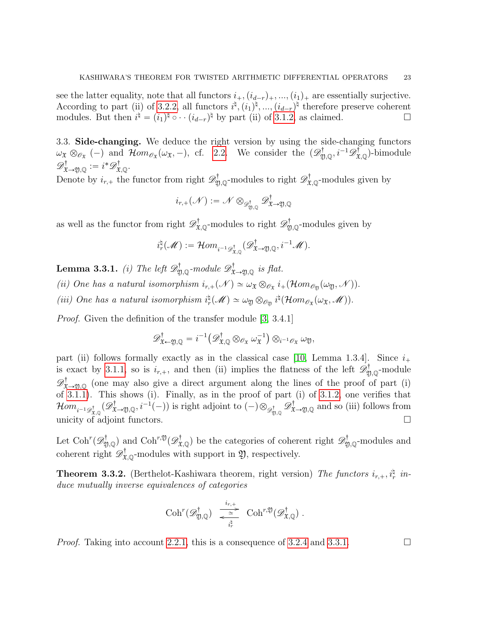see the latter equality, note that all functors  $i_+$ ,  $(i_{d-r})_+$ , ...,  $(i_1)_+$  are essentially surjective. According to part (ii) of [3.2.2,](#page-18-2) all functors  $i^{\dagger}$ ,  $(i_1)^{\dagger}$ , ...,  $(i_{d-r})^{\dagger}$  therefore preserve coherent modules. But then  $i^{\sharp} = (i_1)^{\sharp} \circ \cdots (i_{d-r})^{\sharp}$  by part (ii) of [3.1.2,](#page-17-0) as claimed.

<span id="page-22-0"></span>3.3. Side-changing. We deduce the right version by using the side-changing functors  $\omega_{\mathfrak{X}} \otimes_{\mathscr{O}_{\mathfrak{X}}} (-)$  and  $\mathcal{H}om_{\mathscr{O}_{\mathfrak{X}}}(\omega_{\mathfrak{X}}, -)$ , cf. [2.2.](#page-4-0) We consider the  $(\mathscr{D}^{\dagger}_{\mathfrak{Y},\mathbb{Q}}, i^{-1}\mathscr{D}^{\dagger}_{\mathfrak{X},\mathbb{Q}})$ -bimodule  $\mathscr{D}^{\dagger}_{\mathfrak{X}\rightarrow\mathfrak{Y},\mathbb{Q}}:=i^*\mathscr{D}^{\dagger}_{\mathfrak{X},\mathbb{Q}}.$ 

Denote by  $i_{r,+}$  the functor from right  $\mathscr{D}^{\dagger}_{\mathfrak{Y},\mathbb{Q}}$ -modules to right  $\mathscr{D}^{\dagger}_{\mathfrak{X},\mathbb{Q}}$ -modules given by

$$
i_{r,+}(\mathscr{N}):=\mathscr{N}\otimes_{\mathscr{D}^{\dagger}_{\mathfrak{Y},\mathbb{Q}}}\mathscr{D}^{\dagger}_{\mathfrak{X}\to \mathfrak{Y},\mathbb{Q}}
$$

as well as the functor from right  $\mathscr{D}^{\dagger}_{\mathfrak{X},\mathbb{Q}}$ -modules to right  $\mathscr{D}^{\dagger}_{\mathfrak{Y},\mathbb{Q}}$ -modules given by

$$
i_r^\natural(\mathscr{M}):=\mathcal{H}om_{i^{-1}\mathscr{D}^{\dagger}_{\mathfrak{X},\mathbb{Q}}}(\mathscr{D}^{\dagger}_{\mathfrak{X}\to\mathfrak{Y},\mathbb{Q}},i^{-1}\mathscr{M}).
$$

<span id="page-22-1"></span>**Lemma 3.3.1.** (i) The left  $\mathscr{D}^{\dagger}_{\mathfrak{Y},\mathbb{Q}}$ -module  $\mathscr{D}^{\dagger}_{\mathfrak{X}\rightarrow\mathfrak{Y},\mathbb{Q}}$  is flat. (ii) One has a natural isomorphism  $i_{r,+}(\mathcal{N}) \simeq \omega_{\mathfrak{X}} \otimes_{\mathscr{O}_{\mathfrak{X}}} i_+(\mathcal{H}om_{\mathscr{O}_{\mathfrak{Y}}}(\omega_{\mathfrak{Y}},\mathcal{N})).$ (iii) One has a natural isomorphism  $i_r^{\natural}(\mathcal{M}) \simeq \omega_{\mathfrak{Y}} \otimes_{\mathcal{O}_{\mathfrak{Y}}} i^{\natural}(\mathcal{H}om_{\mathcal{O}_{\mathfrak{X}}}(\omega_{\mathfrak{X}},\mathcal{M})).$ 

*Proof.* Given the definition of the transfer module [\[3,](#page-31-6) 3.4.1]

$$
\mathscr{D}^{\dagger}_{\mathfrak{X}\leftarrow\mathfrak{Y},\mathbb{Q}}=i^{-1}\big(\mathscr{D}^{\dagger}_{\mathfrak{X},\mathbb{Q}}\otimes_{\mathscr{O}_{\mathfrak{X}}}\omega_{\mathfrak{X}}^{-1}\big)\otimes_{i^{-1}\mathscr{O}_{\mathfrak{X}}}\omega_{\mathfrak{Y}},
$$

part (ii) follows formally exactly as in the classical case [\[10,](#page-31-9) Lemma 1.3.4]. Since  $i_+$ is exact by [3.1.1,](#page-16-2) so is  $i_{r,+}$ , and then (ii) implies the flatness of the left  $\mathscr{D}^{\dagger}_{\mathfrak{Y},\mathbb{Q}}$ -module  $\mathscr{D}^{\dagger}_{\mathfrak{X}\to\mathfrak{Y},\mathbb{Q}}$  (one may also give a direct argument along the lines of the proof of part (i) of [3.1.1\)](#page-16-2). This shows (i). Finally, as in the proof of part (i) of [3.1.2,](#page-17-0) one verifies that  $\mathcal{H}om_{i^{-1}\mathscr{D}^{\dagger}_{\mathfrak{X},\mathbb{Q}}}(\mathscr{D}^{\dagger}_{\mathfrak{X}\rightarrow\mathfrak{Y},\mathbb{Q}},i^{-1}(-))$  is right adjoint to  $(-)\otimes_{\mathscr{D}^{\dagger}_{\mathfrak{Y},\mathbb{Q}}}\mathscr{D}^{\dagger}_{\mathfrak{X}\rightarrow\mathfrak{Y},\mathbb{Q}}$  and so (iii) follows from unicity of adjoint functors.

Let  $\text{Coh}^r(\mathscr{D}^{\dagger}_{\mathfrak{Y},\mathbb{Q}})$  and  $\text{Coh}^{r,\mathfrak{Y}}(\mathscr{D}^{\dagger}_{\mathfrak{X},\mathbb{Q}})$  be the categories of coherent right  $\mathscr{D}^{\dagger}_{\mathfrak{Y},\mathbb{Q}}$ -modules and coherent right  $\mathscr{D}^{\dagger}_{\mathfrak{X},\mathbb{Q}}$ -modules with support in  $\mathfrak{Y}$ , respectively.

<span id="page-22-2"></span>**Theorem 3.3.2.** (Berthelot-Kashiwara theorem, right version) The functors  $i_{r,+}$ ,  $i_r^{\natural}$  induce mutually inverse equivalences of categories

$$
\mathrm{Coh}^r(\mathscr{D}^{\dagger}_{\mathfrak{Y},\mathbb{Q}}) \ \xrightarrow[\frac{i_r,+}{i_r^{\natural}}] \ \mathrm{Coh}^{r,\mathfrak{Y}}(\mathscr{D}^{\dagger}_{\mathfrak{X},\mathbb{Q}}) \ .
$$

*Proof.* Taking into account [2.2.1,](#page-4-2) this is a consequence of [3.2.4](#page-20-0) and [3.3.1.](#page-22-1)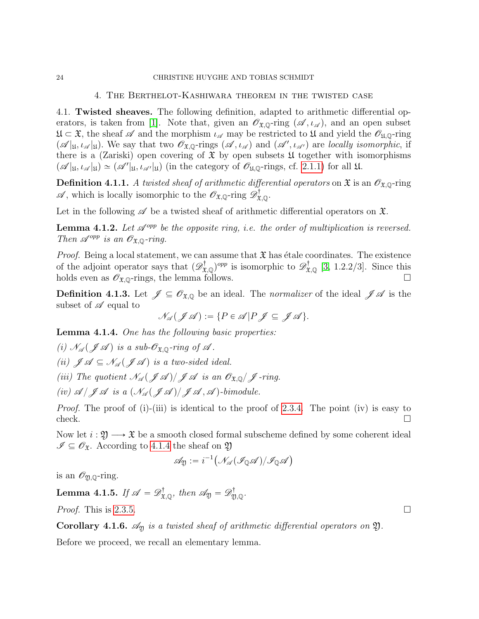#### 4. The Berthelot-Kashiwara theorem in the twisted case

<span id="page-23-1"></span>4.1. Twisted sheaves. The following definition, adapted to arithmetic differential op-erators, is taken from [\[1\]](#page-31-1). Note that, given an  $\mathscr{O}_{\mathfrak{X},\mathbb{Q}}$ -ring  $(\mathscr{A},\iota_{\mathscr{A}})$ , and an open subset  $\mathfrak{U} \subset \mathfrak{X}$ , the sheaf  $\mathscr A$  and the morphism  $\iota_{\mathscr A}$  may be restricted to  $\mathfrak U$  and yield the  $\mathscr O_{\mathfrak{U},\mathbb Q}$ -ring  $(\mathscr{A}|_{\mathfrak{U}}, \iota_{\mathscr{A}}|_{\mathfrak{U}})$ . We say that two  $\mathscr{O}_{\mathfrak{X},\mathbb{Q}}$ -rings  $(\mathscr{A}, \iota_{\mathscr{A}})$  and  $(\mathscr{A}', \iota_{\mathscr{A}'})$  are locally isomorphic, if there is a (Zariski) open covering of  $\mathfrak X$  by open subsets  $\mathfrak U$  together with isomorphisms  $\mathscr{A}|_{\mathfrak{U}}, \iota_{\mathscr{A}}|_{\mathfrak{U}} \simeq (\mathscr{A}'|_{\mathfrak{U}}, \iota_{\mathscr{A}'}|_{\mathfrak{U}})$  (in the category of  $\mathscr{O}_{\mathfrak{U},\mathbb{Q}}$ -rings, cf. [2.1.1\)](#page-4-3) for all  $\mathfrak{U}$ .

**Definition 4.1.1.** A twisted sheaf of arithmetic differential operators on  $\mathfrak{X}$  is an  $\mathcal{O}_{\mathfrak{X},\mathbb{Q}}$ -ring  $\mathscr{A}$ , which is locally isomorphic to the  $\mathscr{O}_{\mathfrak{X},\mathbb{Q}}$ -ring  $\mathscr{D}^{\dagger}_{\mathfrak{X},\mathbb{Q}}$ .

Let in the following  $\mathscr A$  be a twisted sheaf of arithmetic differential operators on  $\mathfrak X$ .

<span id="page-23-5"></span>**Lemma 4.1.2.** Let  $\mathcal{A}^{opp}$  be the opposite ring, i.e. the order of multiplication is reversed. Then  $\mathscr{A}^{opp}$  is an  $\mathscr{O}_{\mathfrak{X},\mathbb{Q}}$ -ring.

*Proof.* Being a local statement, we can assume that  $\mathfrak X$  has étale coordinates. The existence of the adjoint operator says that  $(\mathscr{D}^{\dagger}_{\mathfrak{X},\mathbb{Q}})^{opp}$  is isomorphic to  $\mathscr{D}^{\dagger}_{\mathfrak{X},\mathbb{Q}}$  [\[3,](#page-31-6) 1.2.2/3]. Since this holds even as  $\mathscr{O}_{\mathfrak{X},\mathbb{Q}}$ -rings, the lemma follows.

**Definition 4.1.3.** Let  $\mathscr{J} \subseteq \mathscr{O}_{\mathfrak{X},\mathbb{Q}}$  be an ideal. The *normalizer* of the ideal  $\mathscr{J} \mathscr{A}$  is the subset of  $\mathscr A$  equal to

$$
\mathcal{N}_{\mathscr{A}}(\mathscr{J}\mathscr{A}) := \{ P \in \mathscr{A} | P \mathscr{J} \subseteq \mathscr{J}\mathscr{A} \}.
$$

<span id="page-23-2"></span>Lemma 4.1.4. One has the following basic properties:

(i)  $\mathcal{N}_{\mathscr{A}}(\mathscr{J}\mathscr{A})$  is a sub- $\mathcal{O}_{\mathfrak{X},\mathbb{Q}}$ -ring of  $\mathscr{A}$ . (ii)  $\mathscr{J} \mathscr{A} \subseteq \mathscr{N}_{\mathscr{A}}(\mathscr{J} \mathscr{A})$  is a two-sided ideal. (iii) The quotient  $\mathcal{N}_{\mathcal{A}}(\mathcal{J} \mathcal{A})/\mathcal{J} \mathcal{A}$  is an  $\mathcal{O}_{\mathfrak{X},\mathbb{Q}}/\mathcal{J}$ -ring. (iv)  $\mathscr{A}/\mathscr{J} \mathscr{A}$  is a  $(\mathscr{N}_{\mathscr{A}}(\mathscr{J} \mathscr{A}))$   $\mathscr{J} \mathscr{A}, \mathscr{A}$  )-bimodule.

Proof. The proof of (i)-(iii) is identical to the proof of [2.3.4.](#page-7-0) The point (iv) is easy to  $check.$ 

Now let  $i : \mathfrak{Y} \longrightarrow \mathfrak{X}$  be a smooth closed formal subscheme defined by some coherent ideal  $\mathscr{I} \subseteq \mathscr{O}_{\mathfrak{X}}$ . According to [4.1.4](#page-23-2) the sheaf on  $\mathfrak{Y}$ 

$$
\mathscr{A}_{\mathfrak{Y}}:=i^{-1}\big(\mathscr{N}_{\mathscr{A}}(\mathscr{I}_{\mathbb{Q}}\mathscr{A})/\mathscr{I}_{\mathbb{Q}}\mathscr{A}\big)
$$

is an  $\mathscr{O}_{\mathfrak{Y},\mathbb{Q}}$ -ring.

<span id="page-23-3"></span>**Lemma 4.1.5.** If  $\mathscr{A} = \mathscr{D}^{\dagger}_{\mathfrak{X},\mathbb{Q}}$ , then  $\mathscr{A}_{\mathfrak{Y}} = \mathscr{D}^{\dagger}_{\mathfrak{Y},\mathbb{Q}}$ .

*Proof.* This is [2.3.5.](#page-7-1)

<span id="page-23-4"></span>**Corollary 4.1.6.**  $\mathscr{A}_{\mathfrak{Y}}$  is a twisted sheaf of arithmetic differential operators on  $\mathfrak{Y}$ .

Before we proceed, we recall an elementary lemma.

<span id="page-23-0"></span>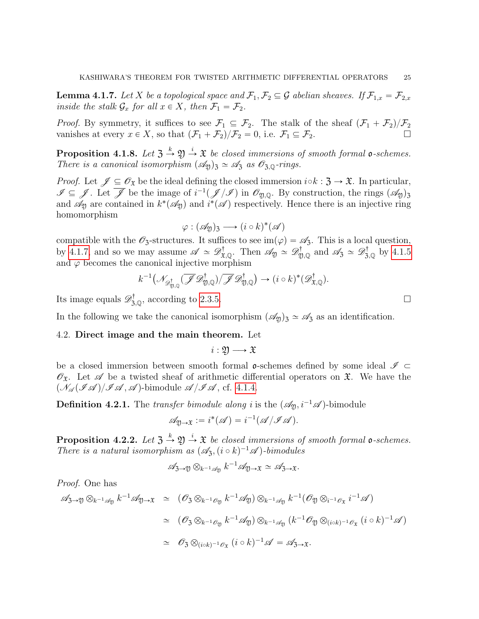<span id="page-24-1"></span>**Lemma 4.1.7.** Let X be a topological space and  $\mathcal{F}_1, \mathcal{F}_2 \subseteq \mathcal{G}$  abelian sheaves. If  $\mathcal{F}_{1,x} = \mathcal{F}_{2,x}$ inside the stalk  $\mathcal{G}_x$  for all  $x \in X$ , then  $\mathcal{F}_1 = \mathcal{F}_2$ .

*Proof.* By symmetry, it suffices to see  $\mathcal{F}_1 \subseteq \mathcal{F}_2$ . The stalk of the sheaf  $(\mathcal{F}_1 + \mathcal{F}_2)/\mathcal{F}_2$ vanishes at every  $x \in X$ , so that  $(\mathcal{F}_1 + \mathcal{F}_2)/\mathcal{F}_2 = 0$ , i.e.  $\mathcal{F}_1 \subseteq \mathcal{F}_2$ .

**Proposition 4.1.8.** Let  $\mathfrak{Z} \stackrel{k}{\rightarrow} \mathfrak{Y} \stackrel{i}{\rightarrow} \mathfrak{X}$  be closed immersions of smooth formal **o**-schemes. There is a canonical isomorphism  $(\mathcal{A}_{\mathfrak{Y}})_3 \simeq \mathcal{A}_3$  as  $\mathcal{O}_{3,\mathbb{Q}}$ -rings.

*Proof.* Let  $\mathscr{J} \subseteq \mathscr{O}_{\mathfrak{X}}$  be the ideal defining the closed immersion  $i \circ k : \mathfrak{Z} \to \mathfrak{X}$ . In particular,  $\mathscr{I} \subseteq \mathscr{J}$ . Let  $\overline{\mathscr{J}}$  be the image of  $i^{-1}(\mathscr{J}/\mathscr{I})$  in  $\mathscr{O}_{\mathfrak{Y},\mathbb{Q}}$ . By construction, the rings  $(\mathscr{A}_{\mathfrak{Y}})_{\mathfrak{Z}}$ and  $\mathscr{A}_{\mathfrak{Y}}$  are contained in  $k^*(\mathscr{A}_{\mathfrak{Y}})$  and  $i^*(\mathscr{A})$  respectively. Hence there is an injective ring homomorphism

$$
\varphi : (\mathscr{A}_{\mathfrak{Y}})_3 \longrightarrow (i \circ k)^* (\mathscr{A})
$$

compatible with the  $\mathscr{O}_3$ -structures. It suffices to see im $(\varphi) = \mathscr{A}_3$ . This is a local question, by [4.1.7,](#page-24-1) and so we may assume  $\mathscr{A} \simeq \mathscr{D}^{\dagger}_{\mathfrak{X},\mathbb{Q}}$ . Then  $\mathscr{A}_{\mathfrak{Y}} \simeq \mathscr{D}^{\dagger}_{\mathfrak{Y},\mathbb{Q}}$  and  $\mathscr{A}_{\mathfrak{Z}} \simeq \mathscr{D}^{\dagger}_{\mathfrak{Z},\mathbb{Q}}$  by [4.1.5](#page-23-3) and  $\varphi$  becomes the canonical injective morphism

$$
k^{-1}(\mathscr{N}_{\mathscr{D}^{\dagger}_{\mathfrak{Y},\mathbb{Q}}}(\overline{\mathscr{J}}\mathscr{D}^{\dagger}_{\mathfrak{Y},\mathbb{Q}})/\overline{\mathscr{J}}\mathscr{D}^{\dagger}_{\mathfrak{Y},\mathbb{Q}}) \to (i \circ k)^{*}(\mathscr{D}^{\dagger}_{\mathfrak{X},\mathbb{Q}}).
$$

Its image equals  $\mathscr{D}_{3,\mathbb{Q}}^{\dagger}$ , according to [2.3.5.](#page-7-1)

In the following we take the canonical isomorphism  $(\mathscr{A}_{\mathfrak{Y}})_3 \simeq \mathscr{A}_3$  as an identification.

### <span id="page-24-0"></span>4.2. Direct image and the main theorem. Let

$$
i:\mathfrak{Y}\longrightarrow \mathfrak{X}
$$

be a closed immersion between smooth formal  $\mathfrak{o}$ -schemes defined by some ideal  $\mathscr{I} \subset$  $\mathscr{O}_{\mathfrak{X}}$ . Let  $\mathscr{A}$  be a twisted sheaf of arithmetic differential operators on  $\mathfrak{X}$ . We have the  $(\mathcal{N}_{\mathscr{A}}(\mathscr{I} \mathscr{A})/\mathscr{I} \mathscr{A}, \mathscr{A})$ -bimodule  $\mathscr{A}/\mathscr{I} \mathscr{A},$  cf. [4.1.4.](#page-23-2)

**Definition 4.2.1.** The transfer bimodule along i is the  $(\mathscr{A}_{\mathfrak{Y}}, i^{-1}\mathscr{A})$ -bimodule

$$
\mathscr{A}_{\mathfrak{Y}\rightarrow \mathfrak{X}}:=i^*(\mathscr{A})=i^{-1}(\mathscr{A}/\mathscr{I}\mathscr{A}).
$$

<span id="page-24-2"></span>**Proposition 4.2.2.** Let  $\mathfrak{Z} \stackrel{k}{\rightarrow} \mathfrak{Y} \stackrel{i}{\rightarrow} \mathfrak{X}$  be closed immersions of smooth formal **o**-schemes. There is a natural isomorphism as  $(\mathscr{A}_{3}, (i \circ k)^{-1} \mathscr{A})$ -bimodules

$$
\mathscr{A}_{\mathfrak{Z}\to \mathfrak{Y}} \otimes_{k^{-1}\mathscr{A}_{\mathfrak{Y}}} k^{-1}\mathscr{A}_{\mathfrak{Y}\to \mathfrak{X}} \simeq \mathscr{A}_{\mathfrak{Z}\to \mathfrak{X}}.
$$

Proof. One has

$$
\mathscr{A}_{3\to 2} \otimes_{k^{-1}\mathscr{A}_\mathfrak{Y}} k^{-1} \mathscr{A}_{\mathfrak{Y}\to \mathfrak{X}} \simeq (\mathscr{O}_3 \otimes_{k^{-1}\mathscr{O}_\mathfrak{Y}} k^{-1} \mathscr{A}_\mathfrak{Y}) \otimes_{k^{-1}\mathscr{A}_\mathfrak{Y}} k^{-1} (\mathscr{O}_\mathfrak{Y} \otimes_{i^{-1}\mathscr{O}_{\mathfrak{X}}} i^{-1} \mathscr{A})
$$
  
\simeq (\mathscr{O}\_3 \otimes\_{k^{-1}\mathscr{O}\_\mathfrak{Y}} k^{-1} \mathscr{A}\_\mathfrak{Y}) \otimes\_{k^{-1}\mathscr{A}\_\mathfrak{Y}} (k^{-1} \mathscr{O}\_\mathfrak{Y} \otimes\_{(i \circ k)^{-1}\mathscr{O}\_{\mathfrak{X}}} (i \circ k)^{-1} \mathscr{A})  
\simeq \mathscr{O}\_3 \otimes\_{(i \circ k)^{-1}\mathscr{O}\_{\mathfrak{X}}} (i \circ k)^{-1} \mathscr{A} = \mathscr{A}\_{3\to \mathfrak{X}}.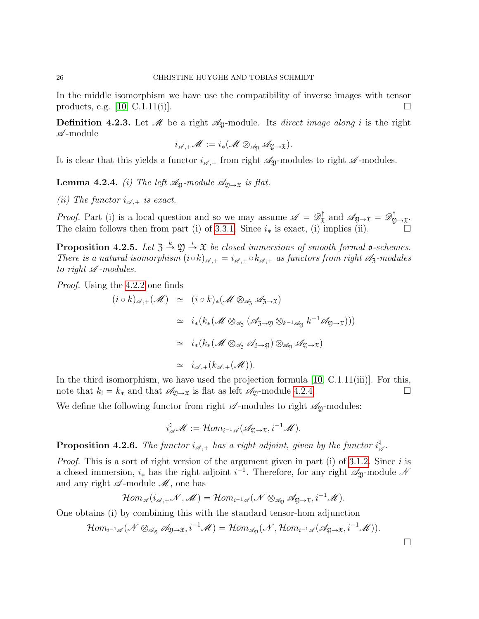In the middle isomorphism we have use the compatibility of inverse images with tensor products, e.g.  $[10, C.1.11(i)]$ .

**Definition 4.2.3.** Let  $\mathcal{M}$  be a right  $\mathcal{A}_{\mathfrak{Y}}$ -module. Its *direct image along i* is the right  $\mathscr{A}\text{-module}$ 

$$
i_{\mathscr{A},+}{\mathscr{M}}:=i_{*}({\mathscr{M}}\otimes_{{\mathscr{A}}_{\mathfrak{Y}}}{\mathscr{A}}_{{\mathfrak{Y}}\to {\mathfrak{X}}}).
$$

It is clear that this yields a functor  $i_{\mathscr{A},+}$  from right  $\mathscr{A}_p$ -modules to right  $\mathscr{A}$ -modules.

<span id="page-25-0"></span>**Lemma 4.2.4.** (i) The left  $\mathcal{A}_{\mathfrak{Y}}$ -module  $\mathcal{A}_{\mathfrak{Y}\rightarrow\mathfrak{X}}$  is flat.

(ii) The functor  $i_{\mathscr{A},+}$  is exact.

*Proof.* Part (i) is a local question and so we may assume  $\mathscr{A} = \mathscr{D}_{\mathfrak{X}}^{\dagger}$  $\mathcal{A}^\dagger_{\mathfrak{X}}$  and  $\mathscr{A}_{\mathfrak{Y}\rightarrow \mathfrak{X}} = \mathscr{D}^\dagger_{\mathfrak{Y}}$ i™<br>ฎ)→X· The claim follows then from part (i) of [3.3.1.](#page-22-1) Since  $i_*$  is exact, (i) implies (ii).

<span id="page-25-1"></span>**Proposition 4.2.5.** Let  $\mathfrak{Z} \stackrel{k}{\rightarrow} \mathfrak{Y} \stackrel{i}{\rightarrow} \mathfrak{X}$  be closed immersions of smooth formal **o**-schemes. There is a natural isomorphism  $(i \circ k)_{\mathscr{A},+} = i_{\mathscr{A},+} \circ k_{\mathscr{A},+}$  as functors from right  $\mathscr{A}_3$ -modules to right  $\mathscr A$ -modules.

Proof. Using the [4.2.2](#page-24-2) one finds

$$
(i \circ k)_{\mathscr{A},+}(\mathscr{M}) \simeq (i \circ k)_*(\mathscr{M} \otimes_{\mathscr{A}_3} \mathscr{A}_{3\to \mathfrak{X}})
$$
  
\n
$$
\simeq i_*(k_*(\mathscr{M} \otimes_{\mathscr{A}_3} (\mathscr{A}_{3\to 2}) \otimes_{k^{-1}\mathscr{A}_{2}} k^{-1}\mathscr{A}_{2\to \mathfrak{X}})))
$$
  
\n
$$
\simeq i_*(k_*(\mathscr{M} \otimes_{\mathscr{A}_3} \mathscr{A}_{3\to 2}) \otimes_{\mathscr{A}_2} \mathscr{A}_{2\to \mathfrak{X}})
$$
  
\n
$$
\simeq i_{\mathscr{A},+}(k_{\mathscr{A},+}(\mathscr{M})).
$$

In the third isomorphism, we have used the projection formula  $[10, C.1.11(iii)]$ . For this, note that  $k_! = k_*$  and that  $\mathscr{A}_{\mathfrak{Y}\to\mathfrak{X}}$  is flat as left  $\mathscr{A}_{\mathfrak{Y}}$ -module [4.2.4.](#page-25-0)

We define the following functor from right  $\mathscr A$ -modules to right  $\mathscr A_{\mathfrak Y}$ -modules:

$$
i_{\mathscr{A}}^{\natural}\mathscr{M}:=\mathcal{H}om_{i^{-1}\mathscr{A}}(\mathscr{A}_{\mathfrak{Y}\rightarrow\mathfrak{X}},i^{-1}\mathscr{M}).
$$

<span id="page-25-2"></span>**Proposition 4.2.6.** The functor  $i_{\mathscr{A},+}$  has a right adjoint, given by the functor  $i_{\mathscr{A}}^{\natural}$ q<br>≪∙

*Proof.* This is a sort of right version of the argument given in part (i) of [3.1.2.](#page-17-0) Since i is a closed immersion,  $i_*$  has the right adjoint  $i^{-1}$ . Therefore, for any right  $\mathscr{A}_{\mathfrak{Y}}$ -module  $\mathscr{N}$ and any right  $\mathscr A$ -module  $\mathscr M$ , one has

$$
\mathcal{H}om_{\mathscr{A}}(i_{\mathscr{A},+}{\mathscr{N}},{\mathscr{M}})=\mathcal{H}om_{i^{-1}{\mathscr{A}}}({\mathscr{N}}\otimes_{{\mathscr{A}}_\mathfrak{Y}} {\mathscr{A}}_{\mathfrak{Y}\rightarrow\mathfrak{X}},i^{-1}{\mathscr{M}}).
$$

One obtains (i) by combining this with the standard tensor-hom adjunction

$$
\mathcal{H}om_{i^{-1}\mathscr{A}}(\mathscr{N}\otimes_{\mathscr{A}_{\mathfrak{Y}}}\mathscr{A}_{\mathfrak{Y}\rightarrow\mathfrak{X}},i^{-1}\mathscr{M})=\mathcal{H}om_{\mathscr{A}_{\mathfrak{Y}}}(\mathscr{N},\mathcal{H}om_{i^{-1}\mathscr{A}}(\mathscr{A}_{\mathfrak{Y}\rightarrow\mathfrak{X}},i^{-1}\mathscr{M})).
$$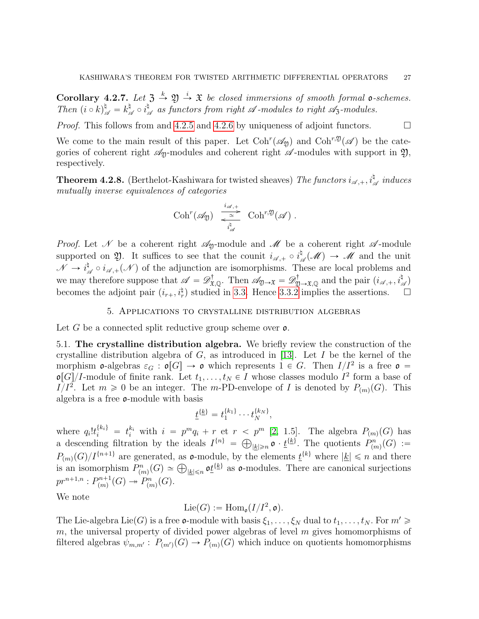**Corollary 4.2.7.** Let  $\mathfrak{Z} \stackrel{k}{\rightarrow} \mathfrak{Y} \stackrel{i}{\rightarrow} \mathfrak{X}$  be closed immersions of smooth formal **o**-schemes. Then  $(i \circ k)_{\mathscr{A}}^{\natural} = k_{\mathscr{A}}^{\natural}$  $\frac{\natural}{\mathscr{A}}\circ i^\natural_\mathscr{A}$  $\mathbb{R}_{\mathscr{A}}$  as functors from right  $\mathscr{A}$ -modules to right  $\mathscr{A}_{3}$ -modules.

*Proof.* This follows from and [4.2.5](#page-25-1) and [4.2.6](#page-25-2) by uniqueness of adjoint functors.  $\Box$ 

We come to the main result of this paper. Let  $Coh^{r}(\mathscr{A}_{\mathfrak{Y}})$  and  $Coh^{r,\mathfrak{Y}}(\mathscr{A})$  be the categories of coherent right  $\mathscr{A}_{\mathfrak{Y}}$ -modules and coherent right  $\mathscr{A}$ -modules with support in  $\mathfrak{Y},$ respectively.

<span id="page-26-2"></span>**Theorem 4.2.8.** (Berthelot-Kashiwara for twisted sheaves) The functors  $i_{\mathscr{A},+}, i_{\mathscr{A}}^{\natural}$  induces mutually inverse equivalences of categories

$$
\mathrm{Coh}^r(\mathscr{A}_{\mathfrak{Y}}) \xrightarrow[\frac{i_{\mathscr{A},+}}{i_{\mathscr{A}}^{\natural}}] \mathrm{Coh}^{r,\mathfrak{Y}}(\mathscr{A}) .
$$

*Proof.* Let N be a coherent right  $\mathcal{A}_y$ -module and N be a coherent right  $\mathcal{A}$ -module supported on  $\mathfrak{Y}$ . It suffices to see that the counit  $i_{\mathscr{A},+} \circ i_{\mathscr{A}}^{\natural}$  $\mathcal{M}(\mathcal{M}) \to \mathcal{M}$  and the unit  $\mathscr{N} \to i_s^\natural$  $\mathcal{A}_{\mathscr{A}} \circ i_{\mathscr{A},+}(\mathscr{N})$  of the adjunction are isomorphisms. These are local problems and we may therefore suppose that  $\mathscr{A} = \mathscr{D}^{\dagger}_{\mathfrak{X},\mathbb{Q}}$ . Then  $\mathscr{A}_{\mathfrak{Y}\to\mathfrak{X}} = \mathscr{D}^{\dagger}_{\mathfrak{Y}\to\mathfrak{X},\mathbb{Q}}$  and the pair  $(i_{\mathscr{A},+},i_{\mathscr{A}}^{\dagger})$ becomes the adjoint pair  $(i_{r+}, i_r^{\sharp})$  studied in [3.3.](#page-22-0) Hence [3.3.2](#page-22-2) implies the assertions.  $\Box$ 

## 5. Applications to crystalline distribution algebras

<span id="page-26-0"></span>Let G be a connected split reductive group scheme over  $\mathfrak{o}$ .

<span id="page-26-1"></span>5.1. The crystalline distribution algebra. We briefly review the construction of the crystalline distribution algebra of  $G$ , as introduced in [\[13\]](#page-32-4). Let  $I$  be the kernel of the morphism **o**-algebras  $\varepsilon_G$ :  $\mathfrak{o}[G] \to \mathfrak{o}$  which represents  $1 \in G$ . Then  $I/I^2$  is a free  $\mathfrak{o} =$  $\mathfrak{o}[G]/I$ -module of finite rank. Let  $t_1, \ldots, t_N \in I$  whose classes modulo  $I^2$  form a base of I/I<sup>2</sup>. Let  $m \geq 0$  be an integer. The m-PD-envelope of I is denoted by  $P_{(m)}(G)$ . This algebra is a free o-module with basis

$$
\underline{t}^{\{\underline{k}\}} = t_1^{\{k_1\}} \cdots t_N^{\{k_N\}},
$$

where  $q_i!t_i^{\{k_i\}} = t_i^{k_i}$  with  $i = p^mq_i + r$  et  $r < p^m$  [\[2,](#page-31-2) 1.5]. The algebra  $P_{(m)}(G)$  has a descending filtration by the ideals  $I^{\{n\}} =$  $\leq$  $|k| \geq n$   $\mathfrak{o} \cdot \underline{t}^{\{k\}}$ . The quotients  $P_{(m)}^n(G) :=$  $P_{(m)}(G)/I^{\{n+1\}}$  are generated, as **c**-module, by the elements  $\underline{t}^{\{k\}}$  where  $|\underline{k}| \leq n$  and there  $P_{(m)}(G)/I^{n+1}$  are generated, as **c**-module, by the elements  $\underline{t}^{n}$  where  $|\underline{k}| \leq n$  and there is an isomorphism  $P_{(m)}^n(G) \simeq \bigoplus_{|\underline{k}| \leq n} \mathfrak{o}^{\underline{t}}_{\underline{k}}$  as **c**-modules. There are canonical surjections  $pr^{n+1,n} : P^{n+1}_{(m)}$  $p_{(m)}^{n+1}(G) \twoheadrightarrow P_{(m)}^n(G).$ 

We note

$$
\mathrm{Lie}(G):=\mathrm{Hom}_{\mathfrak{o}}(I/I^2,\mathfrak{o}).
$$

The Lie-algebra Lie(G) is a free **o**-module with basis  $\xi_1, \ldots, \xi_N$  dual to  $t_1, \ldots, t_N$ . For  $m' \geq$  $m$ , the universal property of divided power algebras of level  $m$  gives homomorphisms of filtered algebras  $\psi_{m,m'} : P_{(m')}(G) \to P_{(m)}(G)$  which induce on quotients homomorphisms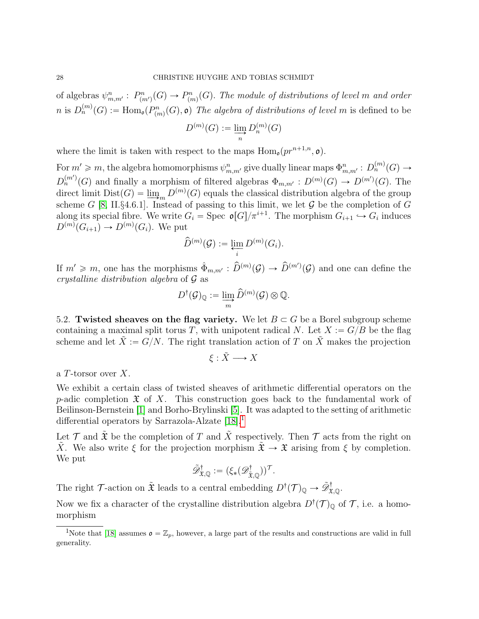of algebras  $\psi_{m,m'}^n: P_{(m')}^n(G) \to P_{(m)}^n(G)$ . The module of distributions of level m and order n is  $D_n^{(m)}(G) := \text{Hom}_{\mathfrak{o}}(P_{(m)}^n(G), \mathfrak{o})$  The algebra of distributions of level m is defined to be

$$
D^{(m)}(G) := \varinjlim_{n} D_{n}^{(m)}(G)
$$

where the limit is taken with respect to the maps  $\text{Hom}_{\mathfrak{g}}(pr^{n+1,n}, \mathfrak{o}).$ 

For  $m' \geq m$ , the algebra homomorphisms  $\psi_{m,m'}^n$  give dually linear maps  $\Phi_{m,m'}^n : D_n^{(m)}(G) \to D_m^{(m)}(G)$  $D_n^{(m)}(G)$  and finally a morphism of filtered algebras  $\Phi_{m,m'} : D^{(m)}(G) \to D^{(m')}(G)$ . The direct limit  $Dist(G) = \lim_{m \to \infty} D^{(m)}(G)$  equals the classical distribution algebra of the group scheme G [\[8,](#page-31-11) II.§4.6.1]. Instead of passing to this limit, we let G be the completion of G along its special fibre. We write  $G_i = \text{Spec } \mathfrak{o}[G]/\pi^{i+1}$ . The morphism  $G_{i+1} \hookrightarrow G_i$  induces  $D^{(m)}(G_{i+1}) \to D^{(m)}(G_i)$ . We put

$$
\widehat{D}^{(m)}(\mathcal{G}) := \varprojlim_{i} D^{(m)}(G_i).
$$

If  $m' \geq m$ , one has the morphisms  $\hat{\Phi}_{m,m'} : \hat{D}^{(m)}(\mathcal{G}) \to \hat{D}^{(m')}(\mathcal{G})$  and one can define the crystalline distribution algebra of G as

$$
D^{\dagger}(\mathcal{G})_{\mathbb{Q}} := \varinjlim_{m} \widehat{D}^{(m)}(\mathcal{G}) \otimes \mathbb{Q}.
$$

<span id="page-27-0"></span>5.2. Twisted sheaves on the flag variety. We let  $B \subset G$  be a Borel subgroup scheme containing a maximal split torus T, with unipotent radical N. Let  $X := G/B$  be the flag scheme and let  $\tilde{X} := G/N$ . The right translation action of T on  $\tilde{X}$  makes the projection

$$
\xi:\tilde{X}\longrightarrow X
$$

a T-torsor over X.

We exhibit a certain class of twisted sheaves of arithmetic differential operators on the p-adic completion  $\mathfrak X$  of X. This construction goes back to the fundamental work of Beilinson-Bernstein [\[1\]](#page-31-1) and Borho-Brylinski [\[5\]](#page-31-5). It was adapted to the setting of arithmetic differential operators by Sarrazola-Alzate [\[18\]](#page-32-3).[1](#page-27-1)

Let  $\mathcal T$  and  $\tilde{\mathfrak X}$  be the completion of T and  $\tilde X$  respectively. Then  $\mathcal T$  acts from the right on  $\tilde{X}$ . We also write  $\xi$  for the projection morphism  $\tilde{\mathfrak{X}} \to \mathfrak{X}$  arising from  $\xi$  by completion. We put

$$
\tilde{\mathscr{D}}^\dagger_{\mathfrak{X}, \mathbb{Q}} := (\xi_*(\mathscr{D}^\dagger_{\tilde{\mathfrak{X}}, \mathbb{Q}}))^\mathcal{T}.
$$

The right  $\mathcal{T}$ -action on  $\tilde{\mathfrak{X}}$  leads to a central embedding  $D^{\dagger}(\mathcal{T})_{\mathbb{Q}} \to \tilde{\mathscr{D}}_{\mathfrak{X},\mathbb{Q}}^{\dagger}$ .

Now we fix a character of the crystalline distribution algebra  $D^{\dagger}(\mathcal{T})_{\mathbb{Q}}$  of  $\mathcal{T}$ , i.e. a homomorphism

<span id="page-27-1"></span><sup>&</sup>lt;sup>1</sup>Note that [\[18\]](#page-32-3) assumes  $\mathfrak{o} = \mathbb{Z}_p$ , however, a large part of the results and constructions are valid in full generality.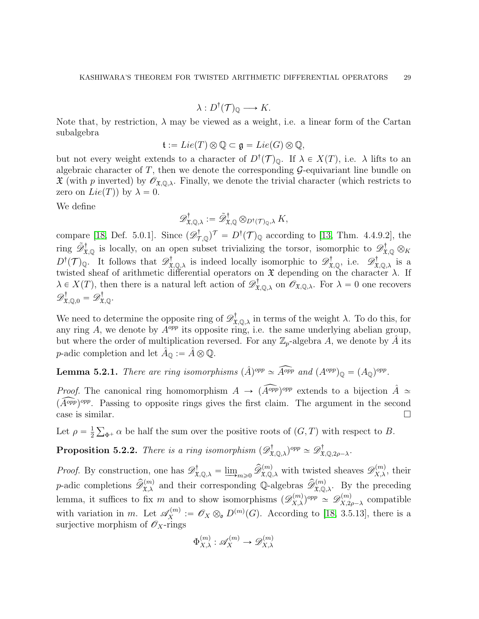$$
\lambda: D^{\dagger}(\mathcal{T})_{\mathbb{Q}} \longrightarrow K.
$$

Note that, by restriction,  $\lambda$  may be viewed as a weight, i.e. a linear form of the Cartan subalgebra

$$
\mathfrak{t} := Lie(T) \otimes \mathbb{Q} \subset \mathfrak{g} = Lie(G) \otimes \mathbb{Q},
$$

but not every weight extends to a character of  $D^{\dagger}(\mathcal{T})_{\mathbb{Q}}$ . If  $\lambda \in X(T)$ , i.e.  $\lambda$  lifts to an algebraic character of  $T$ , then we denote the corresponding  $\mathcal{G}$ -equivariant line bundle on  $\mathfrak X$  (with p inverted) by  $\mathscr O_{\mathfrak X,\mathbb Q,\lambda}$ . Finally, we denote the trivial character (which restricts to zero on  $Lie(T)$  by  $\lambda = 0$ .

We define

$$
\mathscr{D}^{\dagger}_{\mathfrak{X},\mathbb{Q},\lambda} := \tilde{\mathscr{D}}^{\dagger}_{\mathfrak{X},\mathbb{Q}} \otimes_{D^{\dagger}(\mathcal{T})_{\mathbb{Q}},\lambda} K,
$$

compare [\[18,](#page-32-3) Def. 5.0.1]. Since  $(\mathscr{D}^{\dagger}_{\mathcal{T},\mathbb{Q}})^{\mathcal{T}} = D^{\dagger}(\mathcal{T})_{\mathbb{Q}}$  according to [\[13,](#page-32-4) Thm. 4.4.9.2], the ring  $\tilde{\mathscr{D}}_{\mathfrak{X},\mathbb{Q}}^{\dagger}$  is locally, on an open subset trivializing the torsor, isomorphic to  $\mathscr{D}_{\mathfrak{X},\mathbb{Q}}^{\dagger} \otimes_K$  $D^{\dagger}(\mathcal{T})_{\mathbb{Q}}$ . It follows that  $\mathscr{D}^{\dagger}_{\mathfrak{X},\mathbb{Q},\lambda}$  is indeed locally isomorphic to  $\mathscr{D}^{\dagger}_{\mathfrak{X},\mathbb{Q}},$  i.e.  $\mathscr{D}^{\dagger}_{\mathfrak{X},\mathbb{Q},\lambda}$  is a twisted sheaf of arithmetic differential operators on  $\mathfrak X$  depending on the character  $\lambda$ . If  $\lambda \in X(T)$ , then there is a natural left action of  $\mathscr{D}^{\dagger}_{\mathfrak{X},\mathbb{Q},\lambda}$  on  $\mathscr{O}_{\mathfrak{X},\mathbb{Q},\lambda}$ . For  $\lambda = 0$  one recovers  $\mathscr{D}^{\dagger}_{\mathfrak{X},\mathbb{Q},0}=\mathscr{D}^{\dagger}_{\mathfrak{X},\mathbb{Q}}.$ 

We need to determine the opposite ring of  $\mathscr{D}^{\dagger}_{\mathfrak{X},\mathbb{Q},\lambda}$  in terms of the weight  $\lambda$ . To do this, for any ring A, we denote by  $A^{opp}$  its opposite ring, i.e. the same underlying abelian group, but where the order of multiplication reversed. For any  $\mathbb{Z}_p$ -algebra A, we denote by A its *p*-adic completion and let  $\hat{A}_{\mathbb{Q}} := \hat{A} \otimes \mathbb{Q}$ .

**Lemma 5.2.1.** There are ring isomorphisms  $(\hat{A})^{opp} \simeq \widehat{A^{opp}}$  and  $(A^{opp})_{\mathbb{Q}} = (A_{\mathbb{Q}})^{opp}$ .

*Proof.* The canonical ring homomorphism  $A \to (\widehat{A^{opp}})^{opp}$  extends to a bijection  $\hat{A} \simeq$  $\widetilde{(A^{opp})^{opp}}$ . Passing to opposite rings gives the first claim. The argument in the second case is similar.

Let  $\rho = \frac{1}{2}$ 2  $_{\Phi^+}$   $\alpha$  be half the sum over the positive roots of  $(G, T)$  with respect to B.

<span id="page-28-0"></span>**Proposition 5.2.2.** There is a ring isomorphism  $(\mathscr{D}^{\dagger}_{\mathfrak{X},\mathbb{Q},\lambda})^{opp} \simeq \mathscr{D}^{\dagger}_{\mathfrak{X},\mathbb{Q},2\rho-\lambda}$ .

*Proof.* By construction, one has  $\mathscr{D}^{\dagger}_{\mathfrak{X},\mathbb{Q},\lambda} = \underline{\lim}_{m\geq 0} \widehat{\mathscr{D}}^{(m)}_{\mathfrak{X},\mathbb{Q},\lambda}$  with twisted sheaves  $\mathscr{D}^{(m)}_{X,\lambda}$ , their p-adic completions  $\widehat{\mathcal{D}}_{\mathfrak{X},\lambda}^{(m)}$  and their corresponding Q-algebras  $\widehat{\mathcal{D}}_{\mathfrak{X},\mathbb{Q},\lambda}^{(m)}$ . By the preceding lemma, it suffices to fix m and to show isomorphisms  $(\mathscr{D}_{X,\lambda}^{(m)})^{opp} \simeq \mathscr{D}_{X,2}^{(m)}$  $\chi^{(m)}_{X,2\rho-\lambda}$  compatible with variation in m. Let  $\mathscr{A}_X^{(m)} := \mathscr{O}_X \otimes_{\mathfrak{o}} D^{(m)}(G)$ . According to [\[18,](#page-32-3) 3.5.13], there is a surjective morphism of  $\mathscr{O}_X$ -rings

$$
\Phi_{X,\lambda}^{(m)} : \mathscr{A}_X^{(m)} \to \mathscr{D}_{X,\lambda}^{(m)}
$$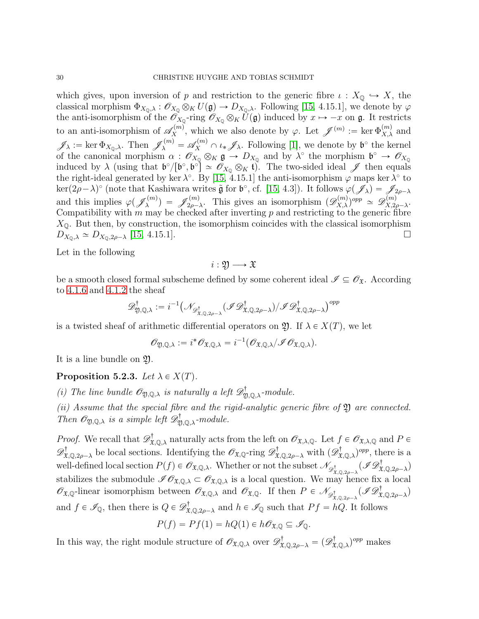which gives, upon inversion of p and restriction to the generic fibre  $\iota : X_{\mathbb{Q}} \hookrightarrow X$ , the classical morphism  $\Phi_{X_0,\lambda} : \mathscr{O}_{X_0} \otimes_K U(\mathfrak{g}) \to D_{X_0,\lambda}$ . Following [\[15,](#page-32-1) 4.15.1], we denote by  $\varphi$ the anti-isomorphism of the  $\mathscr{O}_{X_0}$ -ring  $\mathscr{O}_{X_0} \otimes_K U(\mathfrak{g})$  induced by  $x \mapsto -x$  on  $\mathfrak{g}$ . It restricts to an anti-isomorphism of  $\mathscr{A}_{X}^{(m)}$ , which we also denote by  $\varphi$ . Let  $\mathscr{J}^{(m)} := \text{ker } \Phi_{X,\lambda}^{(m)}$  and  $\mathscr{J}_{\lambda} := \ker \Phi_{X_{\mathbb{Q}},\lambda}$ . Then  $\mathscr{J}_{\lambda}^{(m)} = \mathscr{A}_{X}^{(m)} \cap \iota_* \mathscr{J}_{\lambda}$ . Following [\[1\]](#page-31-1), we denote by  $\mathfrak{b}^{\circ}$  the kernel of the canonical morphism  $\alpha$ :  $\mathscr{O}_{X_0} \otimes_K \mathfrak{g} \to D_{X_0}$  and by  $\lambda^{\circ}$  the morphism  $\mathfrak{b}^{\circ} \to \mathscr{O}_{X_0}$ induced by  $\lambda$  (using that  $\mathfrak{b}^{\circ}/[\mathfrak{b}^{\circ}, \mathfrak{b}^{\circ}] \simeq \mathscr{O}_{X_{\mathbb{Q}}} \otimes_K \mathfrak{t}$ ). The two-sided ideal  $\mathscr{J}$  then equals the right-ideal generated by ker  $\lambda^{\circ}$ . By [\[15,](#page-32-1) 4.15.1] the anti-isomorphism  $\varphi$  maps ker  $\lambda^{\circ}$  to  $\ker(2\rho-\lambda)^\circ$  (note that Kashiwara writes  $\tilde{\mathfrak{g}}$  for  $\mathfrak{b}^\circ$ , cf. [\[15,](#page-32-1) 4.3]). It follows  $\varphi(\mathscr{J}_\lambda) = \mathscr{J}_{2\rho-\lambda}$ and this implies  $\varphi(\mathscr{J}_{\lambda}^{(m)}) = \mathscr{J}_{2\rho-\lambda}^{(m)}$ . This gives an isomorphism  $(\mathscr{D}_{X,\lambda}^{(m)})^{opp} \simeq \mathscr{D}_{X,2\rho}^{(m)}$  $^{(m)}_{X,2\rho-\lambda}.$ Compatibility with  $m$  may be checked after inverting  $p$  and restricting to the generic fibre  $X_{\mathbb{Q}}$ . But then, by construction, the isomorphism coincides with the classical isomorphism  $D_{X_{\mathbb{Q}},\lambda} \simeq D_{X_{\mathbb{Q}},2\rho-\lambda}$  [\[15,](#page-32-1) 4.15.1].

Let in the following

$$
i:\mathfrak{Y}\longrightarrow \mathfrak{X}
$$

be a smooth closed formal subscheme defined by some coherent ideal  $\mathscr{I} \subseteq \mathscr{O}_{\mathfrak{X}}$ . According to [4.1.6](#page-23-4) and [4.1.2](#page-23-5) the sheaf

$$
\mathscr{D}^\dagger_{\mathfrak{Y},\mathbb{Q},\lambda}:=i^{-1}\big(\mathscr{N}_{\mathscr{D}^\dagger_{\mathfrak{X},\mathbb{Q},2\rho-\lambda}}(\mathscr{I}\mathscr{D}^\dagger_{\mathfrak{X},\mathbb{Q},2\rho-\lambda})/\mathscr{I}\mathscr{D}^\dagger_{\mathfrak{X},\mathbb{Q},2\rho-\lambda}\big)^{opp}
$$

is a twisted sheaf of arithmetic differential operators on  $\mathfrak{Y}$ . If  $\lambda \in X(T)$ , we let

$$
\mathscr{O}_{\mathfrak{Y},\mathbb{Q},\lambda}:=i^*\mathscr{O}_{\mathfrak{X},\mathbb{Q},\lambda}=i^{-1}(\mathscr{O}_{\mathfrak{X},\mathbb{Q},\lambda}/\mathscr{I}\mathscr{O}_{\mathfrak{X},\mathbb{Q},\lambda}).
$$

It is a line bundle on Y.

<span id="page-29-0"></span>Proposition 5.2.3. Let  $\lambda \in X(T)$ .

(i) The line bundle  $\mathscr{O}_{\mathfrak{Y},\mathbb{Q},\lambda}$  is naturally a left  $\mathscr{D}^{\dagger}_{\mathfrak{Y},\mathbb{Q},\lambda}$ -module.

(ii) Assume that the special fibre and the rigid-analytic generic fibre of  $\mathfrak Y$  are connected. Then  $\mathscr{O}_{\mathfrak{Y},\mathbb{Q},\lambda}$  is a simple left  $\mathscr{D}^{\dagger}_{\mathfrak{Y},\mathbb{Q},\lambda}$ -module.

*Proof.* We recall that  $\mathscr{D}^{\dagger}_{\mathfrak{X},\mathbb{Q},\lambda}$  naturally acts from the left on  $\mathscr{O}_{\mathfrak{X},\lambda,\mathbb{Q}}$ . Let  $f \in \mathscr{O}_{\mathfrak{X},\lambda,\mathbb{Q}}$  and  $P \in$  $\mathscr{D}^{\dagger}_{\mathfrak{X},\mathbb{Q},2\rho-\lambda}$  be local sections. Identifying the  $\mathscr{O}_{\mathfrak{X},\mathbb{Q}}$ -ring  $\mathscr{D}^{\dagger}_{\mathfrak{X},\mathbb{Q},2\rho-\lambda}$  with  $(\mathscr{D}^{\dagger}_{\mathfrak{X},\mathbb{Q},\lambda})^{opp}$ , there is a well-defined local section  $P(f) \in \mathscr{O}_{\mathfrak{X},\mathbb{Q},\lambda}$ . Whether or not the subset  $\mathscr{N}_{\mathscr{D}^{\dagger}_{\mathfrak{X},\mathbb{Q},2\rho-\lambda}}(\mathscr{I}\mathscr{D}^{\dagger}_{\mathfrak{X},\mathbb{Q},2\rho-\lambda})$ stabilizes the submodule  $\mathscr{I}\mathscr{O}_{\mathfrak{X},\mathbb{Q},\lambda} \subset \mathscr{O}_{\mathfrak{X},\mathbb{Q},\lambda}$  is a local question. We may hence fix a local  $\mathscr{O}_{\mathfrak{X},\mathbb{Q}}$ -linear isomorphism between  $\mathscr{O}_{\mathfrak{X},\mathbb{Q},\lambda}$  and  $\mathscr{O}_{\mathfrak{X},\mathbb{Q}}$ . If then  $P \in \mathscr{N}_{\mathscr{D}^{\dagger}_{\mathfrak{X},\mathbb{Q},2\rho-\lambda}}(\mathscr{I}\mathscr{D}^{\dagger}_{\mathfrak{X},\mathbb{Q},2\rho-\lambda})$ and  $f \in \mathscr{I}_{\mathbb{Q}}$ , then there is  $Q \in \mathscr{D}^{\dagger}_{\mathfrak{X},\mathbb{Q},2\rho-\lambda}$  and  $h \in \mathscr{I}_{\mathbb{Q}}$  such that  $Pf = hQ$ . It follows

$$
P(f) = Pf(1) = hQ(1) \in h\mathscr{O}_{\mathfrak{X},\mathbb{Q}} \subseteq \mathscr{I}_{\mathbb{Q}}.
$$

In this way, the right module structure of  $\mathscr{O}_{\mathfrak{X},\mathbb{Q},\lambda}$  over  $\mathscr{D}^{\dagger}_{\mathfrak{X},\mathbb{Q},2\rho-\lambda} = (\mathscr{D}^{\dagger}_{\mathfrak{X},\mathbb{Q},\lambda})^{opp}$  makes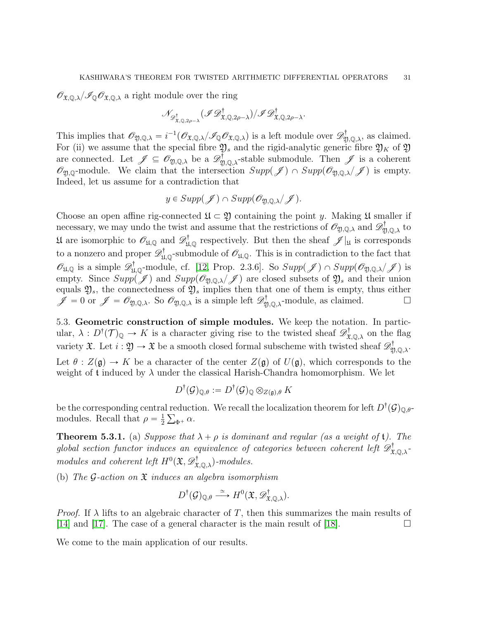$\mathscr{O}_{\mathfrak{X},\mathbb{Q},\lambda}/\mathscr{I}_{\mathbb{Q}}\mathscr{O}_{\mathfrak{X},\mathbb{Q},\lambda}$  a right module over the ring

$$
\mathscr{N}_{\mathscr{D}^{\dagger}_{\mathfrak{X},\mathbb{Q},2\rho-\lambda}}(\mathscr{I}\mathscr{D}^{\dagger}_{\mathfrak{X},\mathbb{Q},2\rho-\lambda})/\mathscr{I}\mathscr{D}^{\dagger}_{\mathfrak{X},\mathbb{Q},2\rho-\lambda}.
$$

This implies that  $\mathscr{O}_{\mathfrak{Y},\mathbb{Q},\lambda} = i^{-1} (\mathscr{O}_{\mathfrak{X},\mathbb{Q},\lambda}/\mathscr{I}_{\mathbb{Q}} \mathscr{O}_{\mathfrak{X},\mathbb{Q},\lambda})$  is a left module over  $\mathscr{D}^{\dagger}_{\mathfrak{Y},\mathbb{Q},\lambda}$ , as claimed. For (ii) we assume that the special fibre  $\mathfrak{Y}_s$  and the rigid-analytic generic fibre  $\mathfrak{Y}_K$  of  $\mathfrak{Y}$ are connected. Let  $\mathscr{J} \subseteq \mathscr{O}_{\mathfrak{Y},\mathbb{Q},\lambda}$  be a  $\mathscr{D}_{\mathfrak{Y},\mathbb{Q},\lambda}^{\dagger}$ -stable submodule. Then  $\mathscr{J}$  is a coherent  $\mathscr{O}_{\mathfrak{Y},\mathbb{Q}}$ -module. We claim that the intersection  $Supp(\mathscr{J}) \cap Supp(\mathscr{O}_{\mathfrak{Y},\mathbb{Q},\lambda}/\mathscr{J})$  is empty. Indeed, let us assume for a contradiction that

$$
y \in Supp(\mathscr{J}) \cap Supp(\mathscr{O}_{\mathfrak{Y},\mathbb{Q},\lambda}/\mathscr{J}).
$$

Choose an open affine rig-connected  $\mathfrak{U} \subset \mathfrak{Y}$  containing the point y. Making  $\mathfrak{U}$  smaller if necessary, we may undo the twist and assume that the restrictions of  $\mathscr{O}_{\mathfrak{Y},\mathbb{Q},\lambda}$  and  $\mathscr{D}^\dagger_{\mathfrak{Y},\mathbb{Q},\lambda}$  to Uf are isomorphic to  $\mathscr{O}_{\mathfrak{U},\mathbb{Q}}$  and  $\mathscr{D}^{\dagger}_{\mathfrak{U},\mathbb{Q}}$  respectively. But then the sheaf  $\mathscr{J}|_{\mathfrak{U}}$  is corresponds to a nonzero and proper  $\mathscr{D}^{\dagger}_{\mathfrak{U},\mathbb{Q}}$ -submodule of  $\mathscr{O}_{\mathfrak{U},\mathbb{Q}}$ . This is in contradiction to the fact that  $\mathscr{O}_{\mathfrak{U},\mathbb{Q}}$  is a simple  $\mathscr{D}^{\dagger}_{\mathfrak{U},\mathbb{Q}}$ -module, cf. [\[12,](#page-31-12) Prop. 2.3.6]. So  $Supp(\mathscr{J}) \cap Supp(\mathscr{O}_{\mathfrak{Y},\mathbb{Q},\lambda}/\mathscr{J})$  is empty. Since  $Supp(\mathscr{J})$  and  $Supp(\mathscr{O}_{\mathfrak{D},\mathbb{Q},\lambda}/\mathscr{J})$  are closed subsets of  $\mathfrak{Y}_s$  and their union equals  $\mathfrak{Y}_s$ , the connectedness of  $\mathfrak{Y}_s$  implies then that one of them is empty, thus either  $\mathscr{J} = 0$  or  $\mathscr{J} = \mathscr{O}_{\mathfrak{Y},\mathbb{Q},\lambda}$ . So  $\mathscr{O}_{\mathfrak{Y},\mathbb{Q},\lambda}$  is a simple left  $\mathscr{D}_{\mathfrak{Y},\mathbb{Q},\lambda}^{\dagger}$ -module, as claimed.

<span id="page-30-0"></span>5.3. Geometric construction of simple modules. We keep the notation. In particular,  $\lambda: D^{\dagger}(\mathcal{T})_{\mathbb{Q}} \to K$  is a character giving rise to the twisted sheaf  $\mathscr{D}^{\dagger}_{\mathfrak{X},\mathbb{Q},\lambda}$  on the flag variety  $\mathfrak{X}$ . Let  $i: \mathfrak{Y} \to \mathfrak{X}$  be a smooth closed formal subscheme with twisted sheaf  $\mathscr{D}^\dagger_{\mathfrak{Y}, \mathbb{Q}, \lambda}$ . Let  $\theta$  :  $Z(\mathfrak{g}) \to K$  be a character of the center  $Z(\mathfrak{g})$  of  $U(\mathfrak{g})$ , which corresponds to the weight of t induced by  $\lambda$  under the classical Harish-Chandra homomorphism. We let

$$
D^{\dagger}(\mathcal{G})_{\mathbb{Q}, \theta}:=D^{\dagger}(\mathcal{G})_{\mathbb{Q}} \otimes_{Z(\mathfrak{g}), \theta} K
$$

be the corresponding central reduction. We recall the localization theorem for left  $D^{\dagger}(\mathcal{G})_{\mathbb{Q},\theta}$ modules. Recall that  $\rho = \frac{1}{2}$  $rac{1}{2}\sum_{\Phi^+}\alpha.$ 

**Theorem 5.3.1.** (a) Suppose that  $\lambda + \rho$  is dominant and regular (as a weight of t). The global section functor induces an equivalence of categories between coherent left  $\mathscr{D}^\dagger_{\mathfrak{X},\mathbb{Q},\lambda}$ modules and coherent left  $H^0(\mathfrak{X}, \mathscr{D}^{\dagger}_{\mathfrak{X},\mathbb{Q},\lambda})$ -modules.

(b) The G-action on  $\mathfrak X$  induces an algebra isomorphism

$$
D^{\dagger}(\mathcal{G})_{\mathbb{Q},\theta} \stackrel{\simeq}{\longrightarrow} H^0(\mathfrak{X}, \mathscr{D}^{\dagger}_{\mathfrak{X},\mathbb{Q},\lambda}).
$$

*Proof.* If  $\lambda$  lifts to an algebraic character of T, then this summarizes the main results of [\[14\]](#page-32-2) and [\[17\]](#page-32-6). The case of a general character is the main result of [\[18\]](#page-32-3).  $\Box$ 

We come to the main application of our results.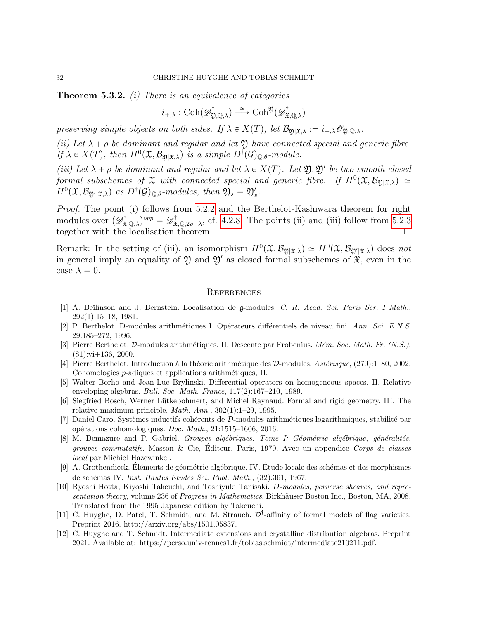**Theorem 5.3.2.** (i) There is an equivalence of categories

$$
i_{+,\lambda}: \mathrm{Coh}(\mathscr{D}^{\dagger}_{\mathfrak{Y},\mathbb{Q},\lambda}) \xrightarrow{\simeq} \mathrm{Coh}^{\mathfrak{Y}}(\mathscr{D}^{\dagger}_{\mathfrak{X},\mathbb{Q},\lambda})
$$

preserving simple objects on both sides. If  $\lambda \in X(T)$ , let  $\mathcal{B}_{\mathfrak{M}(\mathfrak{X},\lambda)} := i_{+,\lambda} \mathcal{O}_{\mathfrak{N},\mathbb{Q},\lambda}$ .

(ii) Let  $\lambda + \rho$  be dominant and regular and let  $\mathfrak V$  have connected special and generic fibre. If  $\lambda \in X(T)$ , then  $H^0(\mathfrak{X}, \mathcal{B}_{\mathfrak{Y}|\mathfrak{X},\lambda})$  is a simple  $D^{\dagger}(\mathcal{G})_{\mathbb{Q},\theta}$ -module.

(iii) Let  $\lambda + \rho$  be dominant and regular and let  $\lambda \in X(T)$ . Let  $\mathfrak{Y}, \mathfrak{Y}'$  be two smooth closed formal subschemes of  $\mathfrak X$  with connected special and generic fibre. If  $H^0(\mathfrak X,\mathcal B_{\mathfrak Y|\mathfrak X,\lambda})\simeq$  $H^0(\mathfrak{X}, \mathcal{B}_{\mathfrak{Y}'|\mathfrak{X},\lambda})$  as  $D^{\dagger}(\mathcal{G})_{\mathbb{Q},\theta}$ -modules, then  $\mathfrak{Y}_s = \mathfrak{Y}'_s$ .

Proof. The point (i) follows from [5.2.2](#page-28-0) and the Berthelot-Kashiwara theorem for right modules over  $(\mathscr{D}^{\dagger}_{\mathfrak{X},\mathbb{Q},\lambda})^{opp} = \mathscr{D}^{\dagger}_{\mathfrak{X},\mathbb{Q},2\rho-\lambda}$ , cf. [4.2.8.](#page-26-2) The points (ii) and (iii) follow from [5.2.3](#page-29-0) together with the localisation theorem.

Remark: In the setting of (iii), an isomorphism  $H^0(\mathfrak{X}, \mathcal{B}_{\mathfrak{Y}|\mathfrak{X},\lambda}) \simeq H^0(\mathfrak{X}, \mathcal{B}_{\mathfrak{Y}'|\mathfrak{X},\lambda})$  does not in general imply an equality of  $\mathfrak Y$  and  $\mathfrak Y'$  as closed formal subschemes of  $\mathfrak X$ , even in the case  $\lambda = 0$ .

### <span id="page-31-0"></span>**REFERENCES**

- <span id="page-31-1"></span>[1] A. Beĭlinson and J. Bernstein. Localisation de g-modules. C. R. Acad. Sci. Paris Sér. I Math., 292(1):15–18, 1981.
- <span id="page-31-2"></span>[2] P. Berthelot. D-modules arithmétiques I. Opérateurs différentiels de niveau fini. Ann. Sci. E.N.S, 29:185–272, 1996.
- <span id="page-31-6"></span>[3] Pierre Berthelot. D-modules arithmétiques. II. Descente par Frobenius. Mém. Soc. Math. Fr. (N.S.),  $(81):$ vi $+136, 2000$ .
- <span id="page-31-3"></span>[4] Pierre Berthelot. Introduction à la théorie arithmétique des  $\mathcal{D}\text{-modules.}$  Astérisque, (279):1–80, 2002. Cohomologies *p*-adiques et applications arithmétiques, II.
- <span id="page-31-5"></span>[5] Walter Borho and Jean-Luc Brylinski. Differential operators on homogeneous spaces. II. Relative enveloping algebras. Bull. Soc. Math. France, 117(2):167–210, 1989.
- <span id="page-31-8"></span>[6] Siegfried Bosch, Werner Lütkebohmert, and Michel Raynaud. Formal and rigid geometry. III. The relative maximum principle. Math. Ann., 302(1):1–29, 1995.
- <span id="page-31-4"></span>[7] Daniel Caro. Systèmes inductifs cohérents de  $\mathcal{D}$ -modules arithmétiques logarithmiques, stabilité par op´erations cohomologiques. Doc. Math., 21:1515–1606, 2016.
- <span id="page-31-11"></span>[8] M. Demazure and P. Gabriel. Groupes algébriques. Tome I: Géométrie algébrique, généralités, *groupes commutatifs.* Masson & Cie, Éditeur, Paris, 1970. Avec un appendice Corps de classes local par Michiel Hazewinkel.
- <span id="page-31-7"></span>[9] A. Grothendieck. Eléments de géométrie algébrique. IV. Étude locale des schémas et des morphismes de schémas IV. Inst. Hautes Études Sci. Publ. Math.,  $(32):361, 1967$ .
- <span id="page-31-9"></span>[10] Ryoshi Hotta, Kiyoshi Takeuchi, and Toshiyuki Tanisaki. D-modules, perverse sheaves, and representation theory, volume 236 of Progress in Mathematics. Birkhäuser Boston Inc., Boston, MA, 2008. Translated from the 1995 Japanese edition by Takeuchi.
- <span id="page-31-10"></span>[11] C. Huyghe, D. Patel, T. Schmidt, and M. Strauch.  $\mathcal{D}^{\dagger}$ -affinity of formal models of flag varieties. Preprint 2016. http://arxiv.org/abs/1501.05837.
- <span id="page-31-12"></span>[12] C. Huyghe and T. Schmidt. Intermediate extensions and crystalline distribution algebras. Preprint 2021. Available at: https://perso.univ-rennes1.fr/tobias.schmidt/intermediate210211.pdf.